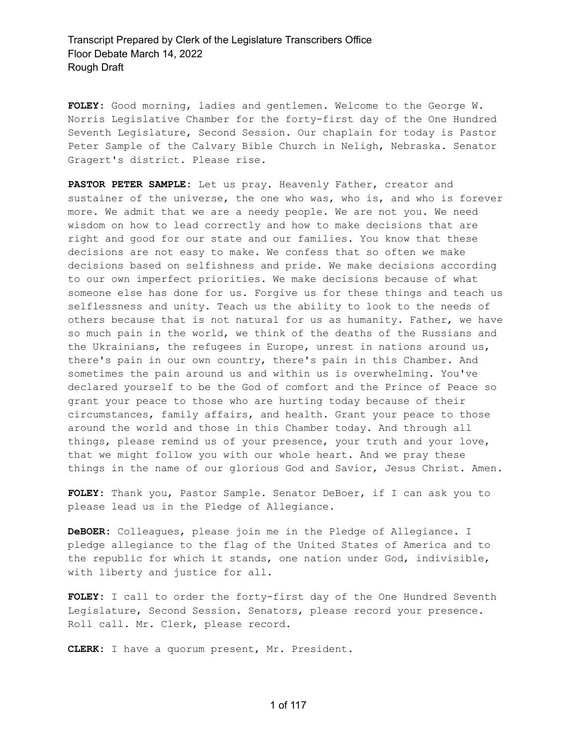**FOLEY:** Good morning, ladies and gentlemen. Welcome to the George W. Norris Legislative Chamber for the forty-first day of the One Hundred Seventh Legislature, Second Session. Our chaplain for today is Pastor Peter Sample of the Calvary Bible Church in Neligh, Nebraska. Senator Gragert's district. Please rise.

**PASTOR PETER SAMPLE:** Let us pray. Heavenly Father, creator and sustainer of the universe, the one who was, who is, and who is forever more. We admit that we are a needy people. We are not you. We need wisdom on how to lead correctly and how to make decisions that are right and good for our state and our families. You know that these decisions are not easy to make. We confess that so often we make decisions based on selfishness and pride. We make decisions according to our own imperfect priorities. We make decisions because of what someone else has done for us. Forgive us for these things and teach us selflessness and unity. Teach us the ability to look to the needs of others because that is not natural for us as humanity. Father, we have so much pain in the world, we think of the deaths of the Russians and the Ukrainians, the refugees in Europe, unrest in nations around us, there's pain in our own country, there's pain in this Chamber. And sometimes the pain around us and within us is overwhelming. You've declared yourself to be the God of comfort and the Prince of Peace so grant your peace to those who are hurting today because of their circumstances, family affairs, and health. Grant your peace to those around the world and those in this Chamber today. And through all things, please remind us of your presence, your truth and your love, that we might follow you with our whole heart. And we pray these things in the name of our glorious God and Savior, Jesus Christ. Amen.

**FOLEY:** Thank you, Pastor Sample. Senator DeBoer, if I can ask you to please lead us in the Pledge of Allegiance.

**DeBOER:** Colleagues, please join me in the Pledge of Allegiance. I pledge allegiance to the flag of the United States of America and to the republic for which it stands, one nation under God, indivisible, with liberty and justice for all.

**FOLEY:** I call to order the forty-first day of the One Hundred Seventh Legislature, Second Session. Senators, please record your presence. Roll call. Mr. Clerk, please record.

**CLERK:** I have a quorum present, Mr. President.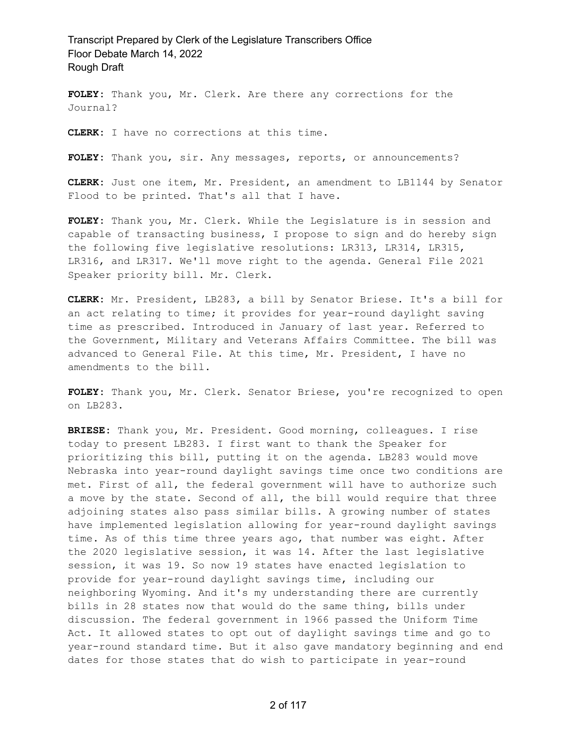**FOLEY:** Thank you, Mr. Clerk. Are there any corrections for the Journal?

**CLERK:** I have no corrections at this time.

**FOLEY:** Thank you, sir. Any messages, reports, or announcements?

**CLERK:** Just one item, Mr. President, an amendment to LB1144 by Senator Flood to be printed. That's all that I have.

**FOLEY:** Thank you, Mr. Clerk. While the Legislature is in session and capable of transacting business, I propose to sign and do hereby sign the following five legislative resolutions: LR313, LR314, LR315, LR316, and LR317. We'll move right to the agenda. General File 2021 Speaker priority bill. Mr. Clerk.

**CLERK:** Mr. President, LB283, a bill by Senator Briese. It's a bill for an act relating to time; it provides for year-round daylight saving time as prescribed. Introduced in January of last year. Referred to the Government, Military and Veterans Affairs Committee. The bill was advanced to General File. At this time, Mr. President, I have no amendments to the bill.

**FOLEY:** Thank you, Mr. Clerk. Senator Briese, you're recognized to open on LB283.

**BRIESE:** Thank you, Mr. President. Good morning, colleagues. I rise today to present LB283. I first want to thank the Speaker for prioritizing this bill, putting it on the agenda. LB283 would move Nebraska into year-round daylight savings time once two conditions are met. First of all, the federal government will have to authorize such a move by the state. Second of all, the bill would require that three adjoining states also pass similar bills. A growing number of states have implemented legislation allowing for year-round daylight savings time. As of this time three years ago, that number was eight. After the 2020 legislative session, it was 14. After the last legislative session, it was 19. So now 19 states have enacted legislation to provide for year-round daylight savings time, including our neighboring Wyoming. And it's my understanding there are currently bills in 28 states now that would do the same thing, bills under discussion. The federal government in 1966 passed the Uniform Time Act. It allowed states to opt out of daylight savings time and go to year-round standard time. But it also gave mandatory beginning and end dates for those states that do wish to participate in year-round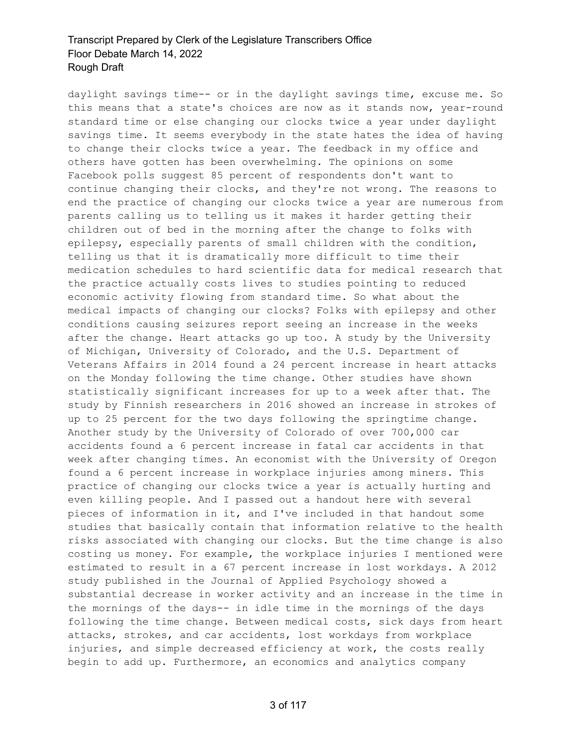daylight savings time-- or in the daylight savings time, excuse me. So this means that a state's choices are now as it stands now, year-round standard time or else changing our clocks twice a year under daylight savings time. It seems everybody in the state hates the idea of having to change their clocks twice a year. The feedback in my office and others have gotten has been overwhelming. The opinions on some Facebook polls suggest 85 percent of respondents don't want to continue changing their clocks, and they're not wrong. The reasons to end the practice of changing our clocks twice a year are numerous from parents calling us to telling us it makes it harder getting their children out of bed in the morning after the change to folks with epilepsy, especially parents of small children with the condition, telling us that it is dramatically more difficult to time their medication schedules to hard scientific data for medical research that the practice actually costs lives to studies pointing to reduced economic activity flowing from standard time. So what about the medical impacts of changing our clocks? Folks with epilepsy and other conditions causing seizures report seeing an increase in the weeks after the change. Heart attacks go up too. A study by the University of Michigan, University of Colorado, and the U.S. Department of Veterans Affairs in 2014 found a 24 percent increase in heart attacks on the Monday following the time change. Other studies have shown statistically significant increases for up to a week after that. The study by Finnish researchers in 2016 showed an increase in strokes of up to 25 percent for the two days following the springtime change. Another study by the University of Colorado of over 700,000 car accidents found a 6 percent increase in fatal car accidents in that week after changing times. An economist with the University of Oregon found a 6 percent increase in workplace injuries among miners. This practice of changing our clocks twice a year is actually hurting and even killing people. And I passed out a handout here with several pieces of information in it, and I've included in that handout some studies that basically contain that information relative to the health risks associated with changing our clocks. But the time change is also costing us money. For example, the workplace injuries I mentioned were estimated to result in a 67 percent increase in lost workdays. A 2012 study published in the Journal of Applied Psychology showed a substantial decrease in worker activity and an increase in the time in the mornings of the days-- in idle time in the mornings of the days following the time change. Between medical costs, sick days from heart attacks, strokes, and car accidents, lost workdays from workplace injuries, and simple decreased efficiency at work, the costs really begin to add up. Furthermore, an economics and analytics company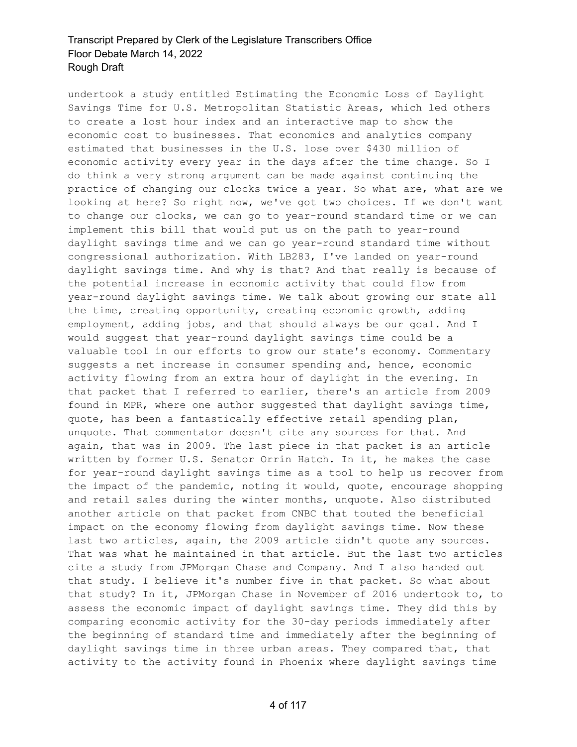undertook a study entitled Estimating the Economic Loss of Daylight Savings Time for U.S. Metropolitan Statistic Areas, which led others to create a lost hour index and an interactive map to show the economic cost to businesses. That economics and analytics company estimated that businesses in the U.S. lose over \$430 million of economic activity every year in the days after the time change. So I do think a very strong argument can be made against continuing the practice of changing our clocks twice a year. So what are, what are we looking at here? So right now, we've got two choices. If we don't want to change our clocks, we can go to year-round standard time or we can implement this bill that would put us on the path to year-round daylight savings time and we can go year-round standard time without congressional authorization. With LB283, I've landed on year-round daylight savings time. And why is that? And that really is because of the potential increase in economic activity that could flow from year-round daylight savings time. We talk about growing our state all the time, creating opportunity, creating economic growth, adding employment, adding jobs, and that should always be our goal. And I would suggest that year-round daylight savings time could be a valuable tool in our efforts to grow our state's economy. Commentary suggests a net increase in consumer spending and, hence, economic activity flowing from an extra hour of daylight in the evening. In that packet that I referred to earlier, there's an article from 2009 found in MPR, where one author suggested that daylight savings time, quote, has been a fantastically effective retail spending plan, unquote. That commentator doesn't cite any sources for that. And again, that was in 2009. The last piece in that packet is an article written by former U.S. Senator Orrin Hatch. In it, he makes the case for year-round daylight savings time as a tool to help us recover from the impact of the pandemic, noting it would, quote, encourage shopping and retail sales during the winter months, unquote. Also distributed another article on that packet from CNBC that touted the beneficial impact on the economy flowing from daylight savings time. Now these last two articles, again, the 2009 article didn't quote any sources. That was what he maintained in that article. But the last two articles cite a study from JPMorgan Chase and Company. And I also handed out that study. I believe it's number five in that packet. So what about that study? In it, JPMorgan Chase in November of 2016 undertook to, to assess the economic impact of daylight savings time. They did this by comparing economic activity for the 30-day periods immediately after the beginning of standard time and immediately after the beginning of daylight savings time in three urban areas. They compared that, that activity to the activity found in Phoenix where daylight savings time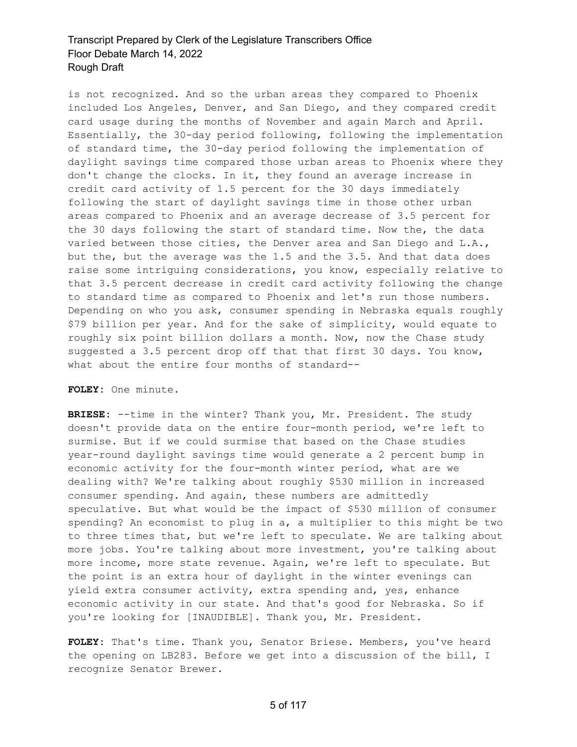is not recognized. And so the urban areas they compared to Phoenix included Los Angeles, Denver, and San Diego, and they compared credit card usage during the months of November and again March and April. Essentially, the 30-day period following, following the implementation of standard time, the 30-day period following the implementation of daylight savings time compared those urban areas to Phoenix where they don't change the clocks. In it, they found an average increase in credit card activity of 1.5 percent for the 30 days immediately following the start of daylight savings time in those other urban areas compared to Phoenix and an average decrease of 3.5 percent for the 30 days following the start of standard time. Now the, the data varied between those cities, the Denver area and San Diego and L.A., but the, but the average was the 1.5 and the 3.5. And that data does raise some intriguing considerations, you know, especially relative to that 3.5 percent decrease in credit card activity following the change to standard time as compared to Phoenix and let's run those numbers. Depending on who you ask, consumer spending in Nebraska equals roughly \$79 billion per year. And for the sake of simplicity, would equate to roughly six point billion dollars a month. Now, now the Chase study suggested a 3.5 percent drop off that that first 30 days. You know, what about the entire four months of standard--

**FOLEY:** One minute.

**BRIESE:** --time in the winter? Thank you, Mr. President. The study doesn't provide data on the entire four-month period, we're left to surmise. But if we could surmise that based on the Chase studies year-round daylight savings time would generate a 2 percent bump in economic activity for the four-month winter period, what are we dealing with? We're talking about roughly \$530 million in increased consumer spending. And again, these numbers are admittedly speculative. But what would be the impact of \$530 million of consumer spending? An economist to plug in a, a multiplier to this might be two to three times that, but we're left to speculate. We are talking about more jobs. You're talking about more investment, you're talking about more income, more state revenue. Again, we're left to speculate. But the point is an extra hour of daylight in the winter evenings can yield extra consumer activity, extra spending and, yes, enhance economic activity in our state. And that's good for Nebraska. So if you're looking for [INAUDIBLE]. Thank you, Mr. President.

**FOLEY:** That's time. Thank you, Senator Briese. Members, you've heard the opening on LB283. Before we get into a discussion of the bill, I recognize Senator Brewer.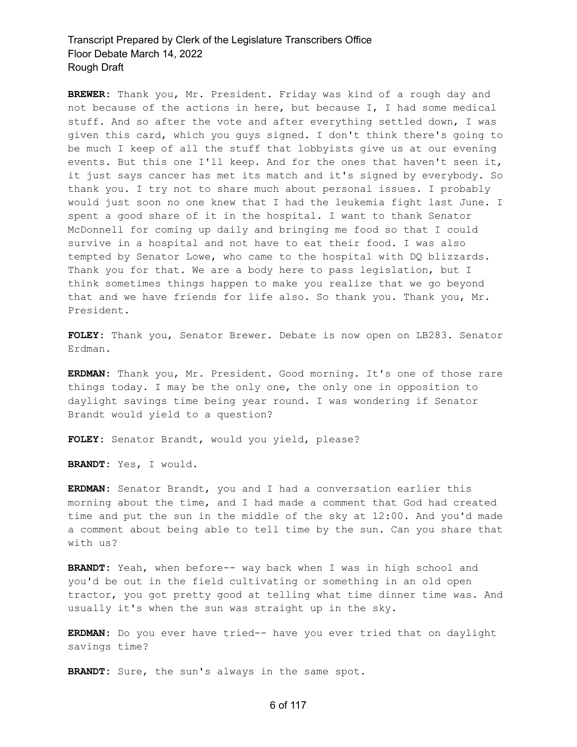**BREWER:** Thank you, Mr. President. Friday was kind of a rough day and not because of the actions in here, but because I, I had some medical stuff. And so after the vote and after everything settled down, I was given this card, which you guys signed. I don't think there's going to be much I keep of all the stuff that lobbyists give us at our evening events. But this one I'll keep. And for the ones that haven't seen it, it just says cancer has met its match and it's signed by everybody. So thank you. I try not to share much about personal issues. I probably would just soon no one knew that I had the leukemia fight last June. I spent a good share of it in the hospital. I want to thank Senator McDonnell for coming up daily and bringing me food so that I could survive in a hospital and not have to eat their food. I was also tempted by Senator Lowe, who came to the hospital with DQ blizzards. Thank you for that. We are a body here to pass legislation, but I think sometimes things happen to make you realize that we go beyond that and we have friends for life also. So thank you. Thank you, Mr. President.

**FOLEY:** Thank you, Senator Brewer. Debate is now open on LB283. Senator Erdman.

**ERDMAN:** Thank you, Mr. President. Good morning. It's one of those rare things today. I may be the only one, the only one in opposition to daylight savings time being year round. I was wondering if Senator Brandt would yield to a question?

**FOLEY:** Senator Brandt, would you yield, please?

**BRANDT:** Yes, I would.

**ERDMAN:** Senator Brandt, you and I had a conversation earlier this morning about the time, and I had made a comment that God had created time and put the sun in the middle of the sky at 12:00. And you'd made a comment about being able to tell time by the sun. Can you share that with us?

**BRANDT:** Yeah, when before-- way back when I was in high school and you'd be out in the field cultivating or something in an old open tractor, you got pretty good at telling what time dinner time was. And usually it's when the sun was straight up in the sky.

**ERDMAN:** Do you ever have tried-- have you ever tried that on daylight savings time?

**BRANDT:** Sure, the sun's always in the same spot.

#### 6 of 117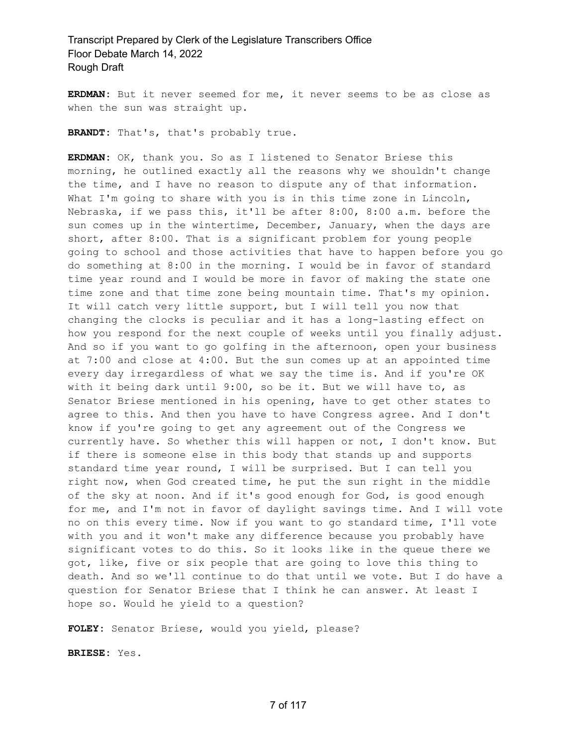**ERDMAN:** But it never seemed for me, it never seems to be as close as when the sun was straight up.

**BRANDT:** That's, that's probably true.

**ERDMAN:** OK, thank you. So as I listened to Senator Briese this morning, he outlined exactly all the reasons why we shouldn't change the time, and I have no reason to dispute any of that information. What I'm going to share with you is in this time zone in Lincoln, Nebraska, if we pass this, it'll be after 8:00, 8:00 a.m. before the sun comes up in the wintertime, December, January, when the days are short, after 8:00. That is a significant problem for young people going to school and those activities that have to happen before you go do something at 8:00 in the morning. I would be in favor of standard time year round and I would be more in favor of making the state one time zone and that time zone being mountain time. That's my opinion. It will catch very little support, but I will tell you now that changing the clocks is peculiar and it has a long-lasting effect on how you respond for the next couple of weeks until you finally adjust. And so if you want to go golfing in the afternoon, open your business at 7:00 and close at 4:00. But the sun comes up at an appointed time every day irregardless of what we say the time is. And if you're OK with it being dark until 9:00, so be it. But we will have to, as Senator Briese mentioned in his opening, have to get other states to agree to this. And then you have to have Congress agree. And I don't know if you're going to get any agreement out of the Congress we currently have. So whether this will happen or not, I don't know. But if there is someone else in this body that stands up and supports standard time year round, I will be surprised. But I can tell you right now, when God created time, he put the sun right in the middle of the sky at noon. And if it's good enough for God, is good enough for me, and I'm not in favor of daylight savings time. And I will vote no on this every time. Now if you want to go standard time, I'll vote with you and it won't make any difference because you probably have significant votes to do this. So it looks like in the queue there we got, like, five or six people that are going to love this thing to death. And so we'll continue to do that until we vote. But I do have a question for Senator Briese that I think he can answer. At least I hope so. Would he yield to a question?

**FOLEY:** Senator Briese, would you yield, please?

**BRIESE:** Yes.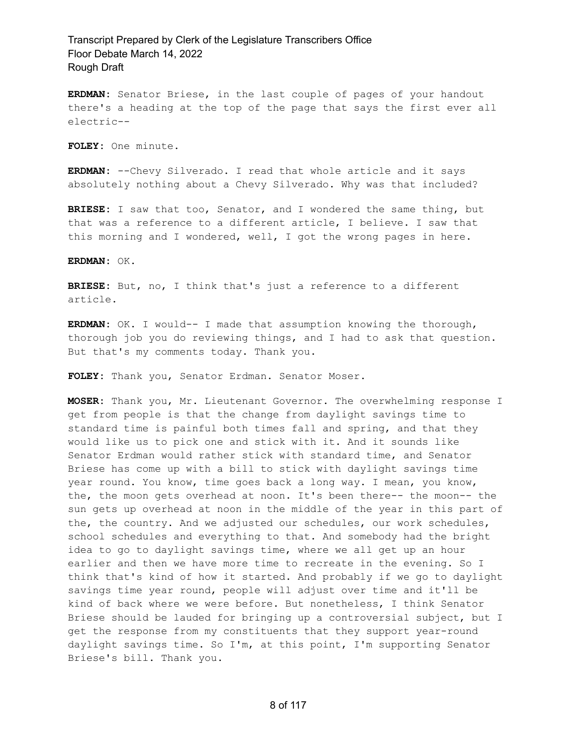**ERDMAN:** Senator Briese, in the last couple of pages of your handout there's a heading at the top of the page that says the first ever all electric--

**FOLEY:** One minute.

**ERDMAN:** --Chevy Silverado. I read that whole article and it says absolutely nothing about a Chevy Silverado. Why was that included?

**BRIESE:** I saw that too, Senator, and I wondered the same thing, but that was a reference to a different article, I believe. I saw that this morning and I wondered, well, I got the wrong pages in here.

**ERDMAN:** OK.

**BRIESE:** But, no, I think that's just a reference to a different article.

**ERDMAN:** OK. I would-- I made that assumption knowing the thorough, thorough job you do reviewing things, and I had to ask that question. But that's my comments today. Thank you.

**FOLEY:** Thank you, Senator Erdman. Senator Moser.

**MOSER:** Thank you, Mr. Lieutenant Governor. The overwhelming response I get from people is that the change from daylight savings time to standard time is painful both times fall and spring, and that they would like us to pick one and stick with it. And it sounds like Senator Erdman would rather stick with standard time, and Senator Briese has come up with a bill to stick with daylight savings time year round. You know, time goes back a long way. I mean, you know, the, the moon gets overhead at noon. It's been there-- the moon-- the sun gets up overhead at noon in the middle of the year in this part of the, the country. And we adjusted our schedules, our work schedules, school schedules and everything to that. And somebody had the bright idea to go to daylight savings time, where we all get up an hour earlier and then we have more time to recreate in the evening. So I think that's kind of how it started. And probably if we go to daylight savings time year round, people will adjust over time and it'll be kind of back where we were before. But nonetheless, I think Senator Briese should be lauded for bringing up a controversial subject, but I get the response from my constituents that they support year-round daylight savings time. So I'm, at this point, I'm supporting Senator Briese's bill. Thank you.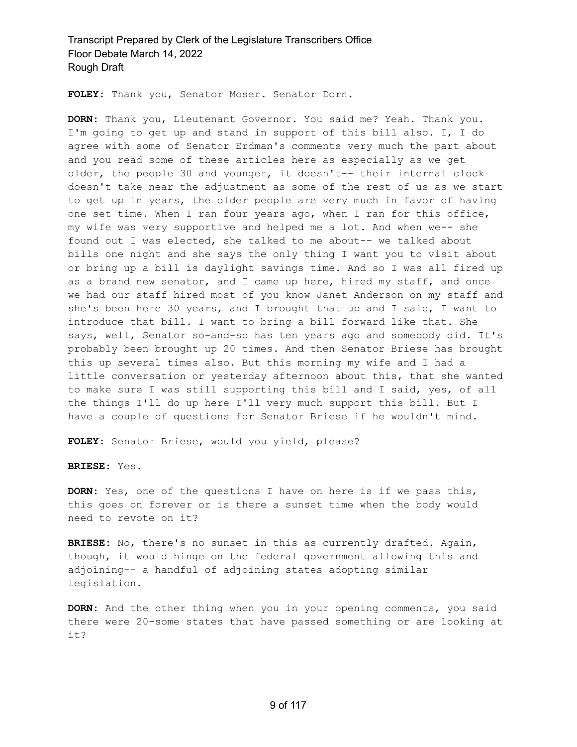**FOLEY:** Thank you, Senator Moser. Senator Dorn.

**DORN:** Thank you, Lieutenant Governor. You said me? Yeah. Thank you. I'm going to get up and stand in support of this bill also. I, I do agree with some of Senator Erdman's comments very much the part about and you read some of these articles here as especially as we get older, the people 30 and younger, it doesn't-- their internal clock doesn't take near the adjustment as some of the rest of us as we start to get up in years, the older people are very much in favor of having one set time. When I ran four years ago, when I ran for this office, my wife was very supportive and helped me a lot. And when we-- she found out I was elected, she talked to me about-- we talked about bills one night and she says the only thing I want you to visit about or bring up a bill is daylight savings time. And so I was all fired up as a brand new senator, and I came up here, hired my staff, and once we had our staff hired most of you know Janet Anderson on my staff and she's been here 30 years, and I brought that up and I said, I want to introduce that bill. I want to bring a bill forward like that. She says, well, Senator so-and-so has ten years ago and somebody did. It's probably been brought up 20 times. And then Senator Briese has brought this up several times also. But this morning my wife and I had a little conversation or yesterday afternoon about this, that she wanted to make sure I was still supporting this bill and I said, yes, of all the things I'll do up here I'll very much support this bill. But I have a couple of questions for Senator Briese if he wouldn't mind.

**FOLEY:** Senator Briese, would you yield, please?

**BRIESE:** Yes.

**DORN:** Yes, one of the questions I have on here is if we pass this, this goes on forever or is there a sunset time when the body would need to revote on it?

**BRIESE:** No, there's no sunset in this as currently drafted. Again, though, it would hinge on the federal government allowing this and adjoining-- a handful of adjoining states adopting similar legislation.

**DORN:** And the other thing when you in your opening comments, you said there were 20-some states that have passed something or are looking at it?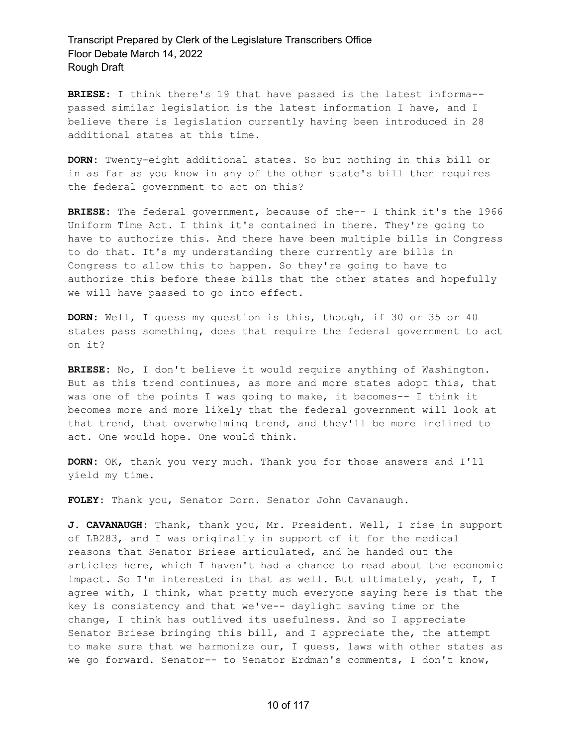**BRIESE:** I think there's 19 that have passed is the latest informa- passed similar legislation is the latest information I have, and I believe there is legislation currently having been introduced in 28 additional states at this time.

**DORN:** Twenty-eight additional states. So but nothing in this bill or in as far as you know in any of the other state's bill then requires the federal government to act on this?

**BRIESE:** The federal government, because of the-- I think it's the 1966 Uniform Time Act. I think it's contained in there. They're going to have to authorize this. And there have been multiple bills in Congress to do that. It's my understanding there currently are bills in Congress to allow this to happen. So they're going to have to authorize this before these bills that the other states and hopefully we will have passed to go into effect.

**DORN:** Well, I guess my question is this, though, if 30 or 35 or 40 states pass something, does that require the federal government to act on it?

**BRIESE:** No, I don't believe it would require anything of Washington. But as this trend continues, as more and more states adopt this, that was one of the points I was going to make, it becomes-- I think it becomes more and more likely that the federal government will look at that trend, that overwhelming trend, and they'll be more inclined to act. One would hope. One would think.

**DORN:** OK, thank you very much. Thank you for those answers and I'll yield my time.

**FOLEY:** Thank you, Senator Dorn. Senator John Cavanaugh.

**J. CAVANAUGH:** Thank, thank you, Mr. President. Well, I rise in support of LB283, and I was originally in support of it for the medical reasons that Senator Briese articulated, and he handed out the articles here, which I haven't had a chance to read about the economic impact. So I'm interested in that as well. But ultimately, yeah, I, I agree with, I think, what pretty much everyone saying here is that the key is consistency and that we've-- daylight saving time or the change, I think has outlived its usefulness. And so I appreciate Senator Briese bringing this bill, and I appreciate the, the attempt to make sure that we harmonize our, I guess, laws with other states as we go forward. Senator-- to Senator Erdman's comments, I don't know,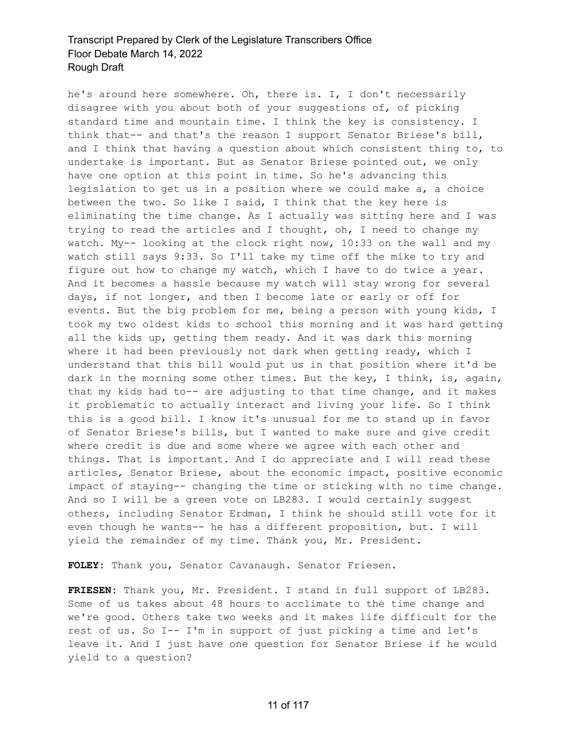he's around here somewhere. Oh, there is. I, I don't necessarily disagree with you about both of your suggestions of, of picking standard time and mountain time. I think the key is consistency. I think that-- and that's the reason I support Senator Briese's bill, and I think that having a question about which consistent thing to, to undertake is important. But as Senator Briese pointed out, we only have one option at this point in time. So he's advancing this legislation to get us in a position where we could make a, a choice between the two. So like I said, I think that the key here is eliminating the time change. As I actually was sitting here and I was trying to read the articles and I thought, oh, I need to change my watch. My-- looking at the clock right now, 10:33 on the wall and my watch still says 9:33. So I'll take my time off the mike to try and figure out how to change my watch, which I have to do twice a year. And it becomes a hassle because my watch will stay wrong for several days, if not longer, and then I become late or early or off for events. But the big problem for me, being a person with young kids, I took my two oldest kids to school this morning and it was hard getting all the kids up, getting them ready. And it was dark this morning where it had been previously not dark when getting ready, which I understand that this bill would put us in that position where it'd be dark in the morning some other times. But the key, I think, is, again, that my kids had to-- are adjusting to that time change, and it makes it problematic to actually interact and living your life. So I think this is a good bill. I know it's unusual for me to stand up in favor of Senator Briese's bills, but I wanted to make sure and give credit where credit is due and some where we agree with each other and things. That is important. And I do appreciate and I will read these articles, Senator Briese, about the economic impact, positive economic impact of staying-- changing the time or sticking with no time change. And so I will be a green vote on LB283. I would certainly suggest others, including Senator Erdman, I think he should still vote for it even though he wants-- he has a different proposition, but. I will yield the remainder of my time. Thank you, Mr. President.

**FOLEY:** Thank you, Senator Cavanaugh. Senator Friesen.

**FRIESEN:** Thank you, Mr. President. I stand in full support of LB283. Some of us takes about 48 hours to acclimate to the time change and we're good. Others take two weeks and it makes life difficult for the rest of us. So I-- I'm in support of just picking a time and let's leave it. And I just have one question for Senator Briese if he would yield to a question?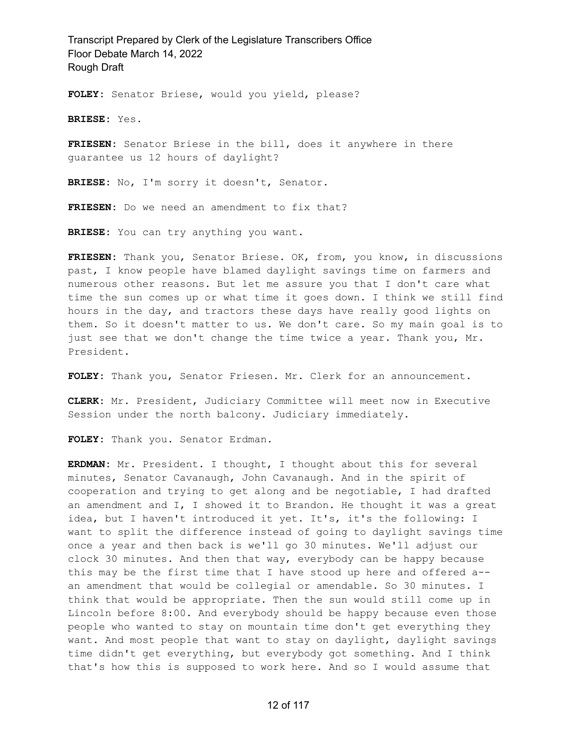**FOLEY:** Senator Briese, would you yield, please?

**BRIESE:** Yes.

**FRIESEN:** Senator Briese in the bill, does it anywhere in there guarantee us 12 hours of daylight?

**BRIESE:** No, I'm sorry it doesn't, Senator.

**FRIESEN:** Do we need an amendment to fix that?

**BRIESE:** You can try anything you want.

**FRIESEN:** Thank you, Senator Briese. OK, from, you know, in discussions past, I know people have blamed daylight savings time on farmers and numerous other reasons. But let me assure you that I don't care what time the sun comes up or what time it goes down. I think we still find hours in the day, and tractors these days have really good lights on them. So it doesn't matter to us. We don't care. So my main goal is to just see that we don't change the time twice a year. Thank you, Mr. President.

**FOLEY:** Thank you, Senator Friesen. Mr. Clerk for an announcement.

**CLERK:** Mr. President, Judiciary Committee will meet now in Executive Session under the north balcony. Judiciary immediately.

**FOLEY:** Thank you. Senator Erdman.

**ERDMAN:** Mr. President. I thought, I thought about this for several minutes, Senator Cavanaugh, John Cavanaugh. And in the spirit of cooperation and trying to get along and be negotiable, I had drafted an amendment and I, I showed it to Brandon. He thought it was a great idea, but I haven't introduced it yet. It's, it's the following: I want to split the difference instead of going to daylight savings time once a year and then back is we'll go 30 minutes. We'll adjust our clock 30 minutes. And then that way, everybody can be happy because this may be the first time that I have stood up here and offered a- an amendment that would be collegial or amendable. So 30 minutes. I think that would be appropriate. Then the sun would still come up in Lincoln before 8:00. And everybody should be happy because even those people who wanted to stay on mountain time don't get everything they want. And most people that want to stay on daylight, daylight savings time didn't get everything, but everybody got something. And I think that's how this is supposed to work here. And so I would assume that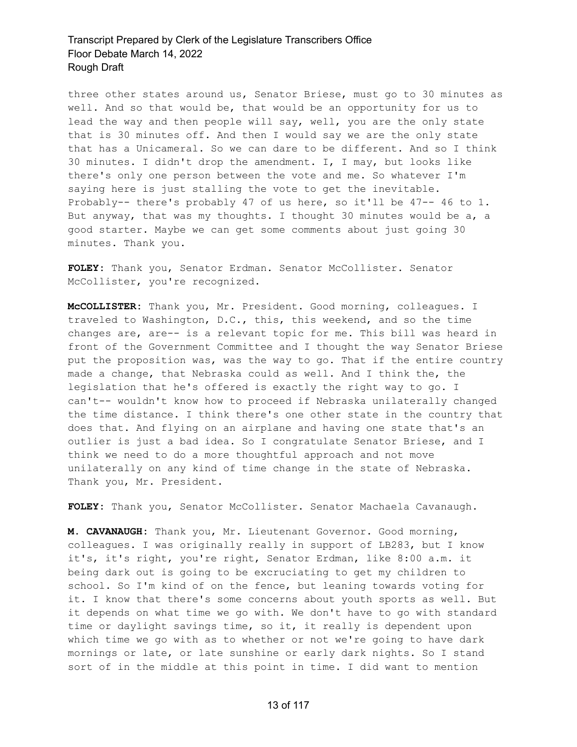three other states around us, Senator Briese, must go to 30 minutes as well. And so that would be, that would be an opportunity for us to lead the way and then people will say, well, you are the only state that is 30 minutes off. And then I would say we are the only state that has a Unicameral. So we can dare to be different. And so I think 30 minutes. I didn't drop the amendment. I, I may, but looks like there's only one person between the vote and me. So whatever I'm saying here is just stalling the vote to get the inevitable. Probably-- there's probably 47 of us here, so it'll be 47-- 46 to 1. But anyway, that was my thoughts. I thought 30 minutes would be a, a good starter. Maybe we can get some comments about just going 30 minutes. Thank you.

**FOLEY:** Thank you, Senator Erdman. Senator McCollister. Senator McCollister, you're recognized.

**McCOLLISTER:** Thank you, Mr. President. Good morning, colleagues. I traveled to Washington, D.C., this, this weekend, and so the time changes are, are-- is a relevant topic for me. This bill was heard in front of the Government Committee and I thought the way Senator Briese put the proposition was, was the way to go. That if the entire country made a change, that Nebraska could as well. And I think the, the legislation that he's offered is exactly the right way to go. I can't-- wouldn't know how to proceed if Nebraska unilaterally changed the time distance. I think there's one other state in the country that does that. And flying on an airplane and having one state that's an outlier is just a bad idea. So I congratulate Senator Briese, and I think we need to do a more thoughtful approach and not move unilaterally on any kind of time change in the state of Nebraska. Thank you, Mr. President.

**FOLEY:** Thank you, Senator McCollister. Senator Machaela Cavanaugh.

**M. CAVANAUGH:** Thank you, Mr. Lieutenant Governor. Good morning, colleagues. I was originally really in support of LB283, but I know it's, it's right, you're right, Senator Erdman, like 8:00 a.m. it being dark out is going to be excruciating to get my children to school. So I'm kind of on the fence, but leaning towards voting for it. I know that there's some concerns about youth sports as well. But it depends on what time we go with. We don't have to go with standard time or daylight savings time, so it, it really is dependent upon which time we go with as to whether or not we're going to have dark mornings or late, or late sunshine or early dark nights. So I stand sort of in the middle at this point in time. I did want to mention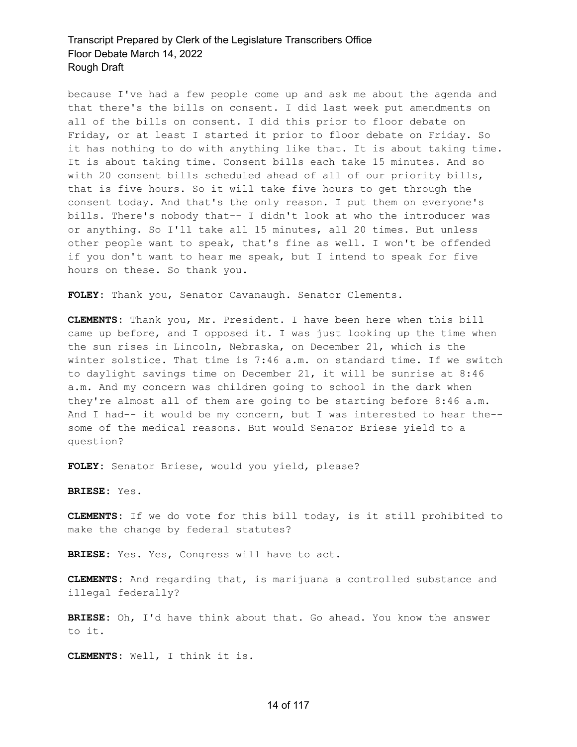because I've had a few people come up and ask me about the agenda and that there's the bills on consent. I did last week put amendments on all of the bills on consent. I did this prior to floor debate on Friday, or at least I started it prior to floor debate on Friday. So it has nothing to do with anything like that. It is about taking time. It is about taking time. Consent bills each take 15 minutes. And so with 20 consent bills scheduled ahead of all of our priority bills, that is five hours. So it will take five hours to get through the consent today. And that's the only reason. I put them on everyone's bills. There's nobody that-- I didn't look at who the introducer was or anything. So I'll take all 15 minutes, all 20 times. But unless other people want to speak, that's fine as well. I won't be offended if you don't want to hear me speak, but I intend to speak for five hours on these. So thank you.

**FOLEY:** Thank you, Senator Cavanaugh. Senator Clements.

**CLEMENTS:** Thank you, Mr. President. I have been here when this bill came up before, and I opposed it. I was just looking up the time when the sun rises in Lincoln, Nebraska, on December 21, which is the winter solstice. That time is 7:46 a.m. on standard time. If we switch to daylight savings time on December 21, it will be sunrise at 8:46 a.m. And my concern was children going to school in the dark when they're almost all of them are going to be starting before 8:46 a.m. And I had-- it would be my concern, but I was interested to hear the- some of the medical reasons. But would Senator Briese yield to a question?

**FOLEY:** Senator Briese, would you yield, please?

**BRIESE:** Yes.

**CLEMENTS:** If we do vote for this bill today, is it still prohibited to make the change by federal statutes?

**BRIESE:** Yes. Yes, Congress will have to act.

**CLEMENTS:** And regarding that, is marijuana a controlled substance and illegal federally?

**BRIESE:** Oh, I'd have think about that. Go ahead. You know the answer to it.

**CLEMENTS:** Well, I think it is.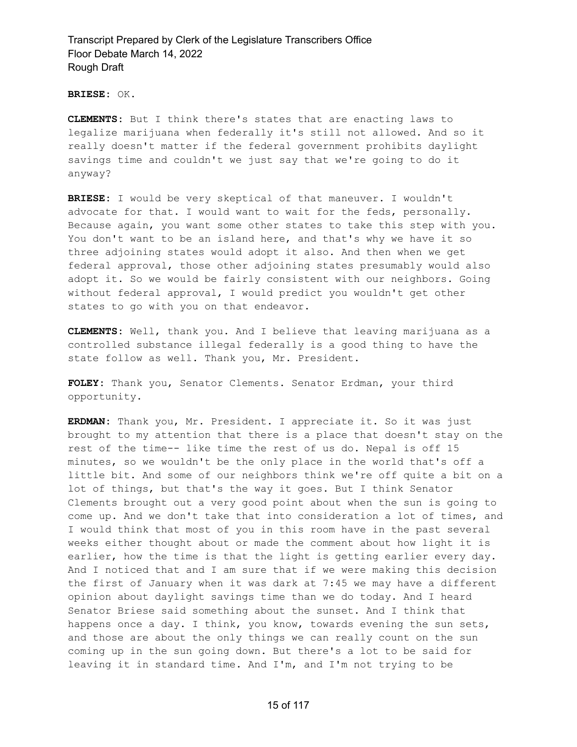**BRIESE:** OK.

**CLEMENTS:** But I think there's states that are enacting laws to legalize marijuana when federally it's still not allowed. And so it really doesn't matter if the federal government prohibits daylight savings time and couldn't we just say that we're going to do it anyway?

**BRIESE:** I would be very skeptical of that maneuver. I wouldn't advocate for that. I would want to wait for the feds, personally. Because again, you want some other states to take this step with you. You don't want to be an island here, and that's why we have it so three adjoining states would adopt it also. And then when we get federal approval, those other adjoining states presumably would also adopt it. So we would be fairly consistent with our neighbors. Going without federal approval, I would predict you wouldn't get other states to go with you on that endeavor.

**CLEMENTS:** Well, thank you. And I believe that leaving marijuana as a controlled substance illegal federally is a good thing to have the state follow as well. Thank you, Mr. President.

**FOLEY:** Thank you, Senator Clements. Senator Erdman, your third opportunity.

**ERDMAN:** Thank you, Mr. President. I appreciate it. So it was just brought to my attention that there is a place that doesn't stay on the rest of the time-- like time the rest of us do. Nepal is off 15 minutes, so we wouldn't be the only place in the world that's off a little bit. And some of our neighbors think we're off quite a bit on a lot of things, but that's the way it goes. But I think Senator Clements brought out a very good point about when the sun is going to come up. And we don't take that into consideration a lot of times, and I would think that most of you in this room have in the past several weeks either thought about or made the comment about how light it is earlier, how the time is that the light is getting earlier every day. And I noticed that and I am sure that if we were making this decision the first of January when it was dark at 7:45 we may have a different opinion about daylight savings time than we do today. And I heard Senator Briese said something about the sunset. And I think that happens once a day. I think, you know, towards evening the sun sets, and those are about the only things we can really count on the sun coming up in the sun going down. But there's a lot to be said for leaving it in standard time. And I'm, and I'm not trying to be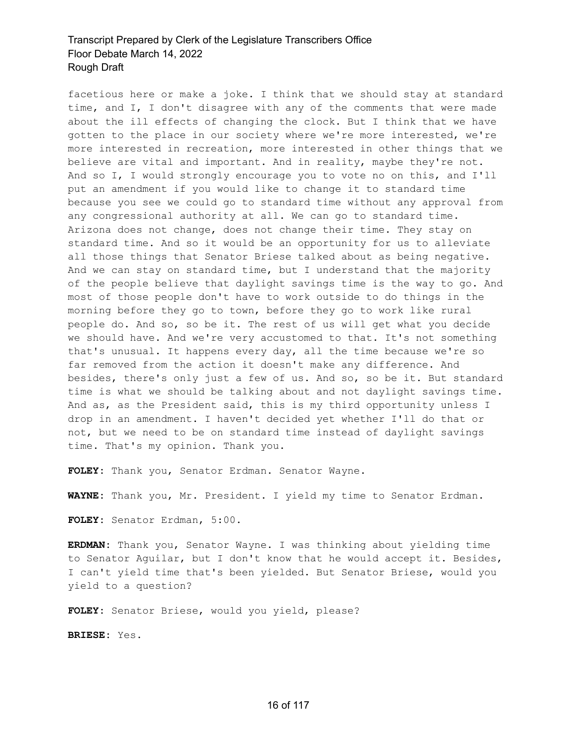facetious here or make a joke. I think that we should stay at standard time, and I, I don't disagree with any of the comments that were made about the ill effects of changing the clock. But I think that we have gotten to the place in our society where we're more interested, we're more interested in recreation, more interested in other things that we believe are vital and important. And in reality, maybe they're not. And so I, I would strongly encourage you to vote no on this, and I'll put an amendment if you would like to change it to standard time because you see we could go to standard time without any approval from any congressional authority at all. We can go to standard time. Arizona does not change, does not change their time. They stay on standard time. And so it would be an opportunity for us to alleviate all those things that Senator Briese talked about as being negative. And we can stay on standard time, but I understand that the majority of the people believe that daylight savings time is the way to go. And most of those people don't have to work outside to do things in the morning before they go to town, before they go to work like rural people do. And so, so be it. The rest of us will get what you decide we should have. And we're very accustomed to that. It's not something that's unusual. It happens every day, all the time because we're so far removed from the action it doesn't make any difference. And besides, there's only just a few of us. And so, so be it. But standard time is what we should be talking about and not daylight savings time. And as, as the President said, this is my third opportunity unless I drop in an amendment. I haven't decided yet whether I'll do that or not, but we need to be on standard time instead of daylight savings time. That's my opinion. Thank you.

**FOLEY:** Thank you, Senator Erdman. Senator Wayne.

**WAYNE:** Thank you, Mr. President. I yield my time to Senator Erdman.

**FOLEY:** Senator Erdman, 5:00.

**ERDMAN:** Thank you, Senator Wayne. I was thinking about yielding time to Senator Aguilar, but I don't know that he would accept it. Besides, I can't yield time that's been yielded. But Senator Briese, would you yield to a question?

**FOLEY:** Senator Briese, would you yield, please?

**BRIESE:** Yes.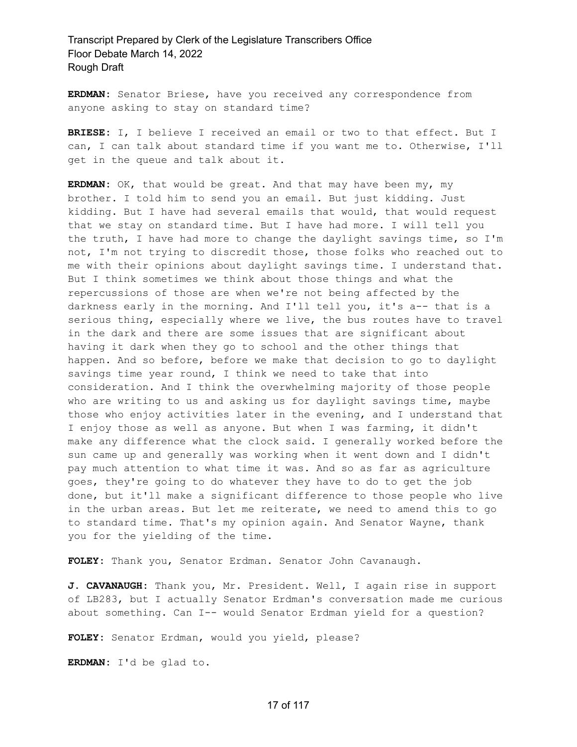**ERDMAN:** Senator Briese, have you received any correspondence from anyone asking to stay on standard time?

**BRIESE:** I, I believe I received an email or two to that effect. But I can, I can talk about standard time if you want me to. Otherwise, I'll get in the queue and talk about it.

**ERDMAN:** OK, that would be great. And that may have been my, my brother. I told him to send you an email. But just kidding. Just kidding. But I have had several emails that would, that would request that we stay on standard time. But I have had more. I will tell you the truth, I have had more to change the daylight savings time, so I'm not, I'm not trying to discredit those, those folks who reached out to me with their opinions about daylight savings time. I understand that. But I think sometimes we think about those things and what the repercussions of those are when we're not being affected by the darkness early in the morning. And I'll tell you, it's a-- that is a serious thing, especially where we live, the bus routes have to travel in the dark and there are some issues that are significant about having it dark when they go to school and the other things that happen. And so before, before we make that decision to go to daylight savings time year round, I think we need to take that into consideration. And I think the overwhelming majority of those people who are writing to us and asking us for daylight savings time, maybe those who enjoy activities later in the evening, and I understand that I enjoy those as well as anyone. But when I was farming, it didn't make any difference what the clock said. I generally worked before the sun came up and generally was working when it went down and I didn't pay much attention to what time it was. And so as far as agriculture goes, they're going to do whatever they have to do to get the job done, but it'll make a significant difference to those people who live in the urban areas. But let me reiterate, we need to amend this to go to standard time. That's my opinion again. And Senator Wayne, thank you for the yielding of the time.

**FOLEY:** Thank you, Senator Erdman. Senator John Cavanaugh.

**J. CAVANAUGH:** Thank you, Mr. President. Well, I again rise in support of LB283, but I actually Senator Erdman's conversation made me curious about something. Can I-- would Senator Erdman yield for a question?

**FOLEY:** Senator Erdman, would you yield, please?

**ERDMAN:** I'd be glad to.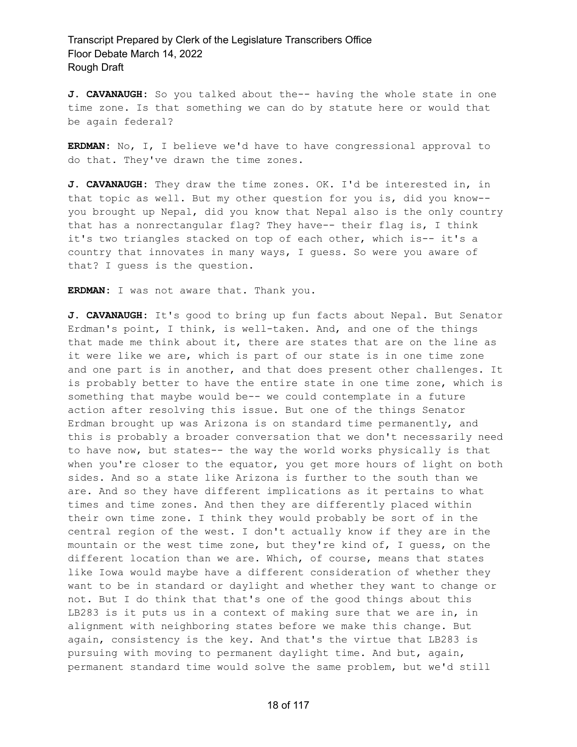**J. CAVANAUGH:** So you talked about the-- having the whole state in one time zone. Is that something we can do by statute here or would that be again federal?

**ERDMAN:** No, I, I believe we'd have to have congressional approval to do that. They've drawn the time zones.

**J. CAVANAUGH:** They draw the time zones. OK. I'd be interested in, in that topic as well. But my other question for you is, did you know- you brought up Nepal, did you know that Nepal also is the only country that has a nonrectangular flag? They have-- their flag is, I think it's two triangles stacked on top of each other, which is-- it's a country that innovates in many ways, I guess. So were you aware of that? I guess is the question.

**ERDMAN:** I was not aware that. Thank you.

**J. CAVANAUGH:** It's good to bring up fun facts about Nepal. But Senator Erdman's point, I think, is well-taken. And, and one of the things that made me think about it, there are states that are on the line as it were like we are, which is part of our state is in one time zone and one part is in another, and that does present other challenges. It is probably better to have the entire state in one time zone, which is something that maybe would be-- we could contemplate in a future action after resolving this issue. But one of the things Senator Erdman brought up was Arizona is on standard time permanently, and this is probably a broader conversation that we don't necessarily need to have now, but states-- the way the world works physically is that when you're closer to the equator, you get more hours of light on both sides. And so a state like Arizona is further to the south than we are. And so they have different implications as it pertains to what times and time zones. And then they are differently placed within their own time zone. I think they would probably be sort of in the central region of the west. I don't actually know if they are in the mountain or the west time zone, but they're kind of, I guess, on the different location than we are. Which, of course, means that states like Iowa would maybe have a different consideration of whether they want to be in standard or daylight and whether they want to change or not. But I do think that that's one of the good things about this LB283 is it puts us in a context of making sure that we are in, in alignment with neighboring states before we make this change. But again, consistency is the key. And that's the virtue that LB283 is pursuing with moving to permanent daylight time. And but, again, permanent standard time would solve the same problem, but we'd still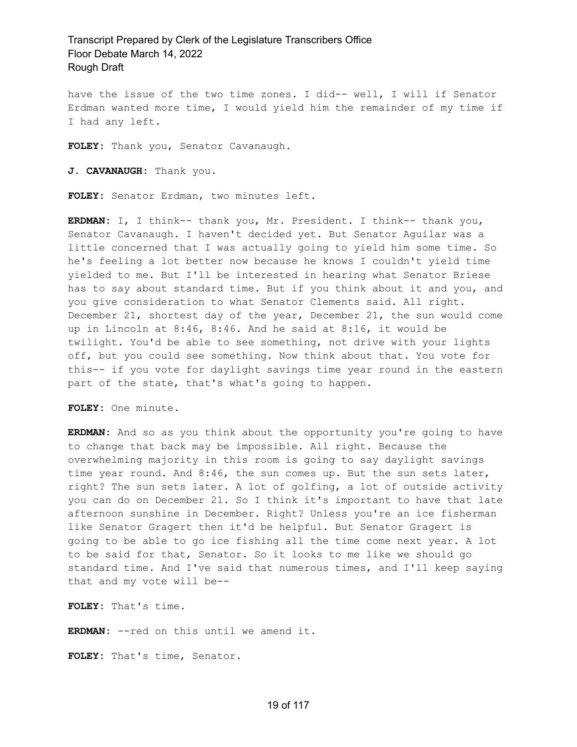have the issue of the two time zones. I did-- well, I will if Senator Erdman wanted more time, I would yield him the remainder of my time if I had any left.

**FOLEY:** Thank you, Senator Cavanaugh.

**J. CAVANAUGH:** Thank you.

**FOLEY:** Senator Erdman, two minutes left.

**ERDMAN:** I, I think-- thank you, Mr. President. I think-- thank you, Senator Cavanaugh. I haven't decided yet. But Senator Aguilar was a little concerned that I was actually going to yield him some time. So he's feeling a lot better now because he knows I couldn't yield time yielded to me. But I'll be interested in hearing what Senator Briese has to say about standard time. But if you think about it and you, and you give consideration to what Senator Clements said. All right. December 21, shortest day of the year, December 21, the sun would come up in Lincoln at 8:46, 8:46. And he said at 8:16, it would be twilight. You'd be able to see something, not drive with your lights off, but you could see something. Now think about that. You vote for this-- if you vote for daylight savings time year round in the eastern part of the state, that's what's going to happen.

**FOLEY:** One minute.

**ERDMAN:** And so as you think about the opportunity you're going to have to change that back may be impossible. All right. Because the overwhelming majority in this room is going to say daylight savings time year round. And 8:46, the sun comes up. But the sun sets later, right? The sun sets later. A lot of golfing, a lot of outside activity you can do on December 21. So I think it's important to have that late afternoon sunshine in December. Right? Unless you're an ice fisherman like Senator Gragert then it'd be helpful. But Senator Gragert is going to be able to go ice fishing all the time come next year. A lot to be said for that, Senator. So it looks to me like we should go standard time. And I've said that numerous times, and I'll keep saying that and my vote will be--

**FOLEY:** That's time.

**ERDMAN:** --red on this until we amend it.

**FOLEY:** That's time, Senator.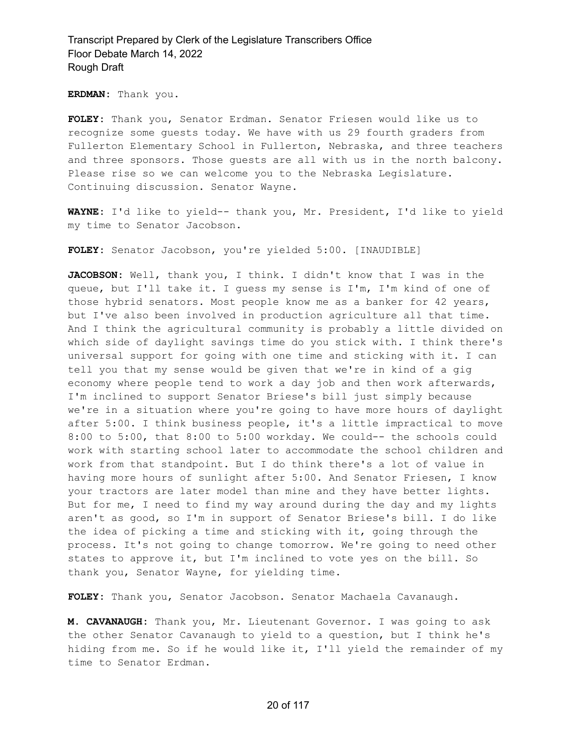**ERDMAN:** Thank you.

**FOLEY:** Thank you, Senator Erdman. Senator Friesen would like us to recognize some guests today. We have with us 29 fourth graders from Fullerton Elementary School in Fullerton, Nebraska, and three teachers and three sponsors. Those guests are all with us in the north balcony. Please rise so we can welcome you to the Nebraska Legislature. Continuing discussion. Senator Wayne.

**WAYNE:** I'd like to yield-- thank you, Mr. President, I'd like to yield my time to Senator Jacobson.

**FOLEY:** Senator Jacobson, you're yielded 5:00. [INAUDIBLE]

**JACOBSON:** Well, thank you, I think. I didn't know that I was in the queue, but I'll take it. I guess my sense is I'm, I'm kind of one of those hybrid senators. Most people know me as a banker for 42 years, but I've also been involved in production agriculture all that time. And I think the agricultural community is probably a little divided on which side of daylight savings time do you stick with. I think there's universal support for going with one time and sticking with it. I can tell you that my sense would be given that we're in kind of a gig economy where people tend to work a day job and then work afterwards, I'm inclined to support Senator Briese's bill just simply because we're in a situation where you're going to have more hours of daylight after 5:00. I think business people, it's a little impractical to move 8:00 to 5:00, that 8:00 to 5:00 workday. We could-- the schools could work with starting school later to accommodate the school children and work from that standpoint. But I do think there's a lot of value in having more hours of sunlight after 5:00. And Senator Friesen, I know your tractors are later model than mine and they have better lights. But for me, I need to find my way around during the day and my lights aren't as good, so I'm in support of Senator Briese's bill. I do like the idea of picking a time and sticking with it, going through the process. It's not going to change tomorrow. We're going to need other states to approve it, but I'm inclined to vote yes on the bill. So thank you, Senator Wayne, for yielding time.

**FOLEY:** Thank you, Senator Jacobson. Senator Machaela Cavanaugh.

**M. CAVANAUGH:** Thank you, Mr. Lieutenant Governor. I was going to ask the other Senator Cavanaugh to yield to a question, but I think he's hiding from me. So if he would like it, I'll yield the remainder of my time to Senator Erdman.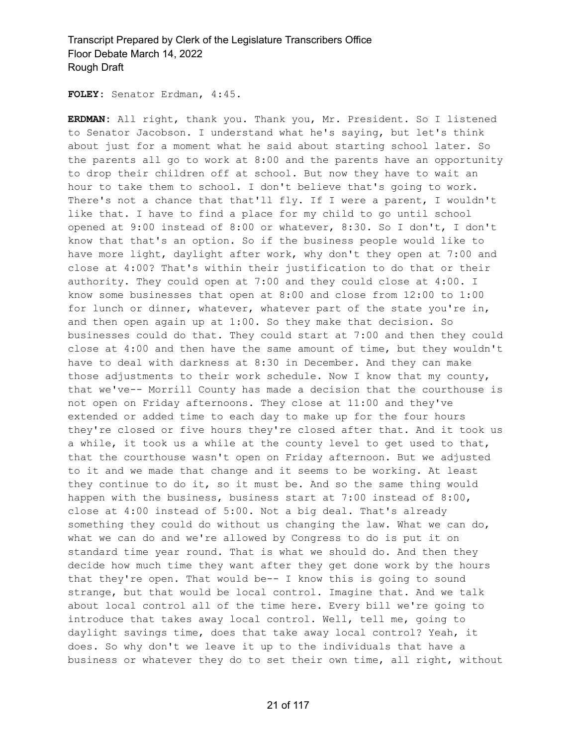**FOLEY:** Senator Erdman, 4:45.

**ERDMAN:** All right, thank you. Thank you, Mr. President. So I listened to Senator Jacobson. I understand what he's saying, but let's think about just for a moment what he said about starting school later. So the parents all go to work at 8:00 and the parents have an opportunity to drop their children off at school. But now they have to wait an hour to take them to school. I don't believe that's going to work. There's not a chance that that'll fly. If I were a parent, I wouldn't like that. I have to find a place for my child to go until school opened at 9:00 instead of 8:00 or whatever, 8:30. So I don't, I don't know that that's an option. So if the business people would like to have more light, daylight after work, why don't they open at 7:00 and close at 4:00? That's within their justification to do that or their authority. They could open at 7:00 and they could close at 4:00. I know some businesses that open at 8:00 and close from 12:00 to 1:00 for lunch or dinner, whatever, whatever part of the state you're in, and then open again up at 1:00. So they make that decision. So businesses could do that. They could start at 7:00 and then they could close at 4:00 and then have the same amount of time, but they wouldn't have to deal with darkness at 8:30 in December. And they can make those adjustments to their work schedule. Now I know that my county, that we've-- Morrill County has made a decision that the courthouse is not open on Friday afternoons. They close at 11:00 and they've extended or added time to each day to make up for the four hours they're closed or five hours they're closed after that. And it took us a while, it took us a while at the county level to get used to that, that the courthouse wasn't open on Friday afternoon. But we adjusted to it and we made that change and it seems to be working. At least they continue to do it, so it must be. And so the same thing would happen with the business, business start at 7:00 instead of 8:00, close at 4:00 instead of 5:00. Not a big deal. That's already something they could do without us changing the law. What we can do, what we can do and we're allowed by Congress to do is put it on standard time year round. That is what we should do. And then they decide how much time they want after they get done work by the hours that they're open. That would be-- I know this is going to sound strange, but that would be local control. Imagine that. And we talk about local control all of the time here. Every bill we're going to introduce that takes away local control. Well, tell me, going to daylight savings time, does that take away local control? Yeah, it does. So why don't we leave it up to the individuals that have a business or whatever they do to set their own time, all right, without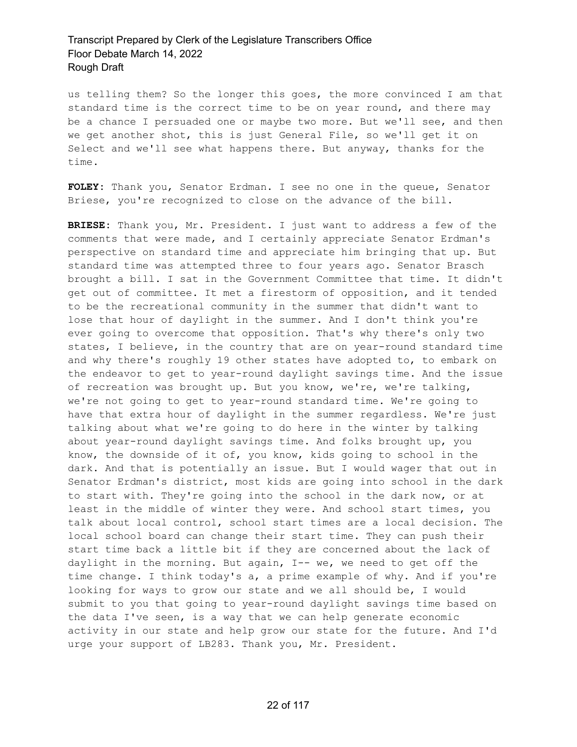us telling them? So the longer this goes, the more convinced I am that standard time is the correct time to be on year round, and there may be a chance I persuaded one or maybe two more. But we'll see, and then we get another shot, this is just General File, so we'll get it on Select and we'll see what happens there. But anyway, thanks for the time.

**FOLEY:** Thank you, Senator Erdman. I see no one in the queue, Senator Briese, you're recognized to close on the advance of the bill.

**BRIESE:** Thank you, Mr. President. I just want to address a few of the comments that were made, and I certainly appreciate Senator Erdman's perspective on standard time and appreciate him bringing that up. But standard time was attempted three to four years ago. Senator Brasch brought a bill. I sat in the Government Committee that time. It didn't get out of committee. It met a firestorm of opposition, and it tended to be the recreational community in the summer that didn't want to lose that hour of daylight in the summer. And I don't think you're ever going to overcome that opposition. That's why there's only two states, I believe, in the country that are on year-round standard time and why there's roughly 19 other states have adopted to, to embark on the endeavor to get to year-round daylight savings time. And the issue of recreation was brought up. But you know, we're, we're talking, we're not going to get to year-round standard time. We're going to have that extra hour of daylight in the summer regardless. We're just talking about what we're going to do here in the winter by talking about year-round daylight savings time. And folks brought up, you know, the downside of it of, you know, kids going to school in the dark. And that is potentially an issue. But I would wager that out in Senator Erdman's district, most kids are going into school in the dark to start with. They're going into the school in the dark now, or at least in the middle of winter they were. And school start times, you talk about local control, school start times are a local decision. The local school board can change their start time. They can push their start time back a little bit if they are concerned about the lack of daylight in the morning. But again, I-- we, we need to get off the time change. I think today's a, a prime example of why. And if you're looking for ways to grow our state and we all should be, I would submit to you that going to year-round daylight savings time based on the data I've seen, is a way that we can help generate economic activity in our state and help grow our state for the future. And I'd urge your support of LB283. Thank you, Mr. President.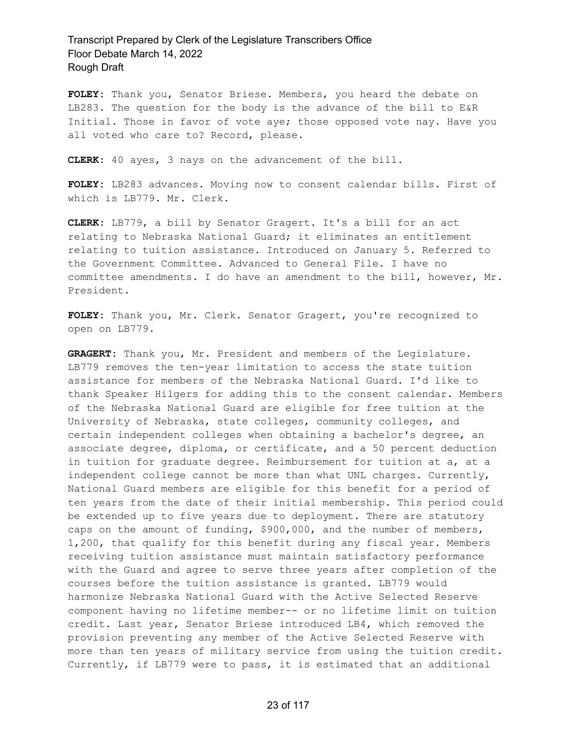**FOLEY:** Thank you, Senator Briese. Members, you heard the debate on LB283. The question for the body is the advance of the bill to E&R Initial. Those in favor of vote aye; those opposed vote nay. Have you all voted who care to? Record, please.

**CLERK:** 40 ayes, 3 nays on the advancement of the bill.

**FOLEY:** LB283 advances. Moving now to consent calendar bills. First of which is LB779. Mr. Clerk.

**CLERK:** LB779, a bill by Senator Gragert. It's a bill for an act relating to Nebraska National Guard; it eliminates an entitlement relating to tuition assistance. Introduced on January 5. Referred to the Government Committee. Advanced to General File. I have no committee amendments. I do have an amendment to the bill, however, Mr. President.

**FOLEY:** Thank you, Mr. Clerk. Senator Gragert, you're recognized to open on LB779.

**GRAGERT:** Thank you, Mr. President and members of the Legislature. LB779 removes the ten-year limitation to access the state tuition assistance for members of the Nebraska National Guard. I'd like to thank Speaker Hilgers for adding this to the consent calendar. Members of the Nebraska National Guard are eligible for free tuition at the University of Nebraska, state colleges, community colleges, and certain independent colleges when obtaining a bachelor's degree, an associate degree, diploma, or certificate, and a 50 percent deduction in tuition for graduate degree. Reimbursement for tuition at a, at a independent college cannot be more than what UNL charges. Currently, National Guard members are eligible for this benefit for a period of ten years from the date of their initial membership. This period could be extended up to five years due to deployment. There are statutory caps on the amount of funding, \$900,000, and the number of members, 1,200, that qualify for this benefit during any fiscal year. Members receiving tuition assistance must maintain satisfactory performance with the Guard and agree to serve three years after completion of the courses before the tuition assistance is granted. LB779 would harmonize Nebraska National Guard with the Active Selected Reserve component having no lifetime member-- or no lifetime limit on tuition credit. Last year, Senator Briese introduced LB4, which removed the provision preventing any member of the Active Selected Reserve with more than ten years of military service from using the tuition credit. Currently, if LB779 were to pass, it is estimated that an additional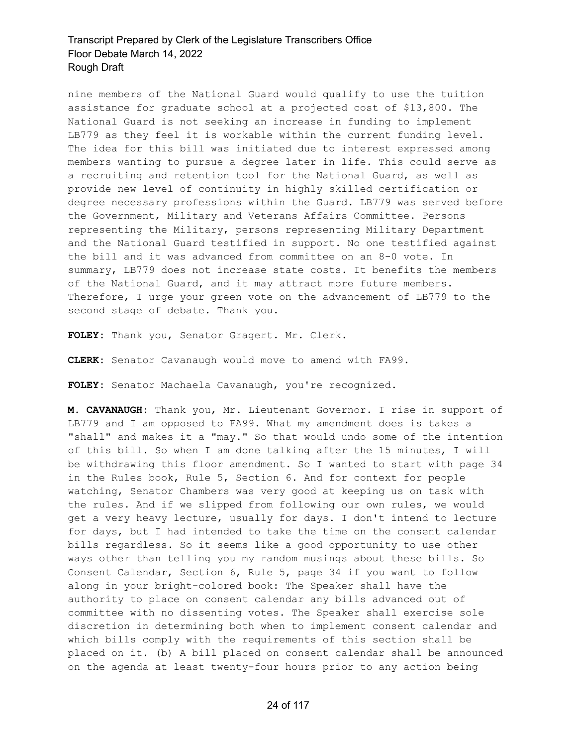nine members of the National Guard would qualify to use the tuition assistance for graduate school at a projected cost of \$13,800. The National Guard is not seeking an increase in funding to implement LB779 as they feel it is workable within the current funding level. The idea for this bill was initiated due to interest expressed among members wanting to pursue a degree later in life. This could serve as a recruiting and retention tool for the National Guard, as well as provide new level of continuity in highly skilled certification or degree necessary professions within the Guard. LB779 was served before the Government, Military and Veterans Affairs Committee. Persons representing the Military, persons representing Military Department and the National Guard testified in support. No one testified against the bill and it was advanced from committee on an 8-0 vote. In summary, LB779 does not increase state costs. It benefits the members of the National Guard, and it may attract more future members. Therefore, I urge your green vote on the advancement of LB779 to the second stage of debate. Thank you.

**FOLEY:** Thank you, Senator Gragert. Mr. Clerk.

**CLERK:** Senator Cavanaugh would move to amend with FA99.

**FOLEY:** Senator Machaela Cavanaugh, you're recognized.

**M. CAVANAUGH:** Thank you, Mr. Lieutenant Governor. I rise in support of LB779 and I am opposed to FA99. What my amendment does is takes a "shall" and makes it a "may." So that would undo some of the intention of this bill. So when I am done talking after the 15 minutes, I will be withdrawing this floor amendment. So I wanted to start with page 34 in the Rules book, Rule 5, Section 6. And for context for people watching, Senator Chambers was very good at keeping us on task with the rules. And if we slipped from following our own rules, we would get a very heavy lecture, usually for days. I don't intend to lecture for days, but I had intended to take the time on the consent calendar bills regardless. So it seems like a good opportunity to use other ways other than telling you my random musings about these bills. So Consent Calendar, Section 6, Rule 5, page 34 if you want to follow along in your bright-colored book: The Speaker shall have the authority to place on consent calendar any bills advanced out of committee with no dissenting votes. The Speaker shall exercise sole discretion in determining both when to implement consent calendar and which bills comply with the requirements of this section shall be placed on it. (b) A bill placed on consent calendar shall be announced on the agenda at least twenty-four hours prior to any action being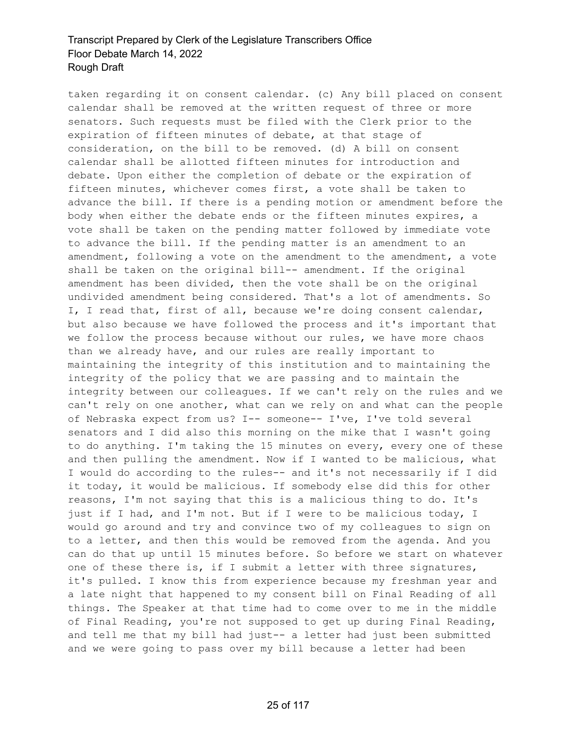taken regarding it on consent calendar. (c) Any bill placed on consent calendar shall be removed at the written request of three or more senators. Such requests must be filed with the Clerk prior to the expiration of fifteen minutes of debate, at that stage of consideration, on the bill to be removed. (d) A bill on consent calendar shall be allotted fifteen minutes for introduction and debate. Upon either the completion of debate or the expiration of fifteen minutes, whichever comes first, a vote shall be taken to advance the bill. If there is a pending motion or amendment before the body when either the debate ends or the fifteen minutes expires, a vote shall be taken on the pending matter followed by immediate vote to advance the bill. If the pending matter is an amendment to an amendment, following a vote on the amendment to the amendment, a vote shall be taken on the original bill-- amendment. If the original amendment has been divided, then the vote shall be on the original undivided amendment being considered. That's a lot of amendments. So I, I read that, first of all, because we're doing consent calendar, but also because we have followed the process and it's important that we follow the process because without our rules, we have more chaos than we already have, and our rules are really important to maintaining the integrity of this institution and to maintaining the integrity of the policy that we are passing and to maintain the integrity between our colleagues. If we can't rely on the rules and we can't rely on one another, what can we rely on and what can the people of Nebraska expect from us? I-- someone-- I've, I've told several senators and I did also this morning on the mike that I wasn't going to do anything. I'm taking the 15 minutes on every, every one of these and then pulling the amendment. Now if I wanted to be malicious, what I would do according to the rules-- and it's not necessarily if I did it today, it would be malicious. If somebody else did this for other reasons, I'm not saying that this is a malicious thing to do. It's just if I had, and I'm not. But if I were to be malicious today, I would go around and try and convince two of my colleagues to sign on to a letter, and then this would be removed from the agenda. And you can do that up until 15 minutes before. So before we start on whatever one of these there is, if I submit a letter with three signatures, it's pulled. I know this from experience because my freshman year and a late night that happened to my consent bill on Final Reading of all things. The Speaker at that time had to come over to me in the middle of Final Reading, you're not supposed to get up during Final Reading, and tell me that my bill had just-- a letter had just been submitted and we were going to pass over my bill because a letter had been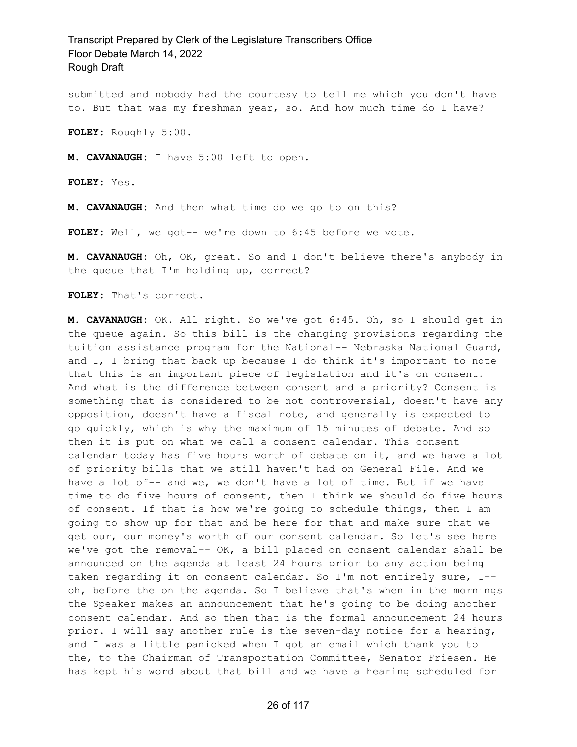submitted and nobody had the courtesy to tell me which you don't have to. But that was my freshman year, so. And how much time do I have?

**FOLEY:** Roughly 5:00.

**M. CAVANAUGH:** I have 5:00 left to open.

**FOLEY:** Yes.

**M. CAVANAUGH:** And then what time do we go to on this?

**FOLEY:** Well, we got-- we're down to 6:45 before we vote.

**M. CAVANAUGH:** Oh, OK, great. So and I don't believe there's anybody in the queue that I'm holding up, correct?

**FOLEY:** That's correct.

**M. CAVANAUGH:** OK. All right. So we've got 6:45. Oh, so I should get in the queue again. So this bill is the changing provisions regarding the tuition assistance program for the National-- Nebraska National Guard, and I, I bring that back up because I do think it's important to note that this is an important piece of legislation and it's on consent. And what is the difference between consent and a priority? Consent is something that is considered to be not controversial, doesn't have any opposition, doesn't have a fiscal note, and generally is expected to go quickly, which is why the maximum of 15 minutes of debate. And so then it is put on what we call a consent calendar. This consent calendar today has five hours worth of debate on it, and we have a lot of priority bills that we still haven't had on General File. And we have a lot of-- and we, we don't have a lot of time. But if we have time to do five hours of consent, then I think we should do five hours of consent. If that is how we're going to schedule things, then I am going to show up for that and be here for that and make sure that we get our, our money's worth of our consent calendar. So let's see here we've got the removal-- OK, a bill placed on consent calendar shall be announced on the agenda at least 24 hours prior to any action being taken regarding it on consent calendar. So I'm not entirely sure, I- oh, before the on the agenda. So I believe that's when in the mornings the Speaker makes an announcement that he's going to be doing another consent calendar. And so then that is the formal announcement 24 hours prior. I will say another rule is the seven-day notice for a hearing, and I was a little panicked when I got an email which thank you to the, to the Chairman of Transportation Committee, Senator Friesen. He has kept his word about that bill and we have a hearing scheduled for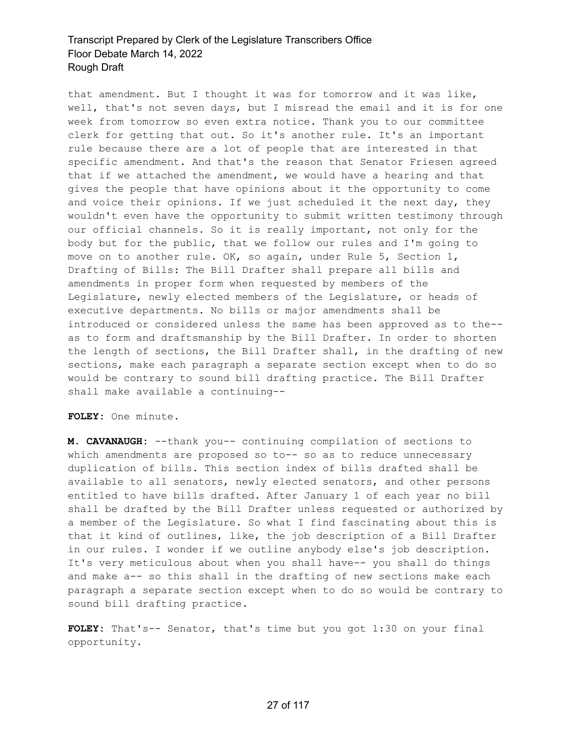that amendment. But I thought it was for tomorrow and it was like, well, that's not seven days, but I misread the email and it is for one week from tomorrow so even extra notice. Thank you to our committee clerk for getting that out. So it's another rule. It's an important rule because there are a lot of people that are interested in that specific amendment. And that's the reason that Senator Friesen agreed that if we attached the amendment, we would have a hearing and that gives the people that have opinions about it the opportunity to come and voice their opinions. If we just scheduled it the next day, they wouldn't even have the opportunity to submit written testimony through our official channels. So it is really important, not only for the body but for the public, that we follow our rules and I'm going to move on to another rule. OK, so again, under Rule 5, Section 1, Drafting of Bills: The Bill Drafter shall prepare all bills and amendments in proper form when requested by members of the Legislature, newly elected members of the Legislature, or heads of executive departments. No bills or major amendments shall be introduced or considered unless the same has been approved as to the- as to form and draftsmanship by the Bill Drafter. In order to shorten the length of sections, the Bill Drafter shall, in the drafting of new sections, make each paragraph a separate section except when to do so would be contrary to sound bill drafting practice. The Bill Drafter shall make available a continuing--

**FOLEY:** One minute.

**M. CAVANAUGH:** --thank you-- continuing compilation of sections to which amendments are proposed so to-- so as to reduce unnecessary duplication of bills. This section index of bills drafted shall be available to all senators, newly elected senators, and other persons entitled to have bills drafted. After January 1 of each year no bill shall be drafted by the Bill Drafter unless requested or authorized by a member of the Legislature. So what I find fascinating about this is that it kind of outlines, like, the job description of a Bill Drafter in our rules. I wonder if we outline anybody else's job description. It's very meticulous about when you shall have-- you shall do things and make a-- so this shall in the drafting of new sections make each paragraph a separate section except when to do so would be contrary to sound bill drafting practice.

**FOLEY:** That's-- Senator, that's time but you got 1:30 on your final opportunity.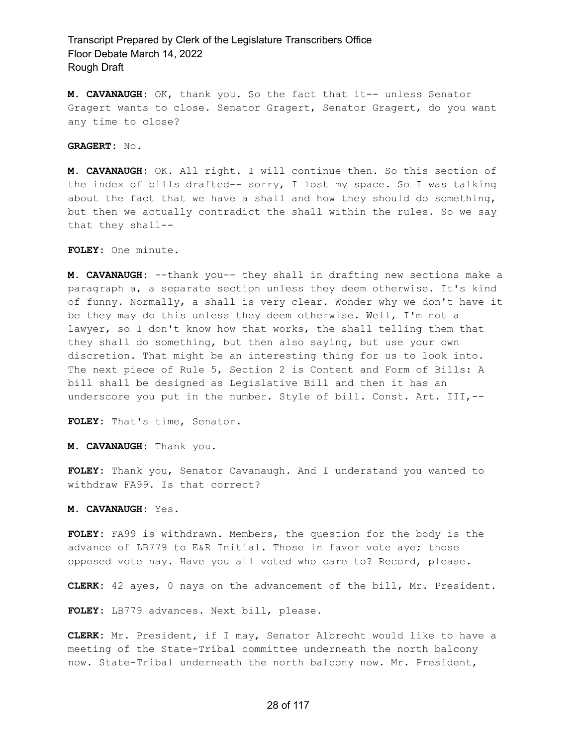**M. CAVANAUGH:** OK, thank you. So the fact that it-- unless Senator Gragert wants to close. Senator Gragert, Senator Gragert, do you want any time to close?

**GRAGERT:** No.

**M. CAVANAUGH:** OK. All right. I will continue then. So this section of the index of bills drafted-- sorry, I lost my space. So I was talking about the fact that we have a shall and how they should do something, but then we actually contradict the shall within the rules. So we say that they shall--

**FOLEY:** One minute.

**M. CAVANAUGH:** --thank you-- they shall in drafting new sections make a paragraph a, a separate section unless they deem otherwise. It's kind of funny. Normally, a shall is very clear. Wonder why we don't have it be they may do this unless they deem otherwise. Well, I'm not a lawyer, so I don't know how that works, the shall telling them that they shall do something, but then also saying, but use your own discretion. That might be an interesting thing for us to look into. The next piece of Rule 5, Section 2 is Content and Form of Bills: A bill shall be designed as Legislative Bill and then it has an underscore you put in the number. Style of bill. Const. Art. III,--

**FOLEY:** That's time, Senator.

**M. CAVANAUGH:** Thank you.

**FOLEY:** Thank you, Senator Cavanaugh. And I understand you wanted to withdraw FA99. Is that correct?

**M. CAVANAUGH:** Yes.

**FOLEY:** FA99 is withdrawn. Members, the question for the body is the advance of LB779 to E&R Initial. Those in favor vote aye; those opposed vote nay. Have you all voted who care to? Record, please.

**CLERK:** 42 ayes, 0 nays on the advancement of the bill, Mr. President.

**FOLEY:** LB779 advances. Next bill, please.

**CLERK:** Mr. President, if I may, Senator Albrecht would like to have a meeting of the State-Tribal committee underneath the north balcony now. State-Tribal underneath the north balcony now. Mr. President,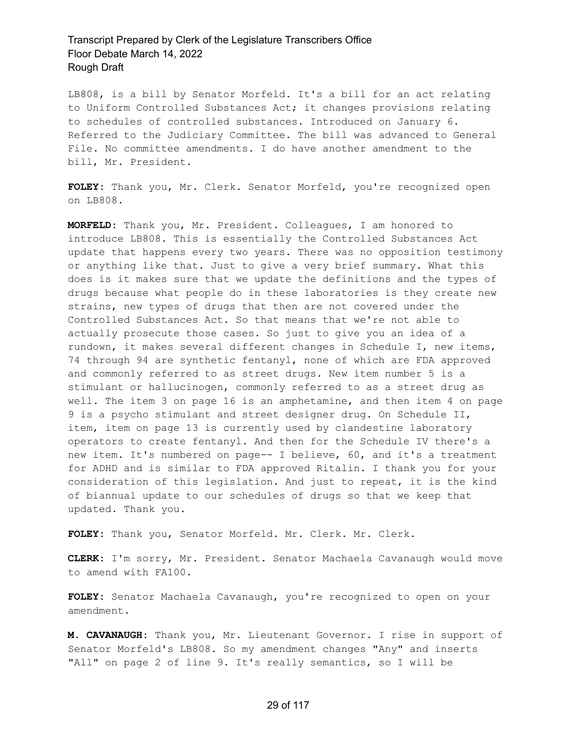LB808, is a bill by Senator Morfeld. It's a bill for an act relating to Uniform Controlled Substances Act; it changes provisions relating to schedules of controlled substances. Introduced on January 6. Referred to the Judiciary Committee. The bill was advanced to General File. No committee amendments. I do have another amendment to the bill, Mr. President.

**FOLEY:** Thank you, Mr. Clerk. Senator Morfeld, you're recognized open on LB808.

**MORFELD:** Thank you, Mr. President. Colleagues, I am honored to introduce LB808. This is essentially the Controlled Substances Act update that happens every two years. There was no opposition testimony or anything like that. Just to give a very brief summary. What this does is it makes sure that we update the definitions and the types of drugs because what people do in these laboratories is they create new strains, new types of drugs that then are not covered under the Controlled Substances Act. So that means that we're not able to actually prosecute those cases. So just to give you an idea of a rundown, it makes several different changes in Schedule I, new items, 74 through 94 are synthetic fentanyl, none of which are FDA approved and commonly referred to as street drugs. New item number 5 is a stimulant or hallucinogen, commonly referred to as a street drug as well. The item 3 on page 16 is an amphetamine, and then item 4 on page 9 is a psycho stimulant and street designer drug. On Schedule II, item, item on page 13 is currently used by clandestine laboratory operators to create fentanyl. And then for the Schedule IV there's a new item. It's numbered on page-- I believe, 60, and it's a treatment for ADHD and is similar to FDA approved Ritalin. I thank you for your consideration of this legislation. And just to repeat, it is the kind of biannual update to our schedules of drugs so that we keep that updated. Thank you.

**FOLEY:** Thank you, Senator Morfeld. Mr. Clerk. Mr. Clerk.

**CLERK:** I'm sorry, Mr. President. Senator Machaela Cavanaugh would move to amend with FA100.

**FOLEY:** Senator Machaela Cavanaugh, you're recognized to open on your amendment.

**M. CAVANAUGH:** Thank you, Mr. Lieutenant Governor. I rise in support of Senator Morfeld's LB808. So my amendment changes "Any" and inserts "All" on page 2 of line 9. It's really semantics, so I will be

#### 29 of 117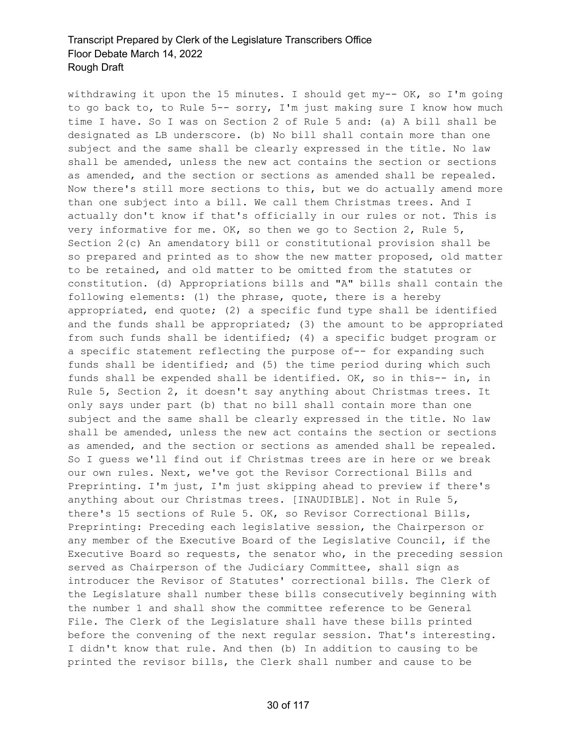withdrawing it upon the 15 minutes. I should get my-- OK, so I'm going to go back to, to Rule 5-- sorry, I'm just making sure I know how much time I have. So I was on Section 2 of Rule 5 and: (a) A bill shall be designated as LB underscore. (b) No bill shall contain more than one subject and the same shall be clearly expressed in the title. No law shall be amended, unless the new act contains the section or sections as amended, and the section or sections as amended shall be repealed. Now there's still more sections to this, but we do actually amend more than one subject into a bill. We call them Christmas trees. And I actually don't know if that's officially in our rules or not. This is very informative for me. OK, so then we go to Section 2, Rule 5, Section 2(c) An amendatory bill or constitutional provision shall be so prepared and printed as to show the new matter proposed, old matter to be retained, and old matter to be omitted from the statutes or constitution. (d) Appropriations bills and "A" bills shall contain the following elements: (1) the phrase, quote, there is a hereby appropriated, end quote; (2) a specific fund type shall be identified and the funds shall be appropriated; (3) the amount to be appropriated from such funds shall be identified; (4) a specific budget program or a specific statement reflecting the purpose of-- for expanding such funds shall be identified; and (5) the time period during which such funds shall be expended shall be identified. OK, so in this-- in, in Rule 5, Section 2, it doesn't say anything about Christmas trees. It only says under part (b) that no bill shall contain more than one subject and the same shall be clearly expressed in the title. No law shall be amended, unless the new act contains the section or sections as amended, and the section or sections as amended shall be repealed. So I guess we'll find out if Christmas trees are in here or we break our own rules. Next, we've got the Revisor Correctional Bills and Preprinting. I'm just, I'm just skipping ahead to preview if there's anything about our Christmas trees. [INAUDIBLE]. Not in Rule 5, there's 15 sections of Rule 5. OK, so Revisor Correctional Bills, Preprinting: Preceding each legislative session, the Chairperson or any member of the Executive Board of the Legislative Council, if the Executive Board so requests, the senator who, in the preceding session served as Chairperson of the Judiciary Committee, shall sign as introducer the Revisor of Statutes' correctional bills. The Clerk of the Legislature shall number these bills consecutively beginning with the number 1 and shall show the committee reference to be General File. The Clerk of the Legislature shall have these bills printed before the convening of the next regular session. That's interesting. I didn't know that rule. And then (b) In addition to causing to be printed the revisor bills, the Clerk shall number and cause to be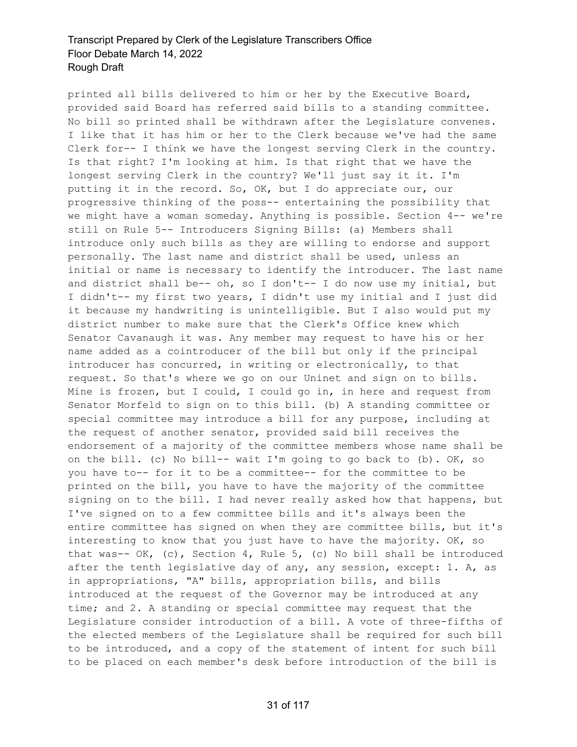printed all bills delivered to him or her by the Executive Board, provided said Board has referred said bills to a standing committee. No bill so printed shall be withdrawn after the Legislature convenes. I like that it has him or her to the Clerk because we've had the same Clerk for-- I think we have the longest serving Clerk in the country. Is that right? I'm looking at him. Is that right that we have the longest serving Clerk in the country? We'll just say it it. I'm putting it in the record. So, OK, but I do appreciate our, our progressive thinking of the poss-- entertaining the possibility that we might have a woman someday. Anything is possible. Section 4-- we're still on Rule 5-- Introducers Signing Bills: (a) Members shall introduce only such bills as they are willing to endorse and support personally. The last name and district shall be used, unless an initial or name is necessary to identify the introducer. The last name and district shall be-- oh, so I don't-- I do now use my initial, but I didn't-- my first two years, I didn't use my initial and I just did it because my handwriting is unintelligible. But I also would put my district number to make sure that the Clerk's Office knew which Senator Cavanaugh it was. Any member may request to have his or her name added as a cointroducer of the bill but only if the principal introducer has concurred, in writing or electronically, to that request. So that's where we go on our Uninet and sign on to bills. Mine is frozen, but I could, I could go in, in here and request from Senator Morfeld to sign on to this bill. (b) A standing committee or special committee may introduce a bill for any purpose, including at the request of another senator, provided said bill receives the endorsement of a majority of the committee members whose name shall be on the bill. (c) No bill-- wait I'm going to go back to (b). OK, so you have to-- for it to be a committee-- for the committee to be printed on the bill, you have to have the majority of the committee signing on to the bill. I had never really asked how that happens, but I've signed on to a few committee bills and it's always been the entire committee has signed on when they are committee bills, but it's interesting to know that you just have to have the majority. OK, so that was--  $OK$ , (c), Section 4, Rule 5, (c) No bill shall be introduced after the tenth legislative day of any, any session, except: 1. A, as in appropriations, "A" bills, appropriation bills, and bills introduced at the request of the Governor may be introduced at any time; and 2. A standing or special committee may request that the Legislature consider introduction of a bill. A vote of three-fifths of the elected members of the Legislature shall be required for such bill to be introduced, and a copy of the statement of intent for such bill to be placed on each member's desk before introduction of the bill is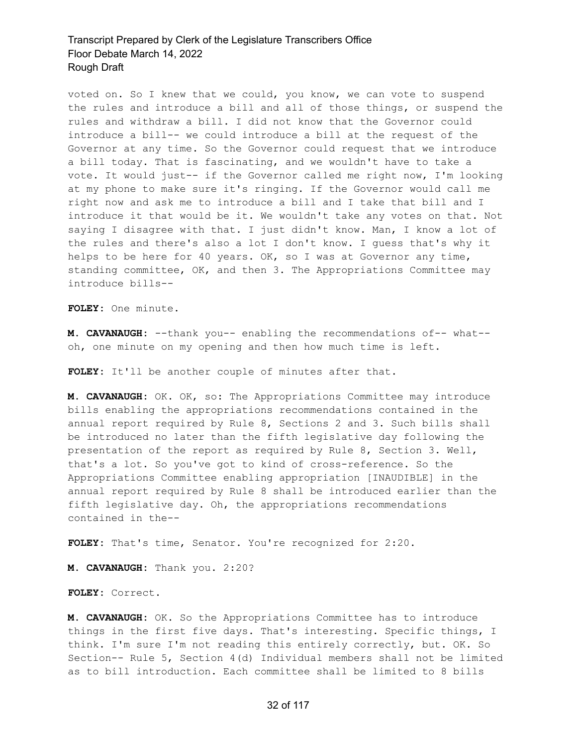voted on. So I knew that we could, you know, we can vote to suspend the rules and introduce a bill and all of those things, or suspend the rules and withdraw a bill. I did not know that the Governor could introduce a bill-- we could introduce a bill at the request of the Governor at any time. So the Governor could request that we introduce a bill today. That is fascinating, and we wouldn't have to take a vote. It would just-- if the Governor called me right now, I'm looking at my phone to make sure it's ringing. If the Governor would call me right now and ask me to introduce a bill and I take that bill and I introduce it that would be it. We wouldn't take any votes on that. Not saying I disagree with that. I just didn't know. Man, I know a lot of the rules and there's also a lot I don't know. I guess that's why it helps to be here for 40 years. OK, so I was at Governor any time, standing committee, OK, and then 3. The Appropriations Committee may introduce bills--

**FOLEY:** One minute.

**M. CAVANAUGH:** --thank you-- enabling the recommendations of-- what- oh, one minute on my opening and then how much time is left.

**FOLEY:** It'll be another couple of minutes after that.

**M. CAVANAUGH:** OK. OK, so: The Appropriations Committee may introduce bills enabling the appropriations recommendations contained in the annual report required by Rule 8, Sections 2 and 3. Such bills shall be introduced no later than the fifth legislative day following the presentation of the report as required by Rule 8, Section 3. Well, that's a lot. So you've got to kind of cross-reference. So the Appropriations Committee enabling appropriation [INAUDIBLE] in the annual report required by Rule 8 shall be introduced earlier than the fifth legislative day. Oh, the appropriations recommendations contained in the--

**FOLEY:** That's time, Senator. You're recognized for 2:20.

**M. CAVANAUGH:** Thank you. 2:20?

**FOLEY:** Correct.

**M. CAVANAUGH:** OK. So the Appropriations Committee has to introduce things in the first five days. That's interesting. Specific things, I think. I'm sure I'm not reading this entirely correctly, but. OK. So Section-- Rule 5, Section 4(d) Individual members shall not be limited as to bill introduction. Each committee shall be limited to 8 bills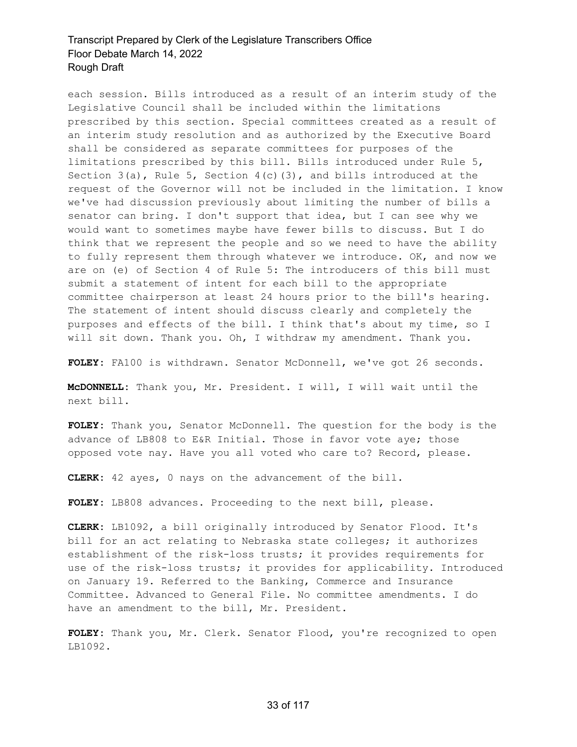each session. Bills introduced as a result of an interim study of the Legislative Council shall be included within the limitations prescribed by this section. Special committees created as a result of an interim study resolution and as authorized by the Executive Board shall be considered as separate committees for purposes of the limitations prescribed by this bill. Bills introduced under Rule 5, Section  $3(a)$ , Rule  $5$ , Section  $4(c)(3)$ , and bills introduced at the request of the Governor will not be included in the limitation. I know we've had discussion previously about limiting the number of bills a senator can bring. I don't support that idea, but I can see why we would want to sometimes maybe have fewer bills to discuss. But I do think that we represent the people and so we need to have the ability to fully represent them through whatever we introduce. OK, and now we are on (e) of Section 4 of Rule 5: The introducers of this bill must submit a statement of intent for each bill to the appropriate committee chairperson at least 24 hours prior to the bill's hearing. The statement of intent should discuss clearly and completely the purposes and effects of the bill. I think that's about my time, so I will sit down. Thank you. Oh, I withdraw my amendment. Thank you.

**FOLEY:** FA100 is withdrawn. Senator McDonnell, we've got 26 seconds.

**McDONNELL:** Thank you, Mr. President. I will, I will wait until the next bill.

**FOLEY:** Thank you, Senator McDonnell. The question for the body is the advance of LB808 to E&R Initial. Those in favor vote aye; those opposed vote nay. Have you all voted who care to? Record, please.

**CLERK:** 42 ayes, 0 nays on the advancement of the bill.

**FOLEY:** LB808 advances. Proceeding to the next bill, please.

**CLERK:** LB1092, a bill originally introduced by Senator Flood. It's bill for an act relating to Nebraska state colleges; it authorizes establishment of the risk-loss trusts; it provides requirements for use of the risk-loss trusts; it provides for applicability. Introduced on January 19. Referred to the Banking, Commerce and Insurance Committee. Advanced to General File. No committee amendments. I do have an amendment to the bill, Mr. President.

**FOLEY:** Thank you, Mr. Clerk. Senator Flood, you're recognized to open LB1092.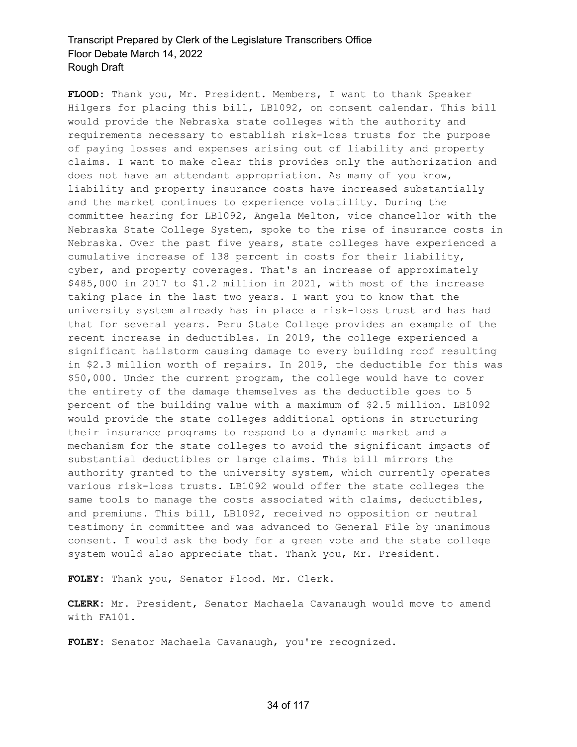**FLOOD:** Thank you, Mr. President. Members, I want to thank Speaker Hilgers for placing this bill, LB1092, on consent calendar. This bill would provide the Nebraska state colleges with the authority and requirements necessary to establish risk-loss trusts for the purpose of paying losses and expenses arising out of liability and property claims. I want to make clear this provides only the authorization and does not have an attendant appropriation. As many of you know, liability and property insurance costs have increased substantially and the market continues to experience volatility. During the committee hearing for LB1092, Angela Melton, vice chancellor with the Nebraska State College System, spoke to the rise of insurance costs in Nebraska. Over the past five years, state colleges have experienced a cumulative increase of 138 percent in costs for their liability, cyber, and property coverages. That's an increase of approximately \$485,000 in 2017 to \$1.2 million in 2021, with most of the increase taking place in the last two years. I want you to know that the university system already has in place a risk-loss trust and has had that for several years. Peru State College provides an example of the recent increase in deductibles. In 2019, the college experienced a significant hailstorm causing damage to every building roof resulting in \$2.3 million worth of repairs. In 2019, the deductible for this was \$50,000. Under the current program, the college would have to cover the entirety of the damage themselves as the deductible goes to 5 percent of the building value with a maximum of \$2.5 million. LB1092 would provide the state colleges additional options in structuring their insurance programs to respond to a dynamic market and a mechanism for the state colleges to avoid the significant impacts of substantial deductibles or large claims. This bill mirrors the authority granted to the university system, which currently operates various risk-loss trusts. LB1092 would offer the state colleges the same tools to manage the costs associated with claims, deductibles, and premiums. This bill, LB1092, received no opposition or neutral testimony in committee and was advanced to General File by unanimous consent. I would ask the body for a green vote and the state college system would also appreciate that. Thank you, Mr. President.

**FOLEY:** Thank you, Senator Flood. Mr. Clerk.

**CLERK:** Mr. President, Senator Machaela Cavanaugh would move to amend with FA101.

**FOLEY:** Senator Machaela Cavanaugh, you're recognized.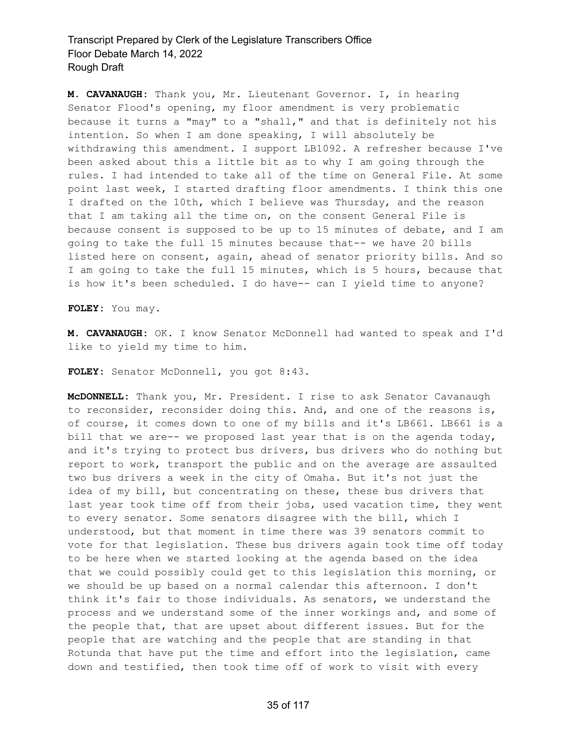**M. CAVANAUGH:** Thank you, Mr. Lieutenant Governor. I, in hearing Senator Flood's opening, my floor amendment is very problematic because it turns a "may" to a "shall," and that is definitely not his intention. So when I am done speaking, I will absolutely be withdrawing this amendment. I support LB1092. A refresher because I've been asked about this a little bit as to why I am going through the rules. I had intended to take all of the time on General File. At some point last week, I started drafting floor amendments. I think this one I drafted on the 10th, which I believe was Thursday, and the reason that I am taking all the time on, on the consent General File is because consent is supposed to be up to 15 minutes of debate, and I am going to take the full 15 minutes because that-- we have 20 bills listed here on consent, again, ahead of senator priority bills. And so I am going to take the full 15 minutes, which is 5 hours, because that is how it's been scheduled. I do have-- can I yield time to anyone?

**FOLEY:** You may.

**M. CAVANAUGH:** OK. I know Senator McDonnell had wanted to speak and I'd like to yield my time to him.

**FOLEY:** Senator McDonnell, you got 8:43.

**McDONNELL:** Thank you, Mr. President. I rise to ask Senator Cavanaugh to reconsider, reconsider doing this. And, and one of the reasons is, of course, it comes down to one of my bills and it's LB661. LB661 is a bill that we are-- we proposed last year that is on the agenda today, and it's trying to protect bus drivers, bus drivers who do nothing but report to work, transport the public and on the average are assaulted two bus drivers a week in the city of Omaha. But it's not just the idea of my bill, but concentrating on these, these bus drivers that last year took time off from their jobs, used vacation time, they went to every senator. Some senators disagree with the bill, which I understood, but that moment in time there was 39 senators commit to vote for that legislation. These bus drivers again took time off today to be here when we started looking at the agenda based on the idea that we could possibly could get to this legislation this morning, or we should be up based on a normal calendar this afternoon. I don't think it's fair to those individuals. As senators, we understand the process and we understand some of the inner workings and, and some of the people that, that are upset about different issues. But for the people that are watching and the people that are standing in that Rotunda that have put the time and effort into the legislation, came down and testified, then took time off of work to visit with every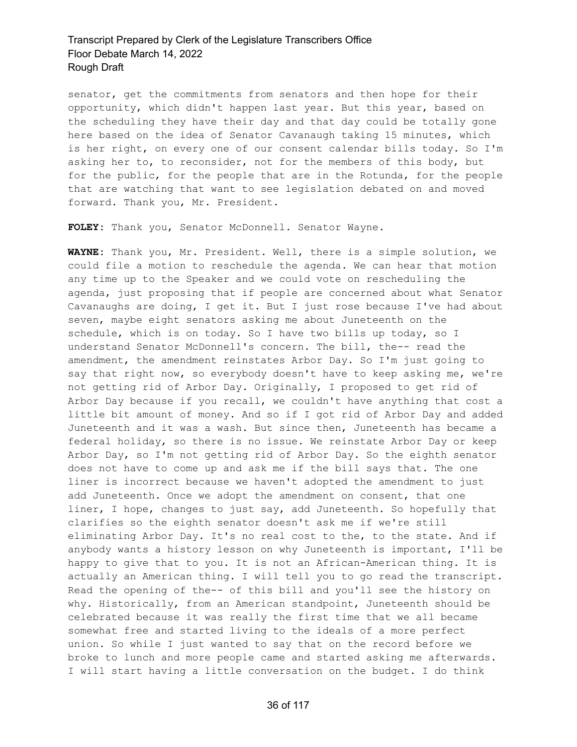senator, get the commitments from senators and then hope for their opportunity, which didn't happen last year. But this year, based on the scheduling they have their day and that day could be totally gone here based on the idea of Senator Cavanaugh taking 15 minutes, which is her right, on every one of our consent calendar bills today. So I'm asking her to, to reconsider, not for the members of this body, but for the public, for the people that are in the Rotunda, for the people that are watching that want to see legislation debated on and moved forward. Thank you, Mr. President.

**FOLEY:** Thank you, Senator McDonnell. Senator Wayne.

**WAYNE:** Thank you, Mr. President. Well, there is a simple solution, we could file a motion to reschedule the agenda. We can hear that motion any time up to the Speaker and we could vote on rescheduling the agenda, just proposing that if people are concerned about what Senator Cavanaughs are doing, I get it. But I just rose because I've had about seven, maybe eight senators asking me about Juneteenth on the schedule, which is on today. So I have two bills up today, so I understand Senator McDonnell's concern. The bill, the-- read the amendment, the amendment reinstates Arbor Day. So I'm just going to say that right now, so everybody doesn't have to keep asking me, we're not getting rid of Arbor Day. Originally, I proposed to get rid of Arbor Day because if you recall, we couldn't have anything that cost a little bit amount of money. And so if I got rid of Arbor Day and added Juneteenth and it was a wash. But since then, Juneteenth has became a federal holiday, so there is no issue. We reinstate Arbor Day or keep Arbor Day, so I'm not getting rid of Arbor Day. So the eighth senator does not have to come up and ask me if the bill says that. The one liner is incorrect because we haven't adopted the amendment to just add Juneteenth. Once we adopt the amendment on consent, that one liner, I hope, changes to just say, add Juneteenth. So hopefully that clarifies so the eighth senator doesn't ask me if we're still eliminating Arbor Day. It's no real cost to the, to the state. And if anybody wants a history lesson on why Juneteenth is important, I'll be happy to give that to you. It is not an African-American thing. It is actually an American thing. I will tell you to go read the transcript. Read the opening of the-- of this bill and you'll see the history on why. Historically, from an American standpoint, Juneteenth should be celebrated because it was really the first time that we all became somewhat free and started living to the ideals of a more perfect union. So while I just wanted to say that on the record before we broke to lunch and more people came and started asking me afterwards. I will start having a little conversation on the budget. I do think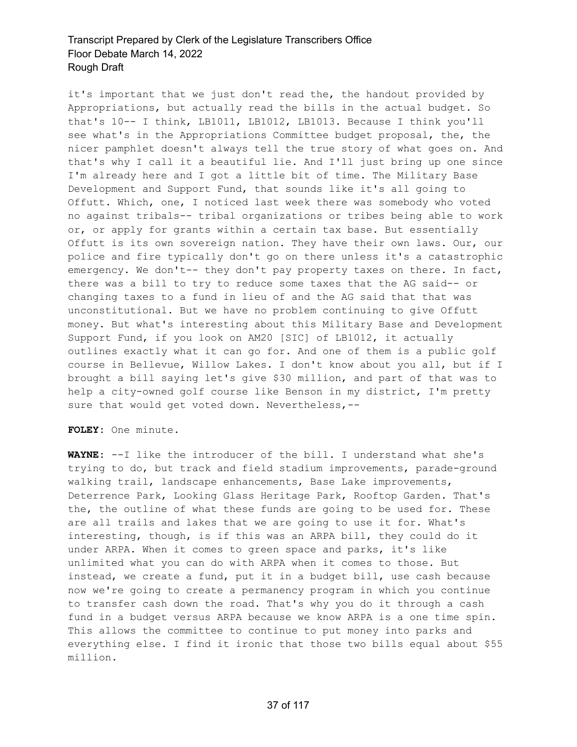it's important that we just don't read the, the handout provided by Appropriations, but actually read the bills in the actual budget. So that's 10-- I think, LB1011, LB1012, LB1013. Because I think you'll see what's in the Appropriations Committee budget proposal, the, the nicer pamphlet doesn't always tell the true story of what goes on. And that's why I call it a beautiful lie. And I'll just bring up one since I'm already here and I got a little bit of time. The Military Base Development and Support Fund, that sounds like it's all going to Offutt. Which, one, I noticed last week there was somebody who voted no against tribals-- tribal organizations or tribes being able to work or, or apply for grants within a certain tax base. But essentially Offutt is its own sovereign nation. They have their own laws. Our, our police and fire typically don't go on there unless it's a catastrophic emergency. We don't-- they don't pay property taxes on there. In fact, there was a bill to try to reduce some taxes that the AG said-- or changing taxes to a fund in lieu of and the AG said that that was unconstitutional. But we have no problem continuing to give Offutt money. But what's interesting about this Military Base and Development Support Fund, if you look on AM20 [SIC] of LB1012, it actually outlines exactly what it can go for. And one of them is a public golf course in Bellevue, Willow Lakes. I don't know about you all, but if I brought a bill saying let's give \$30 million, and part of that was to help a city-owned golf course like Benson in my district, I'm pretty sure that would get voted down. Nevertheless, --

**FOLEY:** One minute.

**WAYNE:** --I like the introducer of the bill. I understand what she's trying to do, but track and field stadium improvements, parade-ground walking trail, landscape enhancements, Base Lake improvements, Deterrence Park, Looking Glass Heritage Park, Rooftop Garden. That's the, the outline of what these funds are going to be used for. These are all trails and lakes that we are going to use it for. What's interesting, though, is if this was an ARPA bill, they could do it under ARPA. When it comes to green space and parks, it's like unlimited what you can do with ARPA when it comes to those. But instead, we create a fund, put it in a budget bill, use cash because now we're going to create a permanency program in which you continue to transfer cash down the road. That's why you do it through a cash fund in a budget versus ARPA because we know ARPA is a one time spin. This allows the committee to continue to put money into parks and everything else. I find it ironic that those two bills equal about \$55 million.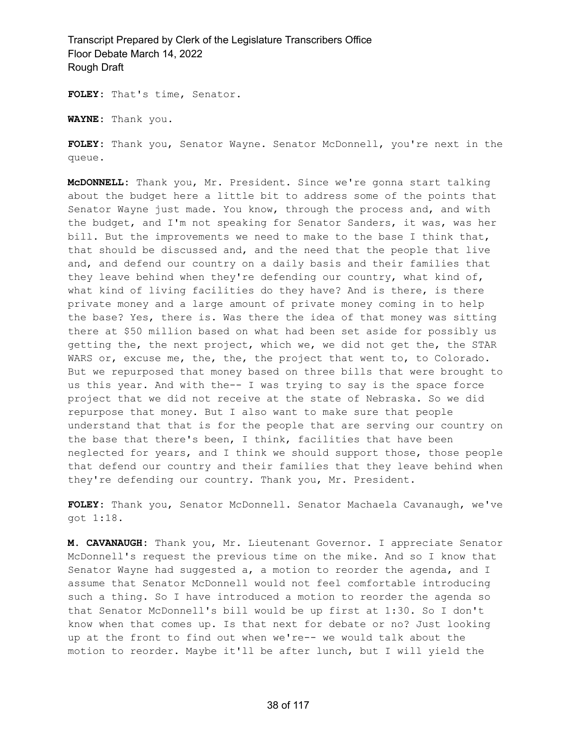**FOLEY:** That's time, Senator.

**WAYNE:** Thank you.

**FOLEY:** Thank you, Senator Wayne. Senator McDonnell, you're next in the queue.

**McDONNELL:** Thank you, Mr. President. Since we're gonna start talking about the budget here a little bit to address some of the points that Senator Wayne just made. You know, through the process and, and with the budget, and I'm not speaking for Senator Sanders, it was, was her bill. But the improvements we need to make to the base I think that, that should be discussed and, and the need that the people that live and, and defend our country on a daily basis and their families that they leave behind when they're defending our country, what kind of, what kind of living facilities do they have? And is there, is there private money and a large amount of private money coming in to help the base? Yes, there is. Was there the idea of that money was sitting there at \$50 million based on what had been set aside for possibly us getting the, the next project, which we, we did not get the, the STAR WARS or, excuse me, the, the, the project that went to, to Colorado. But we repurposed that money based on three bills that were brought to us this year. And with the-- I was trying to say is the space force project that we did not receive at the state of Nebraska. So we did repurpose that money. But I also want to make sure that people understand that that is for the people that are serving our country on the base that there's been, I think, facilities that have been neglected for years, and I think we should support those, those people that defend our country and their families that they leave behind when they're defending our country. Thank you, Mr. President.

**FOLEY:** Thank you, Senator McDonnell. Senator Machaela Cavanaugh, we've got 1:18.

**M. CAVANAUGH:** Thank you, Mr. Lieutenant Governor. I appreciate Senator McDonnell's request the previous time on the mike. And so I know that Senator Wayne had suggested a, a motion to reorder the agenda, and I assume that Senator McDonnell would not feel comfortable introducing such a thing. So I have introduced a motion to reorder the agenda so that Senator McDonnell's bill would be up first at 1:30. So I don't know when that comes up. Is that next for debate or no? Just looking up at the front to find out when we're-- we would talk about the motion to reorder. Maybe it'll be after lunch, but I will yield the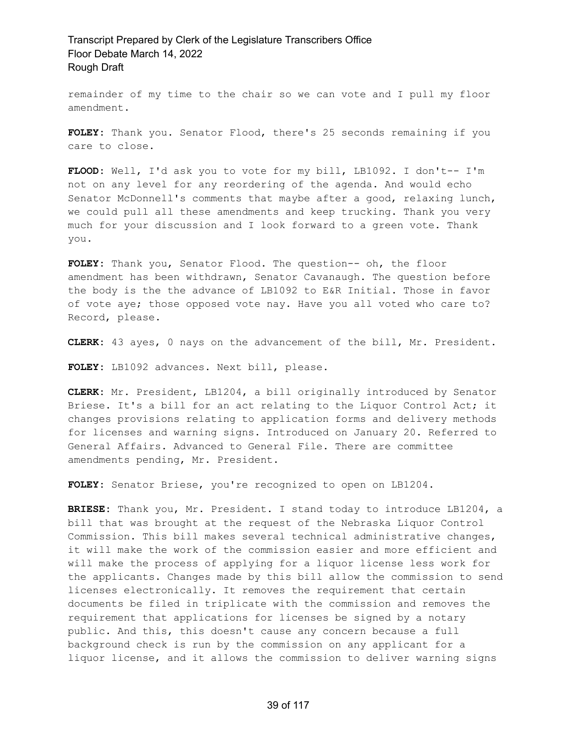remainder of my time to the chair so we can vote and I pull my floor amendment.

**FOLEY:** Thank you. Senator Flood, there's 25 seconds remaining if you care to close.

FLOOD: Well, I'd ask you to vote for my bill, LB1092. I don't-- I'm not on any level for any reordering of the agenda. And would echo Senator McDonnell's comments that maybe after a good, relaxing lunch, we could pull all these amendments and keep trucking. Thank you very much for your discussion and I look forward to a green vote. Thank you.

**FOLEY:** Thank you, Senator Flood. The question-- oh, the floor amendment has been withdrawn, Senator Cavanaugh. The question before the body is the the advance of LB1092 to E&R Initial. Those in favor of vote aye; those opposed vote nay. Have you all voted who care to? Record, please.

**CLERK:** 43 ayes, 0 nays on the advancement of the bill, Mr. President.

**FOLEY:** LB1092 advances. Next bill, please.

**CLERK:** Mr. President, LB1204, a bill originally introduced by Senator Briese. It's a bill for an act relating to the Liquor Control Act; it changes provisions relating to application forms and delivery methods for licenses and warning signs. Introduced on January 20. Referred to General Affairs. Advanced to General File. There are committee amendments pending, Mr. President.

**FOLEY:** Senator Briese, you're recognized to open on LB1204.

**BRIESE:** Thank you, Mr. President. I stand today to introduce LB1204, a bill that was brought at the request of the Nebraska Liquor Control Commission. This bill makes several technical administrative changes, it will make the work of the commission easier and more efficient and will make the process of applying for a liquor license less work for the applicants. Changes made by this bill allow the commission to send licenses electronically. It removes the requirement that certain documents be filed in triplicate with the commission and removes the requirement that applications for licenses be signed by a notary public. And this, this doesn't cause any concern because a full background check is run by the commission on any applicant for a liquor license, and it allows the commission to deliver warning signs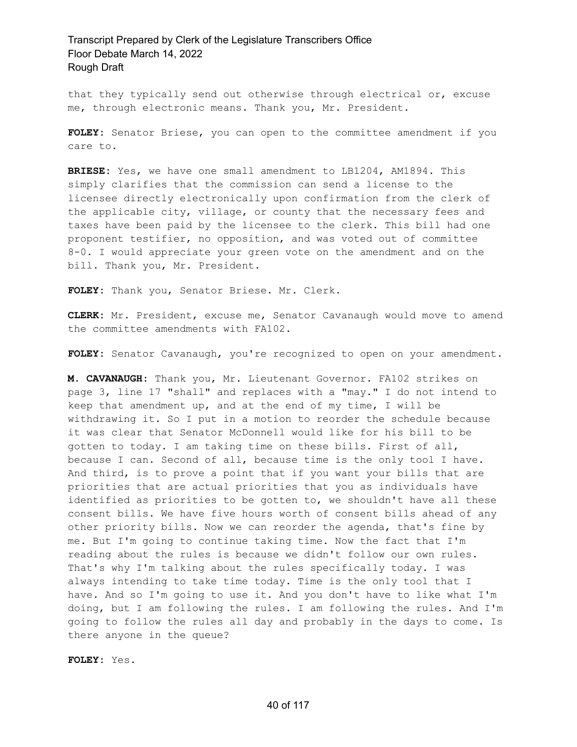that they typically send out otherwise through electrical or, excuse me, through electronic means. Thank you, Mr. President.

**FOLEY:** Senator Briese, you can open to the committee amendment if you care to.

**BRIESE:** Yes, we have one small amendment to LB1204, AM1894. This simply clarifies that the commission can send a license to the licensee directly electronically upon confirmation from the clerk of the applicable city, village, or county that the necessary fees and taxes have been paid by the licensee to the clerk. This bill had one proponent testifier, no opposition, and was voted out of committee 8-0. I would appreciate your green vote on the amendment and on the bill. Thank you, Mr. President.

**FOLEY:** Thank you, Senator Briese. Mr. Clerk.

**CLERK:** Mr. President, excuse me, Senator Cavanaugh would move to amend the committee amendments with FA102.

**FOLEY:** Senator Cavanaugh, you're recognized to open on your amendment.

**M. CAVANAUGH:** Thank you, Mr. Lieutenant Governor. FA102 strikes on page 3, line 17 "shall" and replaces with a "may." I do not intend to keep that amendment up, and at the end of my time, I will be withdrawing it. So I put in a motion to reorder the schedule because it was clear that Senator McDonnell would like for his bill to be gotten to today. I am taking time on these bills. First of all, because I can. Second of all, because time is the only tool I have. And third, is to prove a point that if you want your bills that are priorities that are actual priorities that you as individuals have identified as priorities to be gotten to, we shouldn't have all these consent bills. We have five hours worth of consent bills ahead of any other priority bills. Now we can reorder the agenda, that's fine by me. But I'm going to continue taking time. Now the fact that I'm reading about the rules is because we didn't follow our own rules. That's why I'm talking about the rules specifically today. I was always intending to take time today. Time is the only tool that I have. And so I'm going to use it. And you don't have to like what I'm doing, but I am following the rules. I am following the rules. And I'm going to follow the rules all day and probably in the days to come. Is there anyone in the queue?

**FOLEY:** Yes.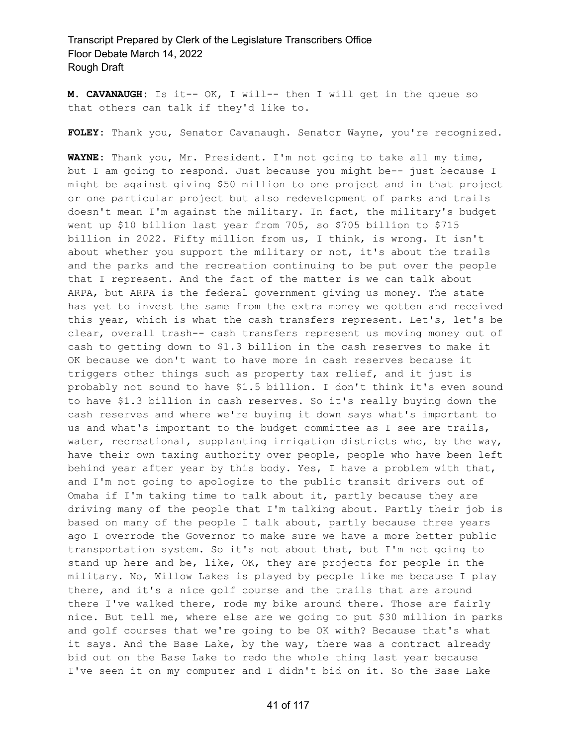**M. CAVANAUGH:** Is it-- OK, I will-- then I will get in the queue so that others can talk if they'd like to.

**FOLEY:** Thank you, Senator Cavanaugh. Senator Wayne, you're recognized.

**WAYNE:** Thank you, Mr. President. I'm not going to take all my time, but I am going to respond. Just because you might be-- just because I might be against giving \$50 million to one project and in that project or one particular project but also redevelopment of parks and trails doesn't mean I'm against the military. In fact, the military's budget went up \$10 billion last year from 705, so \$705 billion to \$715 billion in 2022. Fifty million from us, I think, is wrong. It isn't about whether you support the military or not, it's about the trails and the parks and the recreation continuing to be put over the people that I represent. And the fact of the matter is we can talk about ARPA, but ARPA is the federal government giving us money. The state has yet to invest the same from the extra money we gotten and received this year, which is what the cash transfers represent. Let's, let's be clear, overall trash-- cash transfers represent us moving money out of cash to getting down to \$1.3 billion in the cash reserves to make it OK because we don't want to have more in cash reserves because it triggers other things such as property tax relief, and it just is probably not sound to have \$1.5 billion. I don't think it's even sound to have \$1.3 billion in cash reserves. So it's really buying down the cash reserves and where we're buying it down says what's important to us and what's important to the budget committee as I see are trails, water, recreational, supplanting irrigation districts who, by the way, have their own taxing authority over people, people who have been left behind year after year by this body. Yes, I have a problem with that, and I'm not going to apologize to the public transit drivers out of Omaha if I'm taking time to talk about it, partly because they are driving many of the people that I'm talking about. Partly their job is based on many of the people I talk about, partly because three years ago I overrode the Governor to make sure we have a more better public transportation system. So it's not about that, but I'm not going to stand up here and be, like, OK, they are projects for people in the military. No, Willow Lakes is played by people like me because I play there, and it's a nice golf course and the trails that are around there I've walked there, rode my bike around there. Those are fairly nice. But tell me, where else are we going to put \$30 million in parks and golf courses that we're going to be OK with? Because that's what it says. And the Base Lake, by the way, there was a contract already bid out on the Base Lake to redo the whole thing last year because I've seen it on my computer and I didn't bid on it. So the Base Lake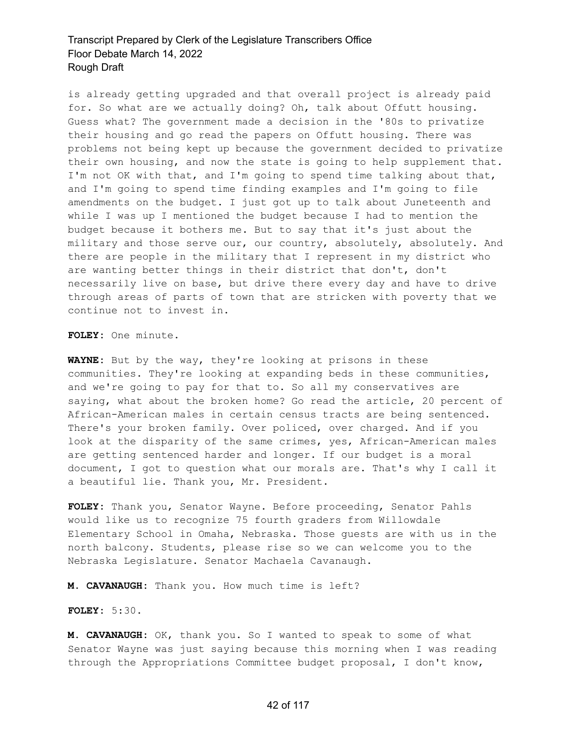is already getting upgraded and that overall project is already paid for. So what are we actually doing? Oh, talk about Offutt housing. Guess what? The government made a decision in the '80s to privatize their housing and go read the papers on Offutt housing. There was problems not being kept up because the government decided to privatize their own housing, and now the state is going to help supplement that. I'm not OK with that, and I'm going to spend time talking about that, and I'm going to spend time finding examples and I'm going to file amendments on the budget. I just got up to talk about Juneteenth and while I was up I mentioned the budget because I had to mention the budget because it bothers me. But to say that it's just about the military and those serve our, our country, absolutely, absolutely. And there are people in the military that I represent in my district who are wanting better things in their district that don't, don't necessarily live on base, but drive there every day and have to drive through areas of parts of town that are stricken with poverty that we continue not to invest in.

**FOLEY:** One minute.

**WAYNE:** But by the way, they're looking at prisons in these communities. They're looking at expanding beds in these communities, and we're going to pay for that to. So all my conservatives are saying, what about the broken home? Go read the article, 20 percent of African-American males in certain census tracts are being sentenced. There's your broken family. Over policed, over charged. And if you look at the disparity of the same crimes, yes, African-American males are getting sentenced harder and longer. If our budget is a moral document, I got to question what our morals are. That's why I call it a beautiful lie. Thank you, Mr. President.

**FOLEY:** Thank you, Senator Wayne. Before proceeding, Senator Pahls would like us to recognize 75 fourth graders from Willowdale Elementary School in Omaha, Nebraska. Those guests are with us in the north balcony. Students, please rise so we can welcome you to the Nebraska Legislature. Senator Machaela Cavanaugh.

**M. CAVANAUGH:** Thank you. How much time is left?

**FOLEY:** 5:30.

**M. CAVANAUGH:** OK, thank you. So I wanted to speak to some of what Senator Wayne was just saying because this morning when I was reading through the Appropriations Committee budget proposal, I don't know,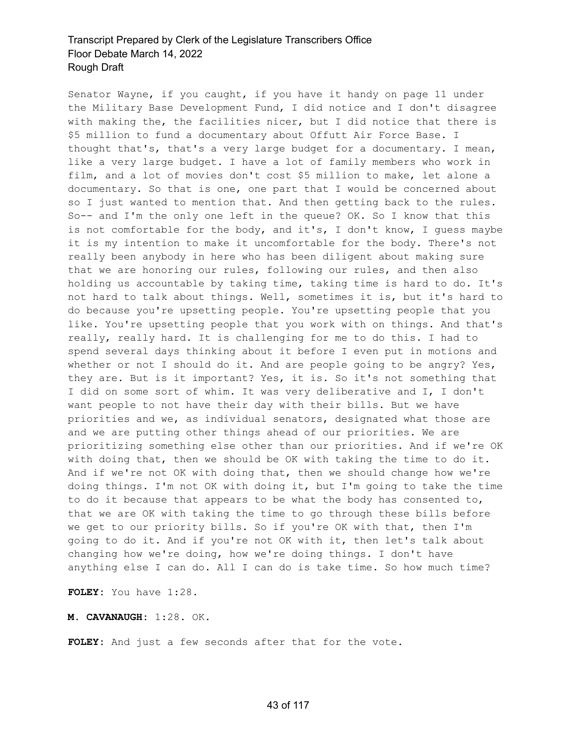Senator Wayne, if you caught, if you have it handy on page 11 under the Military Base Development Fund, I did notice and I don't disagree with making the, the facilities nicer, but I did notice that there is \$5 million to fund a documentary about Offutt Air Force Base. I thought that's, that's a very large budget for a documentary. I mean, like a very large budget. I have a lot of family members who work in film, and a lot of movies don't cost \$5 million to make, let alone a documentary. So that is one, one part that I would be concerned about so I just wanted to mention that. And then getting back to the rules. So-- and I'm the only one left in the queue? OK. So I know that this is not comfortable for the body, and it's, I don't know, I guess maybe it is my intention to make it uncomfortable for the body. There's not really been anybody in here who has been diligent about making sure that we are honoring our rules, following our rules, and then also holding us accountable by taking time, taking time is hard to do. It's not hard to talk about things. Well, sometimes it is, but it's hard to do because you're upsetting people. You're upsetting people that you like. You're upsetting people that you work with on things. And that's really, really hard. It is challenging for me to do this. I had to spend several days thinking about it before I even put in motions and whether or not I should do it. And are people going to be angry? Yes, they are. But is it important? Yes, it is. So it's not something that I did on some sort of whim. It was very deliberative and I, I don't want people to not have their day with their bills. But we have priorities and we, as individual senators, designated what those are and we are putting other things ahead of our priorities. We are prioritizing something else other than our priorities. And if we're OK with doing that, then we should be OK with taking the time to do it. And if we're not OK with doing that, then we should change how we're doing things. I'm not OK with doing it, but I'm going to take the time to do it because that appears to be what the body has consented to, that we are OK with taking the time to go through these bills before we get to our priority bills. So if you're OK with that, then I'm going to do it. And if you're not OK with it, then let's talk about changing how we're doing, how we're doing things. I don't have anything else I can do. All I can do is take time. So how much time?

**FOLEY:** You have 1:28.

**M. CAVANAUGH:** 1:28. OK.

**FOLEY:** And just a few seconds after that for the vote.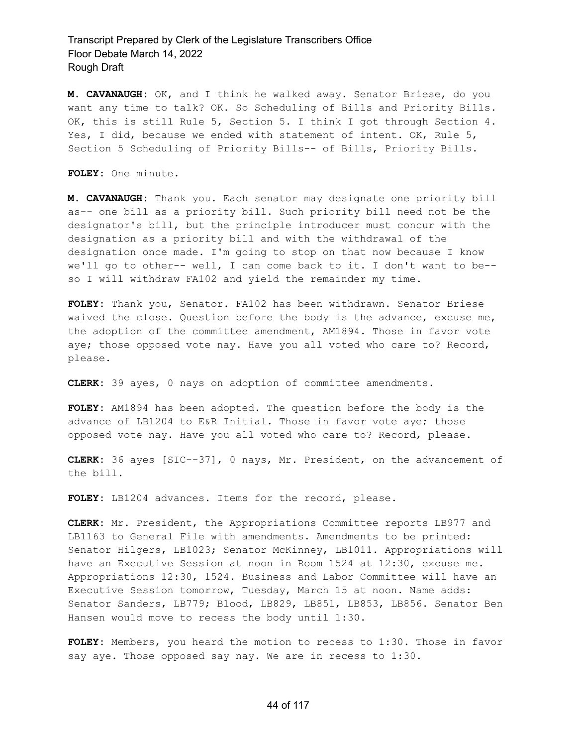**M. CAVANAUGH:** OK, and I think he walked away. Senator Briese, do you want any time to talk? OK. So Scheduling of Bills and Priority Bills. OK, this is still Rule 5, Section 5. I think I got through Section 4. Yes, I did, because we ended with statement of intent. OK, Rule 5, Section 5 Scheduling of Priority Bills-- of Bills, Priority Bills.

**FOLEY:** One minute.

**M. CAVANAUGH:** Thank you. Each senator may designate one priority bill as-- one bill as a priority bill. Such priority bill need not be the designator's bill, but the principle introducer must concur with the designation as a priority bill and with the withdrawal of the designation once made. I'm going to stop on that now because I know we'll go to other-- well, I can come back to it. I don't want to be- so I will withdraw FA102 and yield the remainder my time.

**FOLEY:** Thank you, Senator. FA102 has been withdrawn. Senator Briese waived the close. Question before the body is the advance, excuse me, the adoption of the committee amendment, AM1894. Those in favor vote aye; those opposed vote nay. Have you all voted who care to? Record, please.

**CLERK:** 39 ayes, 0 nays on adoption of committee amendments.

**FOLEY:** AM1894 has been adopted. The question before the body is the advance of LB1204 to E&R Initial. Those in favor vote aye; those opposed vote nay. Have you all voted who care to? Record, please.

**CLERK:** 36 ayes [SIC--37], 0 nays, Mr. President, on the advancement of the bill.

FOLEY: LB1204 advances. Items for the record, please.

**CLERK:** Mr. President, the Appropriations Committee reports LB977 and LB1163 to General File with amendments. Amendments to be printed: Senator Hilgers, LB1023; Senator McKinney, LB1011. Appropriations will have an Executive Session at noon in Room 1524 at 12:30, excuse me. Appropriations 12:30, 1524. Business and Labor Committee will have an Executive Session tomorrow, Tuesday, March 15 at noon. Name adds: Senator Sanders, LB779; Blood, LB829, LB851, LB853, LB856. Senator Ben Hansen would move to recess the body until 1:30.

**FOLEY:** Members, you heard the motion to recess to 1:30. Those in favor say aye. Those opposed say nay. We are in recess to 1:30.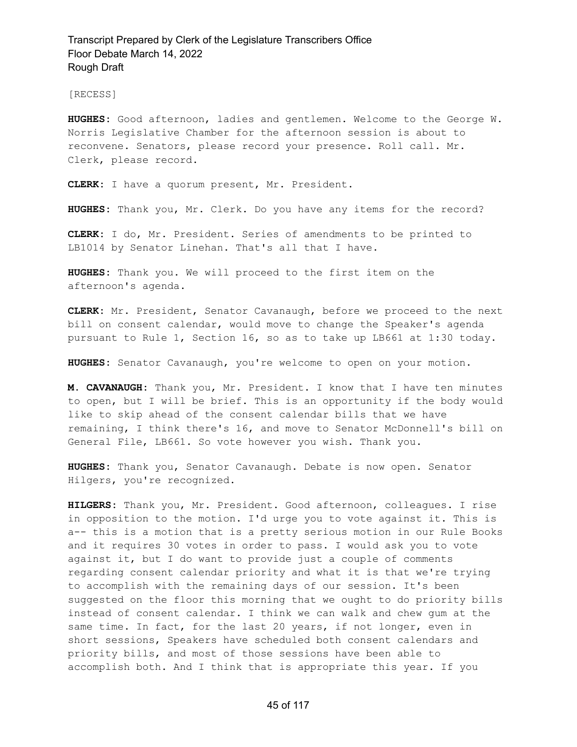[RECESS]

**HUGHES:** Good afternoon, ladies and gentlemen. Welcome to the George W. Norris Legislative Chamber for the afternoon session is about to reconvene. Senators, please record your presence. Roll call. Mr. Clerk, please record.

**CLERK:** I have a quorum present, Mr. President.

**HUGHES:** Thank you, Mr. Clerk. Do you have any items for the record?

**CLERK:** I do, Mr. President. Series of amendments to be printed to LB1014 by Senator Linehan. That's all that I have.

**HUGHES:** Thank you. We will proceed to the first item on the afternoon's agenda.

**CLERK:** Mr. President, Senator Cavanaugh, before we proceed to the next bill on consent calendar, would move to change the Speaker's agenda pursuant to Rule 1, Section 16, so as to take up LB661 at 1:30 today.

**HUGHES:** Senator Cavanaugh, you're welcome to open on your motion.

**M. CAVANAUGH:** Thank you, Mr. President. I know that I have ten minutes to open, but I will be brief. This is an opportunity if the body would like to skip ahead of the consent calendar bills that we have remaining, I think there's 16, and move to Senator McDonnell's bill on General File, LB661. So vote however you wish. Thank you.

**HUGHES:** Thank you, Senator Cavanaugh. Debate is now open. Senator Hilgers, you're recognized.

**HILGERS:** Thank you, Mr. President. Good afternoon, colleagues. I rise in opposition to the motion. I'd urge you to vote against it. This is a-- this is a motion that is a pretty serious motion in our Rule Books and it requires 30 votes in order to pass. I would ask you to vote against it, but I do want to provide just a couple of comments regarding consent calendar priority and what it is that we're trying to accomplish with the remaining days of our session. It's been suggested on the floor this morning that we ought to do priority bills instead of consent calendar. I think we can walk and chew gum at the same time. In fact, for the last 20 years, if not longer, even in short sessions, Speakers have scheduled both consent calendars and priority bills, and most of those sessions have been able to accomplish both. And I think that is appropriate this year. If you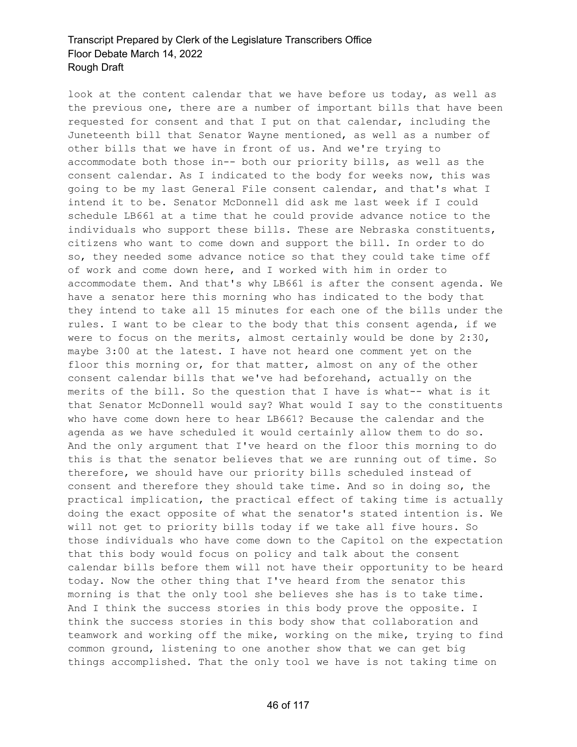look at the content calendar that we have before us today, as well as the previous one, there are a number of important bills that have been requested for consent and that I put on that calendar, including the Juneteenth bill that Senator Wayne mentioned, as well as a number of other bills that we have in front of us. And we're trying to accommodate both those in-- both our priority bills, as well as the consent calendar. As I indicated to the body for weeks now, this was going to be my last General File consent calendar, and that's what I intend it to be. Senator McDonnell did ask me last week if I could schedule LB661 at a time that he could provide advance notice to the individuals who support these bills. These are Nebraska constituents, citizens who want to come down and support the bill. In order to do so, they needed some advance notice so that they could take time off of work and come down here, and I worked with him in order to accommodate them. And that's why LB661 is after the consent agenda. We have a senator here this morning who has indicated to the body that they intend to take all 15 minutes for each one of the bills under the rules. I want to be clear to the body that this consent agenda, if we were to focus on the merits, almost certainly would be done by 2:30, maybe 3:00 at the latest. I have not heard one comment yet on the floor this morning or, for that matter, almost on any of the other consent calendar bills that we've had beforehand, actually on the merits of the bill. So the question that I have is what-- what is it that Senator McDonnell would say? What would I say to the constituents who have come down here to hear LB661? Because the calendar and the agenda as we have scheduled it would certainly allow them to do so. And the only argument that I've heard on the floor this morning to do this is that the senator believes that we are running out of time. So therefore, we should have our priority bills scheduled instead of consent and therefore they should take time. And so in doing so, the practical implication, the practical effect of taking time is actually doing the exact opposite of what the senator's stated intention is. We will not get to priority bills today if we take all five hours. So those individuals who have come down to the Capitol on the expectation that this body would focus on policy and talk about the consent calendar bills before them will not have their opportunity to be heard today. Now the other thing that I've heard from the senator this morning is that the only tool she believes she has is to take time. And I think the success stories in this body prove the opposite. I think the success stories in this body show that collaboration and teamwork and working off the mike, working on the mike, trying to find common ground, listening to one another show that we can get big things accomplished. That the only tool we have is not taking time on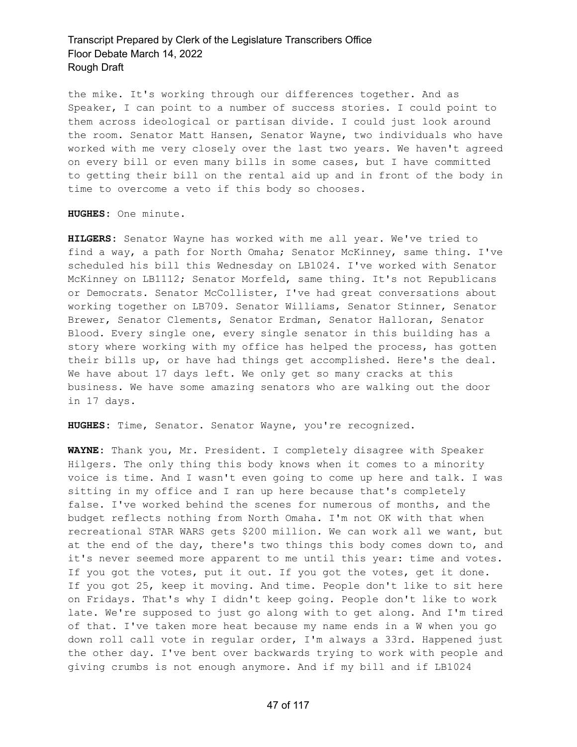the mike. It's working through our differences together. And as Speaker, I can point to a number of success stories. I could point to them across ideological or partisan divide. I could just look around the room. Senator Matt Hansen, Senator Wayne, two individuals who have worked with me very closely over the last two years. We haven't agreed on every bill or even many bills in some cases, but I have committed to getting their bill on the rental aid up and in front of the body in time to overcome a veto if this body so chooses.

**HUGHES:** One minute.

**HILGERS:** Senator Wayne has worked with me all year. We've tried to find a way, a path for North Omaha; Senator McKinney, same thing. I've scheduled his bill this Wednesday on LB1024. I've worked with Senator McKinney on LB1112; Senator Morfeld, same thing. It's not Republicans or Democrats. Senator McCollister, I've had great conversations about working together on LB709. Senator Williams, Senator Stinner, Senator Brewer, Senator Clements, Senator Erdman, Senator Halloran, Senator Blood. Every single one, every single senator in this building has a story where working with my office has helped the process, has gotten their bills up, or have had things get accomplished. Here's the deal. We have about 17 days left. We only get so many cracks at this business. We have some amazing senators who are walking out the door in 17 days.

**HUGHES:** Time, Senator. Senator Wayne, you're recognized.

**WAYNE:** Thank you, Mr. President. I completely disagree with Speaker Hilgers. The only thing this body knows when it comes to a minority voice is time. And I wasn't even going to come up here and talk. I was sitting in my office and I ran up here because that's completely false. I've worked behind the scenes for numerous of months, and the budget reflects nothing from North Omaha. I'm not OK with that when recreational STAR WARS gets \$200 million. We can work all we want, but at the end of the day, there's two things this body comes down to, and it's never seemed more apparent to me until this year: time and votes. If you got the votes, put it out. If you got the votes, get it done. If you got 25, keep it moving. And time. People don't like to sit here on Fridays. That's why I didn't keep going. People don't like to work late. We're supposed to just go along with to get along. And I'm tired of that. I've taken more heat because my name ends in a W when you go down roll call vote in regular order, I'm always a 33rd. Happened just the other day. I've bent over backwards trying to work with people and giving crumbs is not enough anymore. And if my bill and if LB1024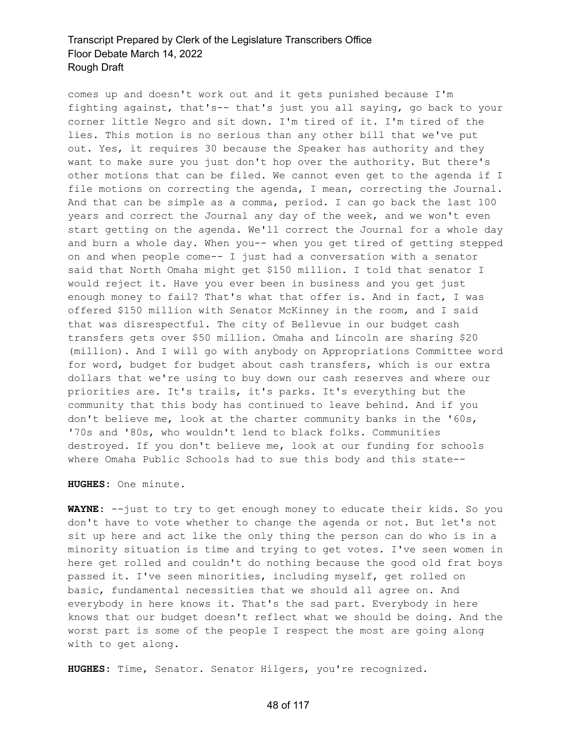comes up and doesn't work out and it gets punished because I'm fighting against, that's-- that's just you all saying, go back to your corner little Negro and sit down. I'm tired of it. I'm tired of the lies. This motion is no serious than any other bill that we've put out. Yes, it requires 30 because the Speaker has authority and they want to make sure you just don't hop over the authority. But there's other motions that can be filed. We cannot even get to the agenda if I file motions on correcting the agenda, I mean, correcting the Journal. And that can be simple as a comma, period. I can go back the last 100 years and correct the Journal any day of the week, and we won't even start getting on the agenda. We'll correct the Journal for a whole day and burn a whole day. When you-- when you get tired of getting stepped on and when people come-- I just had a conversation with a senator said that North Omaha might get \$150 million. I told that senator I would reject it. Have you ever been in business and you get just enough money to fail? That's what that offer is. And in fact, I was offered \$150 million with Senator McKinney in the room, and I said that was disrespectful. The city of Bellevue in our budget cash transfers gets over \$50 million. Omaha and Lincoln are sharing \$20 (million). And I will go with anybody on Appropriations Committee word for word, budget for budget about cash transfers, which is our extra dollars that we're using to buy down our cash reserves and where our priorities are. It's trails, it's parks. It's everything but the community that this body has continued to leave behind. And if you don't believe me, look at the charter community banks in the '60s, '70s and '80s, who wouldn't lend to black folks. Communities destroyed. If you don't believe me, look at our funding for schools where Omaha Public Schools had to sue this body and this state--

**HUGHES:** One minute.

**WAYNE:** --just to try to get enough money to educate their kids. So you don't have to vote whether to change the agenda or not. But let's not sit up here and act like the only thing the person can do who is in a minority situation is time and trying to get votes. I've seen women in here get rolled and couldn't do nothing because the good old frat boys passed it. I've seen minorities, including myself, get rolled on basic, fundamental necessities that we should all agree on. And everybody in here knows it. That's the sad part. Everybody in here knows that our budget doesn't reflect what we should be doing. And the worst part is some of the people I respect the most are going along with to get along.

**HUGHES:** Time, Senator. Senator Hilgers, you're recognized.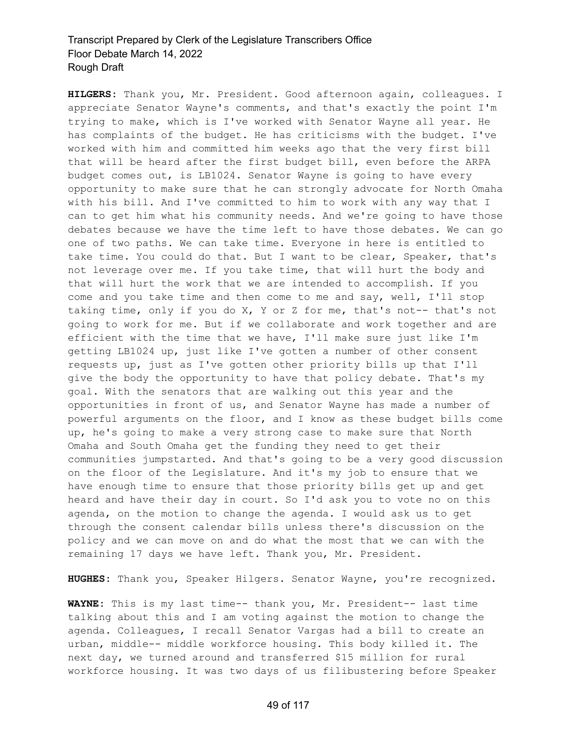**HILGERS:** Thank you, Mr. President. Good afternoon again, colleagues. I appreciate Senator Wayne's comments, and that's exactly the point I'm trying to make, which is I've worked with Senator Wayne all year. He has complaints of the budget. He has criticisms with the budget. I've worked with him and committed him weeks ago that the very first bill that will be heard after the first budget bill, even before the ARPA budget comes out, is LB1024. Senator Wayne is going to have every opportunity to make sure that he can strongly advocate for North Omaha with his bill. And I've committed to him to work with any way that I can to get him what his community needs. And we're going to have those debates because we have the time left to have those debates. We can go one of two paths. We can take time. Everyone in here is entitled to take time. You could do that. But I want to be clear, Speaker, that's not leverage over me. If you take time, that will hurt the body and that will hurt the work that we are intended to accomplish. If you come and you take time and then come to me and say, well, I'll stop taking time, only if you do X, Y or Z for me, that's not-- that's not going to work for me. But if we collaborate and work together and are efficient with the time that we have, I'll make sure just like I'm getting LB1024 up, just like I've gotten a number of other consent requests up, just as I've gotten other priority bills up that I'll give the body the opportunity to have that policy debate. That's my goal. With the senators that are walking out this year and the opportunities in front of us, and Senator Wayne has made a number of powerful arguments on the floor, and I know as these budget bills come up, he's going to make a very strong case to make sure that North Omaha and South Omaha get the funding they need to get their communities jumpstarted. And that's going to be a very good discussion on the floor of the Legislature. And it's my job to ensure that we have enough time to ensure that those priority bills get up and get heard and have their day in court. So I'd ask you to vote no on this agenda, on the motion to change the agenda. I would ask us to get through the consent calendar bills unless there's discussion on the policy and we can move on and do what the most that we can with the remaining 17 days we have left. Thank you, Mr. President.

**HUGHES:** Thank you, Speaker Hilgers. Senator Wayne, you're recognized.

**WAYNE:** This is my last time-- thank you, Mr. President-- last time talking about this and I am voting against the motion to change the agenda. Colleagues, I recall Senator Vargas had a bill to create an urban, middle-- middle workforce housing. This body killed it. The next day, we turned around and transferred \$15 million for rural workforce housing. It was two days of us filibustering before Speaker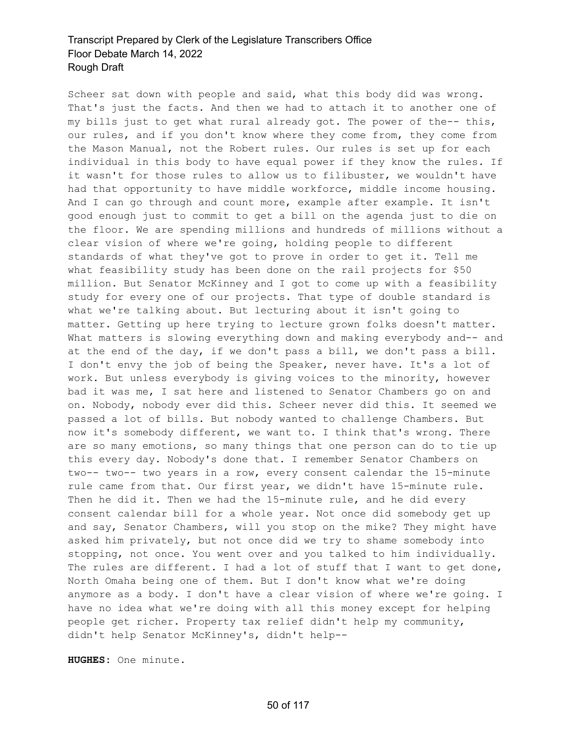Scheer sat down with people and said, what this body did was wrong. That's just the facts. And then we had to attach it to another one of my bills just to get what rural already got. The power of the-- this, our rules, and if you don't know where they come from, they come from the Mason Manual, not the Robert rules. Our rules is set up for each individual in this body to have equal power if they know the rules. If it wasn't for those rules to allow us to filibuster, we wouldn't have had that opportunity to have middle workforce, middle income housing. And I can go through and count more, example after example. It isn't good enough just to commit to get a bill on the agenda just to die on the floor. We are spending millions and hundreds of millions without a clear vision of where we're going, holding people to different standards of what they've got to prove in order to get it. Tell me what feasibility study has been done on the rail projects for \$50 million. But Senator McKinney and I got to come up with a feasibility study for every one of our projects. That type of double standard is what we're talking about. But lecturing about it isn't going to matter. Getting up here trying to lecture grown folks doesn't matter. What matters is slowing everything down and making everybody and-- and at the end of the day, if we don't pass a bill, we don't pass a bill. I don't envy the job of being the Speaker, never have. It's a lot of work. But unless everybody is giving voices to the minority, however bad it was me, I sat here and listened to Senator Chambers go on and on. Nobody, nobody ever did this. Scheer never did this. It seemed we passed a lot of bills. But nobody wanted to challenge Chambers. But now it's somebody different, we want to. I think that's wrong. There are so many emotions, so many things that one person can do to tie up this every day. Nobody's done that. I remember Senator Chambers on two-- two-- two years in a row, every consent calendar the 15-minute rule came from that. Our first year, we didn't have 15-minute rule. Then he did it. Then we had the 15-minute rule, and he did every consent calendar bill for a whole year. Not once did somebody get up and say, Senator Chambers, will you stop on the mike? They might have asked him privately, but not once did we try to shame somebody into stopping, not once. You went over and you talked to him individually. The rules are different. I had a lot of stuff that I want to get done, North Omaha being one of them. But I don't know what we're doing anymore as a body. I don't have a clear vision of where we're going. I have no idea what we're doing with all this money except for helping people get richer. Property tax relief didn't help my community, didn't help Senator McKinney's, didn't help--

**HUGHES:** One minute.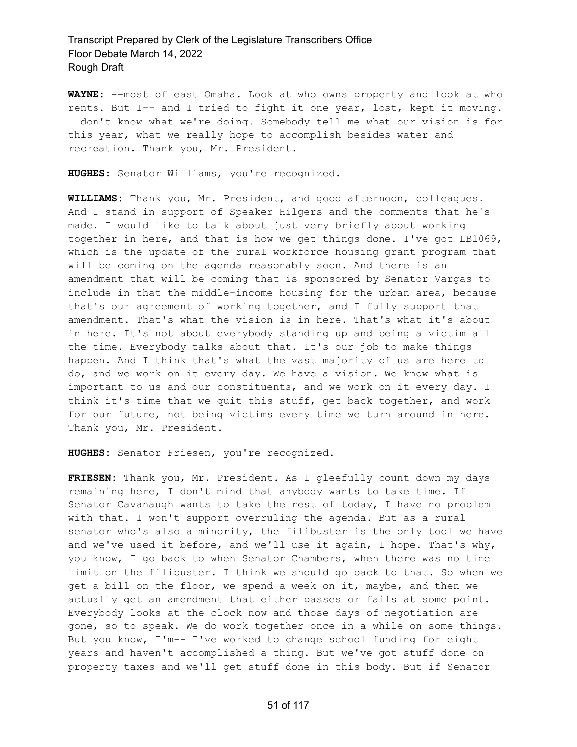**WAYNE:** --most of east Omaha. Look at who owns property and look at who rents. But I-- and I tried to fight it one year, lost, kept it moving. I don't know what we're doing. Somebody tell me what our vision is for this year, what we really hope to accomplish besides water and recreation. Thank you, Mr. President.

**HUGHES:** Senator Williams, you're recognized.

**WILLIAMS:** Thank you, Mr. President, and good afternoon, colleagues. And I stand in support of Speaker Hilgers and the comments that he's made. I would like to talk about just very briefly about working together in here, and that is how we get things done. I've got LB1069, which is the update of the rural workforce housing grant program that will be coming on the agenda reasonably soon. And there is an amendment that will be coming that is sponsored by Senator Vargas to include in that the middle-income housing for the urban area, because that's our agreement of working together, and I fully support that amendment. That's what the vision is in here. That's what it's about in here. It's not about everybody standing up and being a victim all the time. Everybody talks about that. It's our job to make things happen. And I think that's what the vast majority of us are here to do, and we work on it every day. We have a vision. We know what is important to us and our constituents, and we work on it every day. I think it's time that we quit this stuff, get back together, and work for our future, not being victims every time we turn around in here. Thank you, Mr. President.

**HUGHES:** Senator Friesen, you're recognized.

**FRIESEN:** Thank you, Mr. President. As I gleefully count down my days remaining here, I don't mind that anybody wants to take time. If Senator Cavanaugh wants to take the rest of today, I have no problem with that. I won't support overruling the agenda. But as a rural senator who's also a minority, the filibuster is the only tool we have and we've used it before, and we'll use it again, I hope. That's why, you know, I go back to when Senator Chambers, when there was no time limit on the filibuster. I think we should go back to that. So when we get a bill on the floor, we spend a week on it, maybe, and then we actually get an amendment that either passes or fails at some point. Everybody looks at the clock now and those days of negotiation are gone, so to speak. We do work together once in a while on some things. But you know, I'm-- I've worked to change school funding for eight years and haven't accomplished a thing. But we've got stuff done on property taxes and we'll get stuff done in this body. But if Senator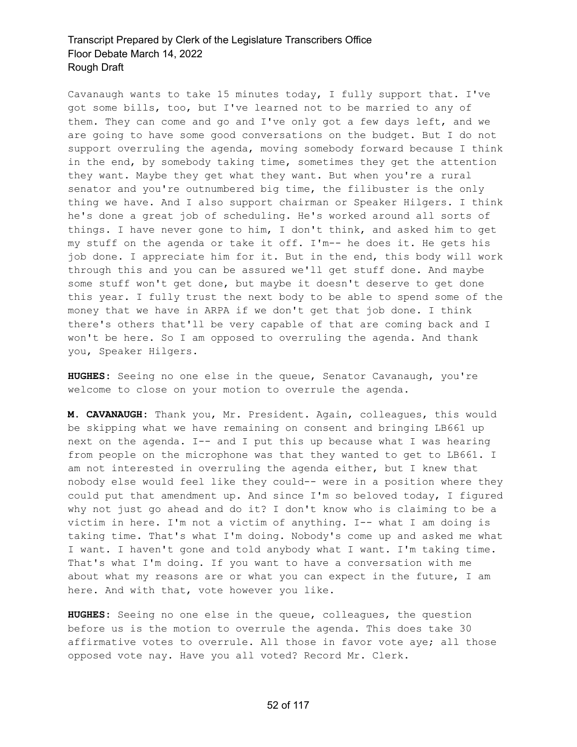Cavanaugh wants to take 15 minutes today, I fully support that. I've got some bills, too, but I've learned not to be married to any of them. They can come and go and I've only got a few days left, and we are going to have some good conversations on the budget. But I do not support overruling the agenda, moving somebody forward because I think in the end, by somebody taking time, sometimes they get the attention they want. Maybe they get what they want. But when you're a rural senator and you're outnumbered big time, the filibuster is the only thing we have. And I also support chairman or Speaker Hilgers. I think he's done a great job of scheduling. He's worked around all sorts of things. I have never gone to him, I don't think, and asked him to get my stuff on the agenda or take it off. I'm-- he does it. He gets his job done. I appreciate him for it. But in the end, this body will work through this and you can be assured we'll get stuff done. And maybe some stuff won't get done, but maybe it doesn't deserve to get done this year. I fully trust the next body to be able to spend some of the money that we have in ARPA if we don't get that job done. I think there's others that'll be very capable of that are coming back and I won't be here. So I am opposed to overruling the agenda. And thank you, Speaker Hilgers.

**HUGHES:** Seeing no one else in the queue, Senator Cavanaugh, you're welcome to close on your motion to overrule the agenda.

**M. CAVANAUGH:** Thank you, Mr. President. Again, colleagues, this would be skipping what we have remaining on consent and bringing LB661 up next on the agenda. I-- and I put this up because what I was hearing from people on the microphone was that they wanted to get to LB661. I am not interested in overruling the agenda either, but I knew that nobody else would feel like they could-- were in a position where they could put that amendment up. And since I'm so beloved today, I figured why not just go ahead and do it? I don't know who is claiming to be a victim in here. I'm not a victim of anything. I-- what I am doing is taking time. That's what I'm doing. Nobody's come up and asked me what I want. I haven't gone and told anybody what I want. I'm taking time. That's what I'm doing. If you want to have a conversation with me about what my reasons are or what you can expect in the future, I am here. And with that, vote however you like.

**HUGHES:** Seeing no one else in the queue, colleagues, the question before us is the motion to overrule the agenda. This does take 30 affirmative votes to overrule. All those in favor vote aye; all those opposed vote nay. Have you all voted? Record Mr. Clerk.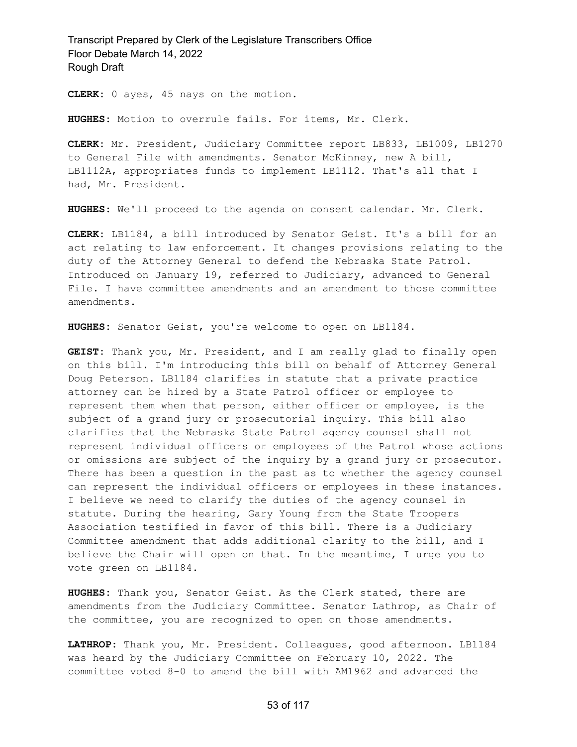**CLERK:** 0 ayes, 45 nays on the motion.

**HUGHES:** Motion to overrule fails. For items, Mr. Clerk.

**CLERK:** Mr. President, Judiciary Committee report LB833, LB1009, LB1270 to General File with amendments. Senator McKinney, new A bill, LB1112A, appropriates funds to implement LB1112. That's all that I had, Mr. President.

**HUGHES:** We'll proceed to the agenda on consent calendar. Mr. Clerk.

**CLERK:** LB1184, a bill introduced by Senator Geist. It's a bill for an act relating to law enforcement. It changes provisions relating to the duty of the Attorney General to defend the Nebraska State Patrol. Introduced on January 19, referred to Judiciary, advanced to General File. I have committee amendments and an amendment to those committee amendments.

**HUGHES:** Senator Geist, you're welcome to open on LB1184.

**GEIST:** Thank you, Mr. President, and I am really glad to finally open on this bill. I'm introducing this bill on behalf of Attorney General Doug Peterson. LB1184 clarifies in statute that a private practice attorney can be hired by a State Patrol officer or employee to represent them when that person, either officer or employee, is the subject of a grand jury or prosecutorial inquiry. This bill also clarifies that the Nebraska State Patrol agency counsel shall not represent individual officers or employees of the Patrol whose actions or omissions are subject of the inquiry by a grand jury or prosecutor. There has been a question in the past as to whether the agency counsel can represent the individual officers or employees in these instances. I believe we need to clarify the duties of the agency counsel in statute. During the hearing, Gary Young from the State Troopers Association testified in favor of this bill. There is a Judiciary Committee amendment that adds additional clarity to the bill, and I believe the Chair will open on that. In the meantime, I urge you to vote green on LB1184.

**HUGHES:** Thank you, Senator Geist. As the Clerk stated, there are amendments from the Judiciary Committee. Senator Lathrop, as Chair of the committee, you are recognized to open on those amendments.

**LATHROP:** Thank you, Mr. President. Colleagues, good afternoon. LB1184 was heard by the Judiciary Committee on February 10, 2022. The committee voted 8-0 to amend the bill with AM1962 and advanced the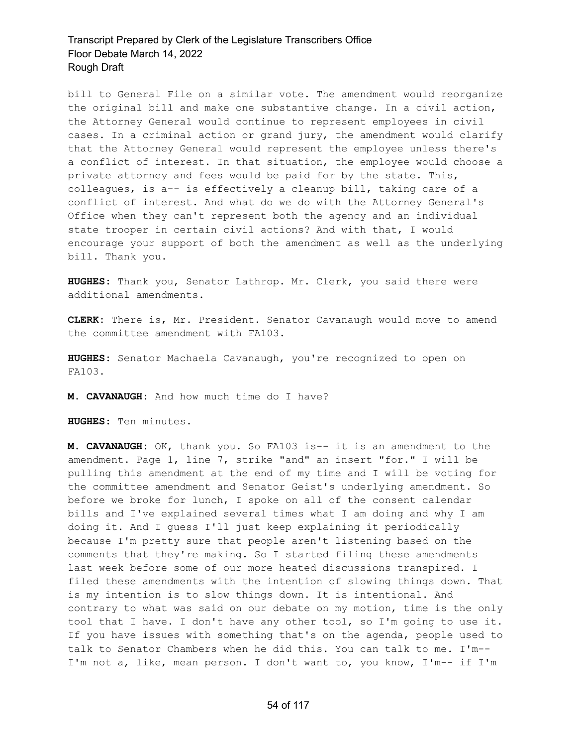bill to General File on a similar vote. The amendment would reorganize the original bill and make one substantive change. In a civil action, the Attorney General would continue to represent employees in civil cases. In a criminal action or grand jury, the amendment would clarify that the Attorney General would represent the employee unless there's a conflict of interest. In that situation, the employee would choose a private attorney and fees would be paid for by the state. This, colleagues, is a-- is effectively a cleanup bill, taking care of a conflict of interest. And what do we do with the Attorney General's Office when they can't represent both the agency and an individual state trooper in certain civil actions? And with that, I would encourage your support of both the amendment as well as the underlying bill. Thank you.

**HUGHES:** Thank you, Senator Lathrop. Mr. Clerk, you said there were additional amendments.

**CLERK:** There is, Mr. President. Senator Cavanaugh would move to amend the committee amendment with FA103.

**HUGHES:** Senator Machaela Cavanaugh, you're recognized to open on FA103.

**M. CAVANAUGH:** And how much time do I have?

**HUGHES:** Ten minutes.

**M. CAVANAUGH:** OK, thank you. So FA103 is-- it is an amendment to the amendment. Page 1, line 7, strike "and" an insert "for." I will be pulling this amendment at the end of my time and I will be voting for the committee amendment and Senator Geist's underlying amendment. So before we broke for lunch, I spoke on all of the consent calendar bills and I've explained several times what I am doing and why I am doing it. And I guess I'll just keep explaining it periodically because I'm pretty sure that people aren't listening based on the comments that they're making. So I started filing these amendments last week before some of our more heated discussions transpired. I filed these amendments with the intention of slowing things down. That is my intention is to slow things down. It is intentional. And contrary to what was said on our debate on my motion, time is the only tool that I have. I don't have any other tool, so I'm going to use it. If you have issues with something that's on the agenda, people used to talk to Senator Chambers when he did this. You can talk to me. I'm-- I'm not a, like, mean person. I don't want to, you know, I'm-- if I'm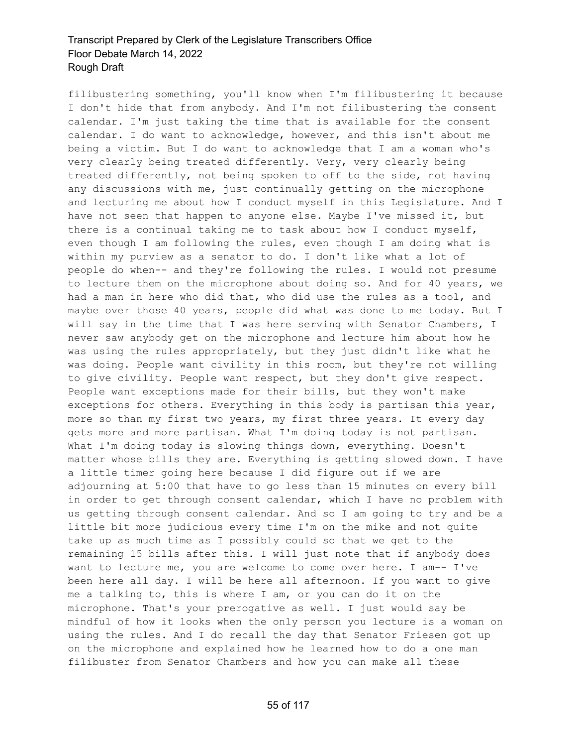filibustering something, you'll know when I'm filibustering it because I don't hide that from anybody. And I'm not filibustering the consent calendar. I'm just taking the time that is available for the consent calendar. I do want to acknowledge, however, and this isn't about me being a victim. But I do want to acknowledge that I am a woman who's very clearly being treated differently. Very, very clearly being treated differently, not being spoken to off to the side, not having any discussions with me, just continually getting on the microphone and lecturing me about how I conduct myself in this Legislature. And I have not seen that happen to anyone else. Maybe I've missed it, but there is a continual taking me to task about how I conduct myself, even though I am following the rules, even though I am doing what is within my purview as a senator to do. I don't like what a lot of people do when-- and they're following the rules. I would not presume to lecture them on the microphone about doing so. And for 40 years, we had a man in here who did that, who did use the rules as a tool, and maybe over those 40 years, people did what was done to me today. But I will say in the time that I was here serving with Senator Chambers, I never saw anybody get on the microphone and lecture him about how he was using the rules appropriately, but they just didn't like what he was doing. People want civility in this room, but they're not willing to give civility. People want respect, but they don't give respect. People want exceptions made for their bills, but they won't make exceptions for others. Everything in this body is partisan this year, more so than my first two years, my first three years. It every day gets more and more partisan. What I'm doing today is not partisan. What I'm doing today is slowing things down, everything. Doesn't matter whose bills they are. Everything is getting slowed down. I have a little timer going here because I did figure out if we are adjourning at 5:00 that have to go less than 15 minutes on every bill in order to get through consent calendar, which I have no problem with us getting through consent calendar. And so I am going to try and be a little bit more judicious every time I'm on the mike and not quite take up as much time as I possibly could so that we get to the remaining 15 bills after this. I will just note that if anybody does want to lecture me, you are welcome to come over here. I am-- I've been here all day. I will be here all afternoon. If you want to give me a talking to, this is where I am, or you can do it on the microphone. That's your prerogative as well. I just would say be mindful of how it looks when the only person you lecture is a woman on using the rules. And I do recall the day that Senator Friesen got up on the microphone and explained how he learned how to do a one man filibuster from Senator Chambers and how you can make all these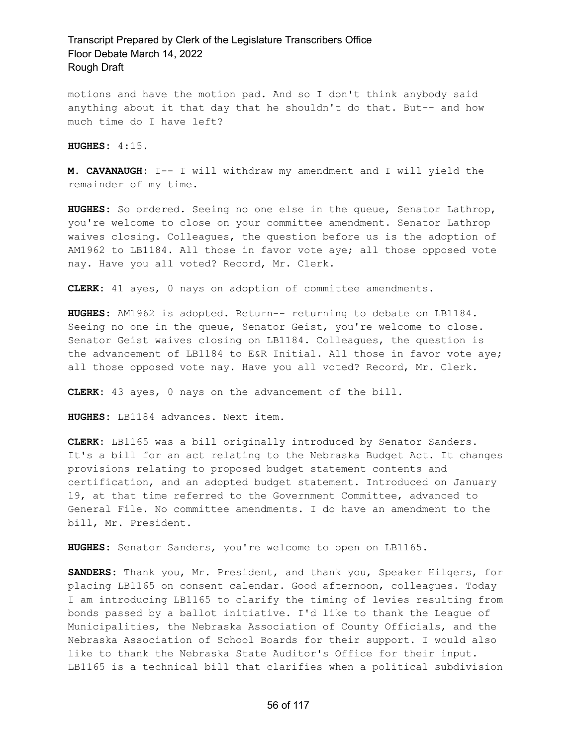motions and have the motion pad. And so I don't think anybody said anything about it that day that he shouldn't do that. But-- and how much time do I have left?

**HUGHES:** 4:15.

**M. CAVANAUGH:** I-- I will withdraw my amendment and I will yield the remainder of my time.

**HUGHES:** So ordered. Seeing no one else in the queue, Senator Lathrop, you're welcome to close on your committee amendment. Senator Lathrop waives closing. Colleagues, the question before us is the adoption of AM1962 to LB1184. All those in favor vote aye; all those opposed vote nay. Have you all voted? Record, Mr. Clerk.

**CLERK:** 41 ayes, 0 nays on adoption of committee amendments.

**HUGHES:** AM1962 is adopted. Return-- returning to debate on LB1184. Seeing no one in the queue, Senator Geist, you're welcome to close. Senator Geist waives closing on LB1184. Colleagues, the question is the advancement of LB1184 to E&R Initial. All those in favor vote aye; all those opposed vote nay. Have you all voted? Record, Mr. Clerk.

**CLERK:** 43 ayes, 0 nays on the advancement of the bill.

**HUGHES:** LB1184 advances. Next item.

**CLERK:** LB1165 was a bill originally introduced by Senator Sanders. It's a bill for an act relating to the Nebraska Budget Act. It changes provisions relating to proposed budget statement contents and certification, and an adopted budget statement. Introduced on January 19, at that time referred to the Government Committee, advanced to General File. No committee amendments. I do have an amendment to the bill, Mr. President.

**HUGHES:** Senator Sanders, you're welcome to open on LB1165.

**SANDERS:** Thank you, Mr. President, and thank you, Speaker Hilgers, for placing LB1165 on consent calendar. Good afternoon, colleagues. Today I am introducing LB1165 to clarify the timing of levies resulting from bonds passed by a ballot initiative. I'd like to thank the League of Municipalities, the Nebraska Association of County Officials, and the Nebraska Association of School Boards for their support. I would also like to thank the Nebraska State Auditor's Office for their input. LB1165 is a technical bill that clarifies when a political subdivision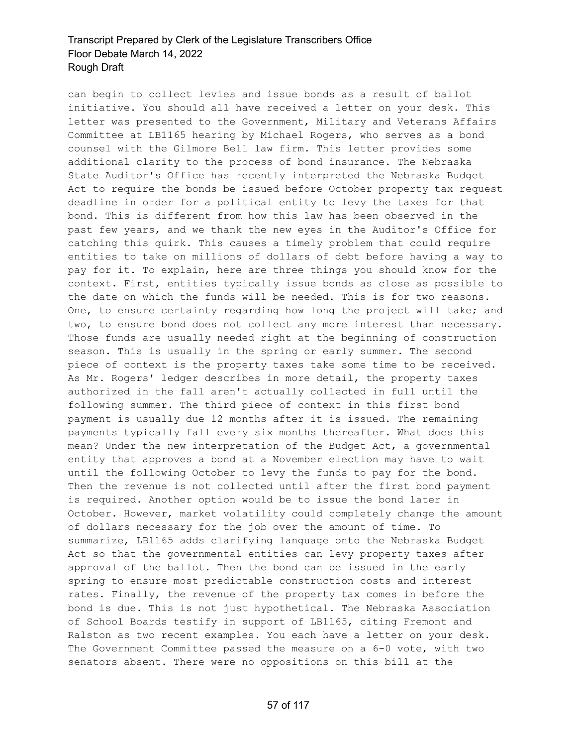can begin to collect levies and issue bonds as a result of ballot initiative. You should all have received a letter on your desk. This letter was presented to the Government, Military and Veterans Affairs Committee at LB1165 hearing by Michael Rogers, who serves as a bond counsel with the Gilmore Bell law firm. This letter provides some additional clarity to the process of bond insurance. The Nebraska State Auditor's Office has recently interpreted the Nebraska Budget Act to require the bonds be issued before October property tax request deadline in order for a political entity to levy the taxes for that bond. This is different from how this law has been observed in the past few years, and we thank the new eyes in the Auditor's Office for catching this quirk. This causes a timely problem that could require entities to take on millions of dollars of debt before having a way to pay for it. To explain, here are three things you should know for the context. First, entities typically issue bonds as close as possible to the date on which the funds will be needed. This is for two reasons. One, to ensure certainty regarding how long the project will take; and two, to ensure bond does not collect any more interest than necessary. Those funds are usually needed right at the beginning of construction season. This is usually in the spring or early summer. The second piece of context is the property taxes take some time to be received. As Mr. Rogers' ledger describes in more detail, the property taxes authorized in the fall aren't actually collected in full until the following summer. The third piece of context in this first bond payment is usually due 12 months after it is issued. The remaining payments typically fall every six months thereafter. What does this mean? Under the new interpretation of the Budget Act, a governmental entity that approves a bond at a November election may have to wait until the following October to levy the funds to pay for the bond. Then the revenue is not collected until after the first bond payment is required. Another option would be to issue the bond later in October. However, market volatility could completely change the amount of dollars necessary for the job over the amount of time. To summarize, LB1165 adds clarifying language onto the Nebraska Budget Act so that the governmental entities can levy property taxes after approval of the ballot. Then the bond can be issued in the early spring to ensure most predictable construction costs and interest rates. Finally, the revenue of the property tax comes in before the bond is due. This is not just hypothetical. The Nebraska Association of School Boards testify in support of LB1165, citing Fremont and Ralston as two recent examples. You each have a letter on your desk. The Government Committee passed the measure on a 6-0 vote, with two senators absent. There were no oppositions on this bill at the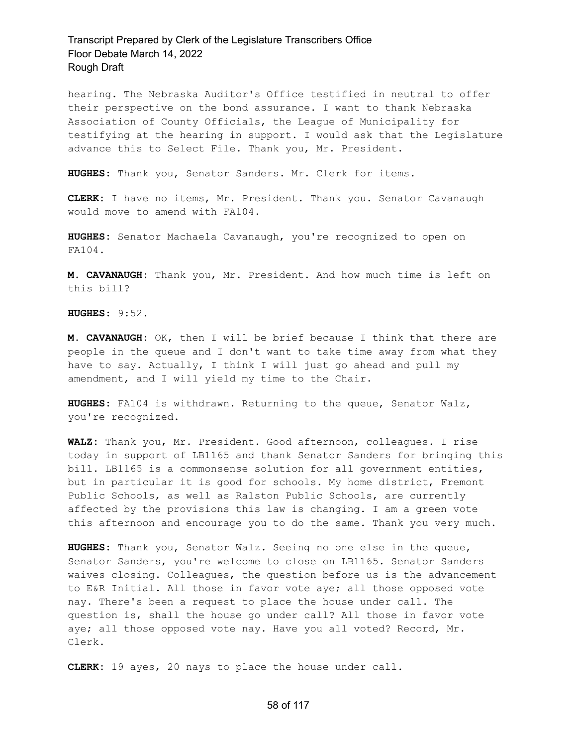hearing. The Nebraska Auditor's Office testified in neutral to offer their perspective on the bond assurance. I want to thank Nebraska Association of County Officials, the League of Municipality for testifying at the hearing in support. I would ask that the Legislature advance this to Select File. Thank you, Mr. President.

**HUGHES:** Thank you, Senator Sanders. Mr. Clerk for items.

**CLERK:** I have no items, Mr. President. Thank you. Senator Cavanaugh would move to amend with FA104.

**HUGHES:** Senator Machaela Cavanaugh, you're recognized to open on FA104.

**M. CAVANAUGH:** Thank you, Mr. President. And how much time is left on this bill?

**HUGHES:** 9:52.

**M. CAVANAUGH:** OK, then I will be brief because I think that there are people in the queue and I don't want to take time away from what they have to say. Actually, I think I will just go ahead and pull my amendment, and I will yield my time to the Chair.

**HUGHES:** FA104 is withdrawn. Returning to the queue, Senator Walz, you're recognized.

**WALZ:** Thank you, Mr. President. Good afternoon, colleagues. I rise today in support of LB1165 and thank Senator Sanders for bringing this bill. LB1165 is a commonsense solution for all government entities, but in particular it is good for schools. My home district, Fremont Public Schools, as well as Ralston Public Schools, are currently affected by the provisions this law is changing. I am a green vote this afternoon and encourage you to do the same. Thank you very much.

**HUGHES:** Thank you, Senator Walz. Seeing no one else in the queue, Senator Sanders, you're welcome to close on LB1165. Senator Sanders waives closing. Colleagues, the question before us is the advancement to E&R Initial. All those in favor vote aye; all those opposed vote nay. There's been a request to place the house under call. The question is, shall the house go under call? All those in favor vote aye; all those opposed vote nay. Have you all voted? Record, Mr. Clerk.

**CLERK:** 19 ayes, 20 nays to place the house under call.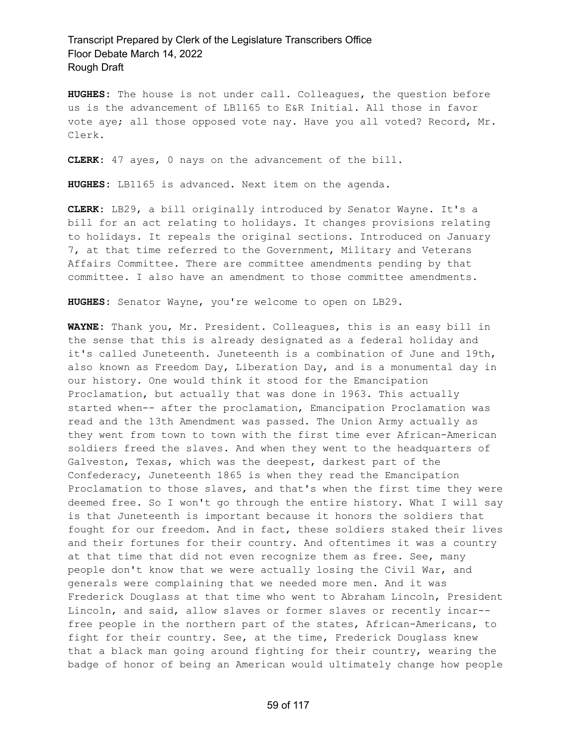**HUGHES:** The house is not under call. Colleagues, the question before us is the advancement of LB1165 to E&R Initial. All those in favor vote aye; all those opposed vote nay. Have you all voted? Record, Mr. Clerk.

**CLERK:** 47 ayes, 0 nays on the advancement of the bill.

**HUGHES:** LB1165 is advanced. Next item on the agenda.

**CLERK:** LB29, a bill originally introduced by Senator Wayne. It's a bill for an act relating to holidays. It changes provisions relating to holidays. It repeals the original sections. Introduced on January 7, at that time referred to the Government, Military and Veterans Affairs Committee. There are committee amendments pending by that committee. I also have an amendment to those committee amendments.

**HUGHES:** Senator Wayne, you're welcome to open on LB29.

**WAYNE:** Thank you, Mr. President. Colleagues, this is an easy bill in the sense that this is already designated as a federal holiday and it's called Juneteenth. Juneteenth is a combination of June and 19th, also known as Freedom Day, Liberation Day, and is a monumental day in our history. One would think it stood for the Emancipation Proclamation, but actually that was done in 1963. This actually started when-- after the proclamation, Emancipation Proclamation was read and the 13th Amendment was passed. The Union Army actually as they went from town to town with the first time ever African-American soldiers freed the slaves. And when they went to the headquarters of Galveston, Texas, which was the deepest, darkest part of the Confederacy, Juneteenth 1865 is when they read the Emancipation Proclamation to those slaves, and that's when the first time they were deemed free. So I won't go through the entire history. What I will say is that Juneteenth is important because it honors the soldiers that fought for our freedom. And in fact, these soldiers staked their lives and their fortunes for their country. And oftentimes it was a country at that time that did not even recognize them as free. See, many people don't know that we were actually losing the Civil War, and generals were complaining that we needed more men. And it was Frederick Douglass at that time who went to Abraham Lincoln, President Lincoln, and said, allow slaves or former slaves or recently incar- free people in the northern part of the states, African-Americans, to fight for their country. See, at the time, Frederick Douglass knew that a black man going around fighting for their country, wearing the badge of honor of being an American would ultimately change how people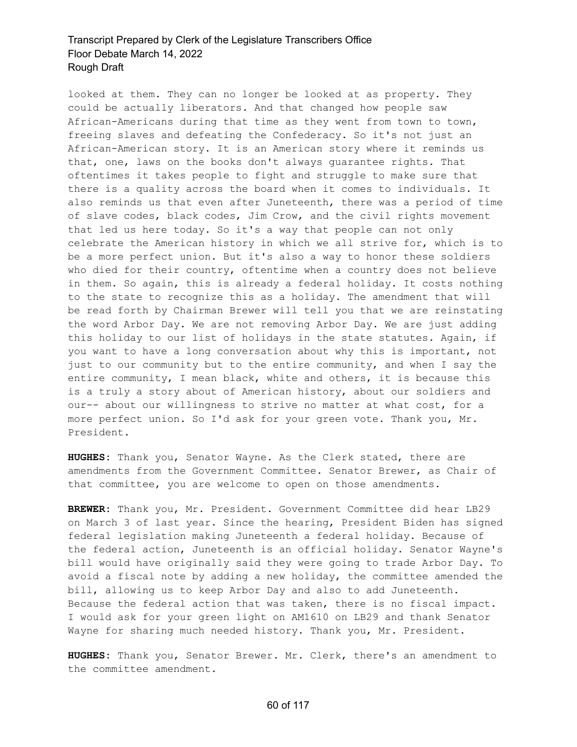looked at them. They can no longer be looked at as property. They could be actually liberators. And that changed how people saw African-Americans during that time as they went from town to town, freeing slaves and defeating the Confederacy. So it's not just an African-American story. It is an American story where it reminds us that, one, laws on the books don't always guarantee rights. That oftentimes it takes people to fight and struggle to make sure that there is a quality across the board when it comes to individuals. It also reminds us that even after Juneteenth, there was a period of time of slave codes, black codes, Jim Crow, and the civil rights movement that led us here today. So it's a way that people can not only celebrate the American history in which we all strive for, which is to be a more perfect union. But it's also a way to honor these soldiers who died for their country, oftentime when a country does not believe in them. So again, this is already a federal holiday. It costs nothing to the state to recognize this as a holiday. The amendment that will be read forth by Chairman Brewer will tell you that we are reinstating the word Arbor Day. We are not removing Arbor Day. We are just adding this holiday to our list of holidays in the state statutes. Again, if you want to have a long conversation about why this is important, not just to our community but to the entire community, and when I say the entire community, I mean black, white and others, it is because this is a truly a story about of American history, about our soldiers and our-- about our willingness to strive no matter at what cost, for a more perfect union. So I'd ask for your green vote. Thank you, Mr. President.

**HUGHES:** Thank you, Senator Wayne. As the Clerk stated, there are amendments from the Government Committee. Senator Brewer, as Chair of that committee, you are welcome to open on those amendments.

**BREWER:** Thank you, Mr. President. Government Committee did hear LB29 on March 3 of last year. Since the hearing, President Biden has signed federal legislation making Juneteenth a federal holiday. Because of the federal action, Juneteenth is an official holiday. Senator Wayne's bill would have originally said they were going to trade Arbor Day. To avoid a fiscal note by adding a new holiday, the committee amended the bill, allowing us to keep Arbor Day and also to add Juneteenth. Because the federal action that was taken, there is no fiscal impact. I would ask for your green light on AM1610 on LB29 and thank Senator Wayne for sharing much needed history. Thank you, Mr. President.

**HUGHES:** Thank you, Senator Brewer. Mr. Clerk, there's an amendment to the committee amendment.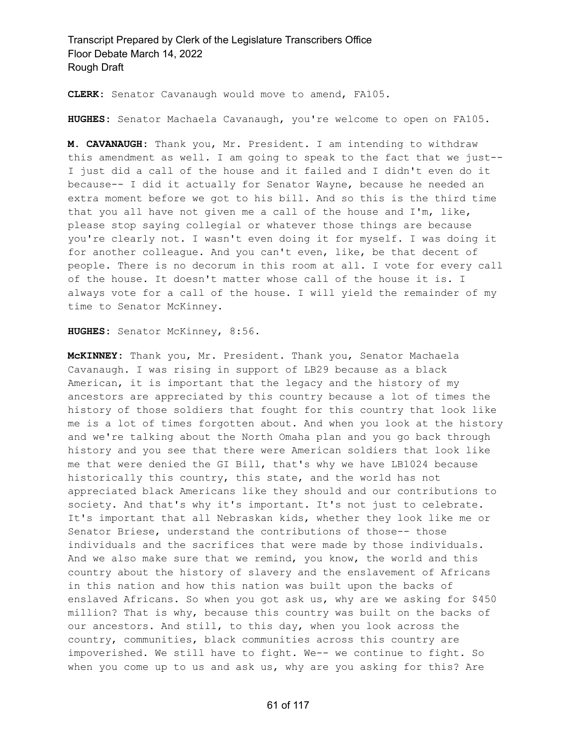**CLERK:** Senator Cavanaugh would move to amend, FA105.

**HUGHES:** Senator Machaela Cavanaugh, you're welcome to open on FA105.

**M. CAVANAUGH:** Thank you, Mr. President. I am intending to withdraw this amendment as well. I am going to speak to the fact that we just-- I just did a call of the house and it failed and I didn't even do it because-- I did it actually for Senator Wayne, because he needed an extra moment before we got to his bill. And so this is the third time that you all have not given me a call of the house and I'm, like, please stop saying collegial or whatever those things are because you're clearly not. I wasn't even doing it for myself. I was doing it for another colleague. And you can't even, like, be that decent of people. There is no decorum in this room at all. I vote for every call of the house. It doesn't matter whose call of the house it is. I always vote for a call of the house. I will yield the remainder of my time to Senator McKinney.

**HUGHES:** Senator McKinney, 8:56.

**McKINNEY:** Thank you, Mr. President. Thank you, Senator Machaela Cavanaugh. I was rising in support of LB29 because as a black American, it is important that the legacy and the history of my ancestors are appreciated by this country because a lot of times the history of those soldiers that fought for this country that look like me is a lot of times forgotten about. And when you look at the history and we're talking about the North Omaha plan and you go back through history and you see that there were American soldiers that look like me that were denied the GI Bill, that's why we have LB1024 because historically this country, this state, and the world has not appreciated black Americans like they should and our contributions to society. And that's why it's important. It's not just to celebrate. It's important that all Nebraskan kids, whether they look like me or Senator Briese, understand the contributions of those-- those individuals and the sacrifices that were made by those individuals. And we also make sure that we remind, you know, the world and this country about the history of slavery and the enslavement of Africans in this nation and how this nation was built upon the backs of enslaved Africans. So when you got ask us, why are we asking for \$450 million? That is why, because this country was built on the backs of our ancestors. And still, to this day, when you look across the country, communities, black communities across this country are impoverished. We still have to fight. We-- we continue to fight. So when you come up to us and ask us, why are you asking for this? Are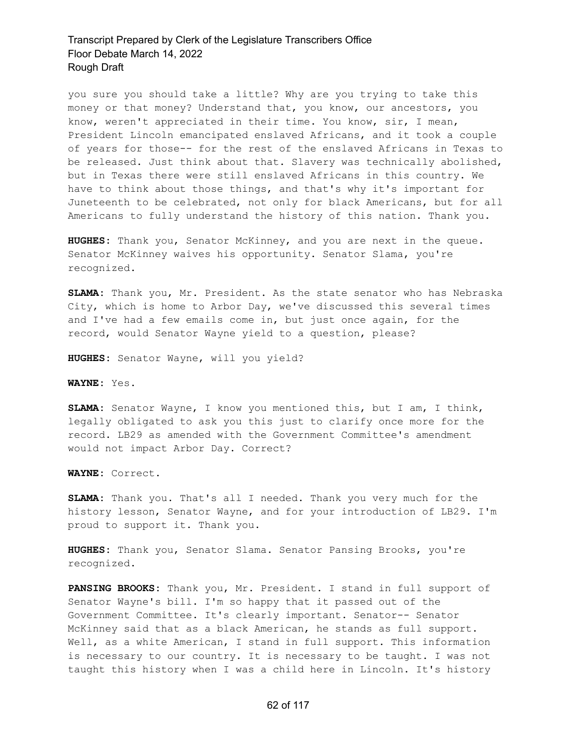you sure you should take a little? Why are you trying to take this money or that money? Understand that, you know, our ancestors, you know, weren't appreciated in their time. You know, sir, I mean, President Lincoln emancipated enslaved Africans, and it took a couple of years for those-- for the rest of the enslaved Africans in Texas to be released. Just think about that. Slavery was technically abolished, but in Texas there were still enslaved Africans in this country. We have to think about those things, and that's why it's important for Juneteenth to be celebrated, not only for black Americans, but for all Americans to fully understand the history of this nation. Thank you.

**HUGHES:** Thank you, Senator McKinney, and you are next in the queue. Senator McKinney waives his opportunity. Senator Slama, you're recognized.

**SLAMA:** Thank you, Mr. President. As the state senator who has Nebraska City, which is home to Arbor Day, we've discussed this several times and I've had a few emails come in, but just once again, for the record, would Senator Wayne yield to a question, please?

**HUGHES:** Senator Wayne, will you yield?

**WAYNE:** Yes.

**SLAMA:** Senator Wayne, I know you mentioned this, but I am, I think, legally obligated to ask you this just to clarify once more for the record. LB29 as amended with the Government Committee's amendment would not impact Arbor Day. Correct?

**WAYNE:** Correct.

**SLAMA:** Thank you. That's all I needed. Thank you very much for the history lesson, Senator Wayne, and for your introduction of LB29. I'm proud to support it. Thank you.

**HUGHES:** Thank you, Senator Slama. Senator Pansing Brooks, you're recognized.

**PANSING BROOKS:** Thank you, Mr. President. I stand in full support of Senator Wayne's bill. I'm so happy that it passed out of the Government Committee. It's clearly important. Senator-- Senator McKinney said that as a black American, he stands as full support. Well, as a white American, I stand in full support. This information is necessary to our country. It is necessary to be taught. I was not taught this history when I was a child here in Lincoln. It's history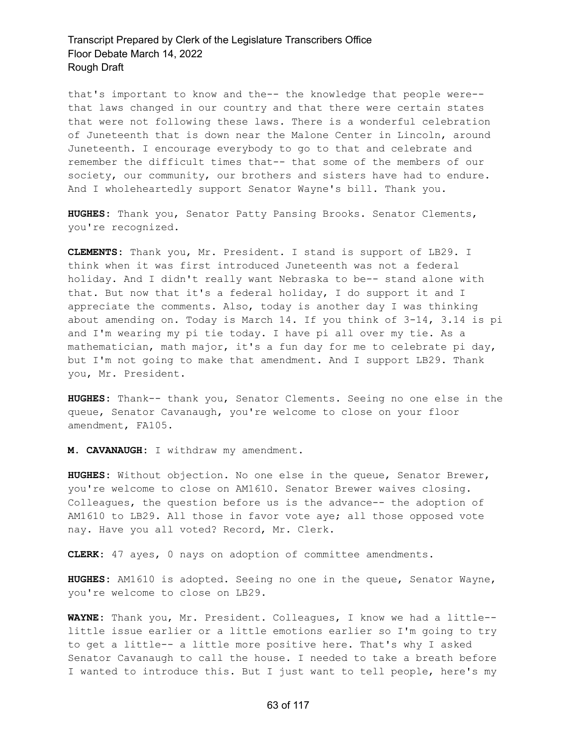that's important to know and the-- the knowledge that people were- that laws changed in our country and that there were certain states that were not following these laws. There is a wonderful celebration of Juneteenth that is down near the Malone Center in Lincoln, around Juneteenth. I encourage everybody to go to that and celebrate and remember the difficult times that-- that some of the members of our society, our community, our brothers and sisters have had to endure. And I wholeheartedly support Senator Wayne's bill. Thank you.

**HUGHES:** Thank you, Senator Patty Pansing Brooks. Senator Clements, you're recognized.

**CLEMENTS:** Thank you, Mr. President. I stand is support of LB29. I think when it was first introduced Juneteenth was not a federal holiday. And I didn't really want Nebraska to be-- stand alone with that. But now that it's a federal holiday, I do support it and I appreciate the comments. Also, today is another day I was thinking about amending on. Today is March 14. If you think of 3-14, 3.14 is pi and I'm wearing my pi tie today. I have pi all over my tie. As a mathematician, math major, it's a fun day for me to celebrate pi day, but I'm not going to make that amendment. And I support LB29. Thank you, Mr. President.

**HUGHES:** Thank-- thank you, Senator Clements. Seeing no one else in the queue, Senator Cavanaugh, you're welcome to close on your floor amendment, FA105.

**M. CAVANAUGH:** I withdraw my amendment.

**HUGHES:** Without objection. No one else in the queue, Senator Brewer, you're welcome to close on AM1610. Senator Brewer waives closing. Colleagues, the question before us is the advance-- the adoption of AM1610 to LB29. All those in favor vote aye; all those opposed vote nay. Have you all voted? Record, Mr. Clerk.

**CLERK:** 47 ayes, 0 nays on adoption of committee amendments.

**HUGHES:** AM1610 is adopted. Seeing no one in the queue, Senator Wayne, you're welcome to close on LB29.

**WAYNE:** Thank you, Mr. President. Colleagues, I know we had a little- little issue earlier or a little emotions earlier so I'm going to try to get a little-- a little more positive here. That's why I asked Senator Cavanaugh to call the house. I needed to take a breath before I wanted to introduce this. But I just want to tell people, here's my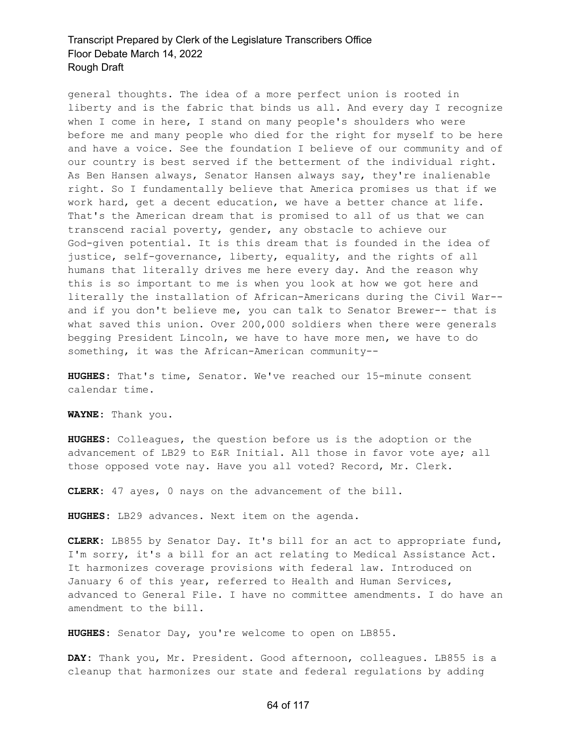general thoughts. The idea of a more perfect union is rooted in liberty and is the fabric that binds us all. And every day I recognize when I come in here, I stand on many people's shoulders who were before me and many people who died for the right for myself to be here and have a voice. See the foundation I believe of our community and of our country is best served if the betterment of the individual right. As Ben Hansen always, Senator Hansen always say, they're inalienable right. So I fundamentally believe that America promises us that if we work hard, get a decent education, we have a better chance at life. That's the American dream that is promised to all of us that we can transcend racial poverty, gender, any obstacle to achieve our God-given potential. It is this dream that is founded in the idea of justice, self-governance, liberty, equality, and the rights of all humans that literally drives me here every day. And the reason why this is so important to me is when you look at how we got here and literally the installation of African-Americans during the Civil War- and if you don't believe me, you can talk to Senator Brewer-- that is what saved this union. Over 200,000 soldiers when there were generals begging President Lincoln, we have to have more men, we have to do something, it was the African-American community--

**HUGHES:** That's time, Senator. We've reached our 15-minute consent calendar time.

**WAYNE:** Thank you.

**HUGHES:** Colleagues, the question before us is the adoption or the advancement of LB29 to E&R Initial. All those in favor vote aye; all those opposed vote nay. Have you all voted? Record, Mr. Clerk.

**CLERK:** 47 ayes, 0 nays on the advancement of the bill.

**HUGHES:** LB29 advances. Next item on the agenda.

**CLERK:** LB855 by Senator Day. It's bill for an act to appropriate fund, I'm sorry, it's a bill for an act relating to Medical Assistance Act. It harmonizes coverage provisions with federal law. Introduced on January 6 of this year, referred to Health and Human Services, advanced to General File. I have no committee amendments. I do have an amendment to the bill.

**HUGHES:** Senator Day, you're welcome to open on LB855.

**DAY:** Thank you, Mr. President. Good afternoon, colleagues. LB855 is a cleanup that harmonizes our state and federal regulations by adding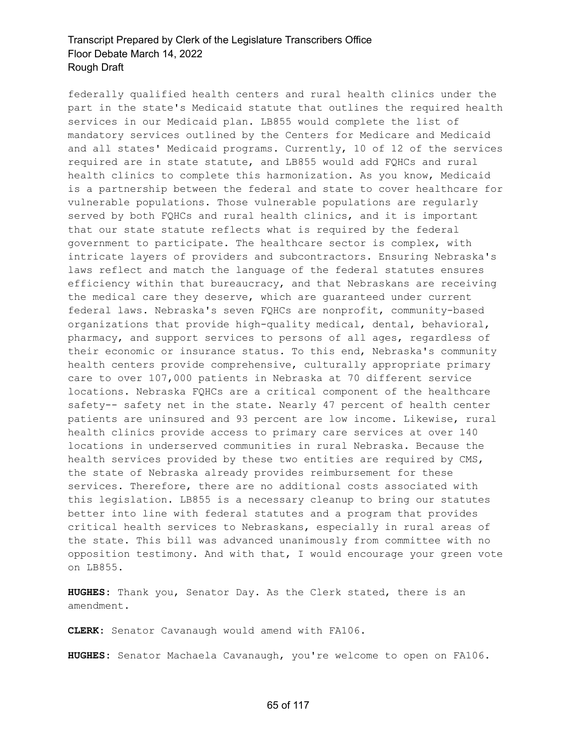federally qualified health centers and rural health clinics under the part in the state's Medicaid statute that outlines the required health services in our Medicaid plan. LB855 would complete the list of mandatory services outlined by the Centers for Medicare and Medicaid and all states' Medicaid programs. Currently, 10 of 12 of the services required are in state statute, and LB855 would add FQHCs and rural health clinics to complete this harmonization. As you know, Medicaid is a partnership between the federal and state to cover healthcare for vulnerable populations. Those vulnerable populations are regularly served by both FQHCs and rural health clinics, and it is important that our state statute reflects what is required by the federal government to participate. The healthcare sector is complex, with intricate layers of providers and subcontractors. Ensuring Nebraska's laws reflect and match the language of the federal statutes ensures efficiency within that bureaucracy, and that Nebraskans are receiving the medical care they deserve, which are guaranteed under current federal laws. Nebraska's seven FQHCs are nonprofit, community-based organizations that provide high-quality medical, dental, behavioral, pharmacy, and support services to persons of all ages, regardless of their economic or insurance status. To this end, Nebraska's community health centers provide comprehensive, culturally appropriate primary care to over 107,000 patients in Nebraska at 70 different service locations. Nebraska FQHCs are a critical component of the healthcare safety-- safety net in the state. Nearly 47 percent of health center patients are uninsured and 93 percent are low income. Likewise, rural health clinics provide access to primary care services at over 140 locations in underserved communities in rural Nebraska. Because the health services provided by these two entities are required by CMS, the state of Nebraska already provides reimbursement for these services. Therefore, there are no additional costs associated with this legislation. LB855 is a necessary cleanup to bring our statutes better into line with federal statutes and a program that provides critical health services to Nebraskans, especially in rural areas of the state. This bill was advanced unanimously from committee with no opposition testimony. And with that, I would encourage your green vote on LB855.

**HUGHES:** Thank you, Senator Day. As the Clerk stated, there is an amendment.

**CLERK:** Senator Cavanaugh would amend with FA106.

**HUGHES:** Senator Machaela Cavanaugh, you're welcome to open on FA106.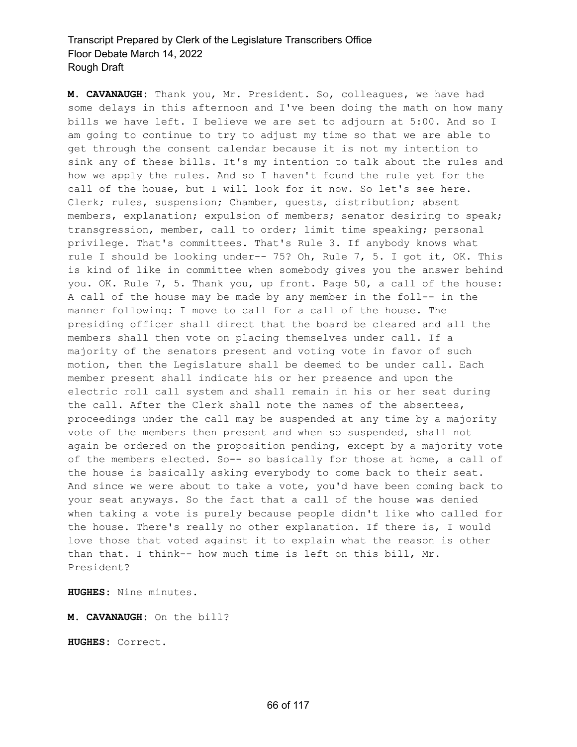**M. CAVANAUGH:** Thank you, Mr. President. So, colleagues, we have had some delays in this afternoon and I've been doing the math on how many bills we have left. I believe we are set to adjourn at 5:00. And so I am going to continue to try to adjust my time so that we are able to get through the consent calendar because it is not my intention to sink any of these bills. It's my intention to talk about the rules and how we apply the rules. And so I haven't found the rule yet for the call of the house, but I will look for it now. So let's see here. Clerk; rules, suspension; Chamber, guests, distribution; absent members, explanation; expulsion of members; senator desiring to speak; transgression, member, call to order; limit time speaking; personal privilege. That's committees. That's Rule 3. If anybody knows what rule I should be looking under-- 75? Oh, Rule 7, 5. I got it, OK. This is kind of like in committee when somebody gives you the answer behind you. OK. Rule 7, 5. Thank you, up front. Page 50, a call of the house: A call of the house may be made by any member in the foll-- in the manner following: I move to call for a call of the house. The presiding officer shall direct that the board be cleared and all the members shall then vote on placing themselves under call. If a majority of the senators present and voting vote in favor of such motion, then the Legislature shall be deemed to be under call. Each member present shall indicate his or her presence and upon the electric roll call system and shall remain in his or her seat during the call. After the Clerk shall note the names of the absentees, proceedings under the call may be suspended at any time by a majority vote of the members then present and when so suspended, shall not again be ordered on the proposition pending, except by a majority vote of the members elected. So-- so basically for those at home, a call of the house is basically asking everybody to come back to their seat. And since we were about to take a vote, you'd have been coming back to your seat anyways. So the fact that a call of the house was denied when taking a vote is purely because people didn't like who called for the house. There's really no other explanation. If there is, I would love those that voted against it to explain what the reason is other than that. I think-- how much time is left on this bill, Mr. President?

**HUGHES:** Nine minutes.

**M. CAVANAUGH:** On the bill?

**HUGHES:** Correct.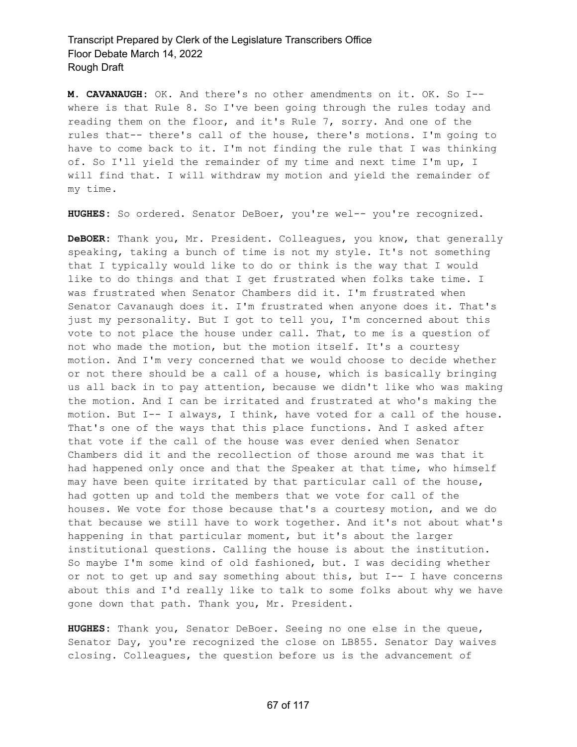**M. CAVANAUGH:** OK. And there's no other amendments on it. OK. So I- where is that Rule 8. So I've been going through the rules today and reading them on the floor, and it's Rule 7, sorry. And one of the rules that-- there's call of the house, there's motions. I'm going to have to come back to it. I'm not finding the rule that I was thinking of. So I'll yield the remainder of my time and next time I'm up, I will find that. I will withdraw my motion and yield the remainder of my time.

**HUGHES:** So ordered. Senator DeBoer, you're wel-- you're recognized.

**DeBOER:** Thank you, Mr. President. Colleagues, you know, that generally speaking, taking a bunch of time is not my style. It's not something that I typically would like to do or think is the way that I would like to do things and that I get frustrated when folks take time. I was frustrated when Senator Chambers did it. I'm frustrated when Senator Cavanaugh does it. I'm frustrated when anyone does it. That's just my personality. But I got to tell you, I'm concerned about this vote to not place the house under call. That, to me is a question of not who made the motion, but the motion itself. It's a courtesy motion. And I'm very concerned that we would choose to decide whether or not there should be a call of a house, which is basically bringing us all back in to pay attention, because we didn't like who was making the motion. And I can be irritated and frustrated at who's making the motion. But I-- I always, I think, have voted for a call of the house. That's one of the ways that this place functions. And I asked after that vote if the call of the house was ever denied when Senator Chambers did it and the recollection of those around me was that it had happened only once and that the Speaker at that time, who himself may have been quite irritated by that particular call of the house, had gotten up and told the members that we vote for call of the houses. We vote for those because that's a courtesy motion, and we do that because we still have to work together. And it's not about what's happening in that particular moment, but it's about the larger institutional questions. Calling the house is about the institution. So maybe I'm some kind of old fashioned, but. I was deciding whether or not to get up and say something about this, but I-- I have concerns about this and I'd really like to talk to some folks about why we have gone down that path. Thank you, Mr. President.

**HUGHES:** Thank you, Senator DeBoer. Seeing no one else in the queue, Senator Day, you're recognized the close on LB855. Senator Day waives closing. Colleagues, the question before us is the advancement of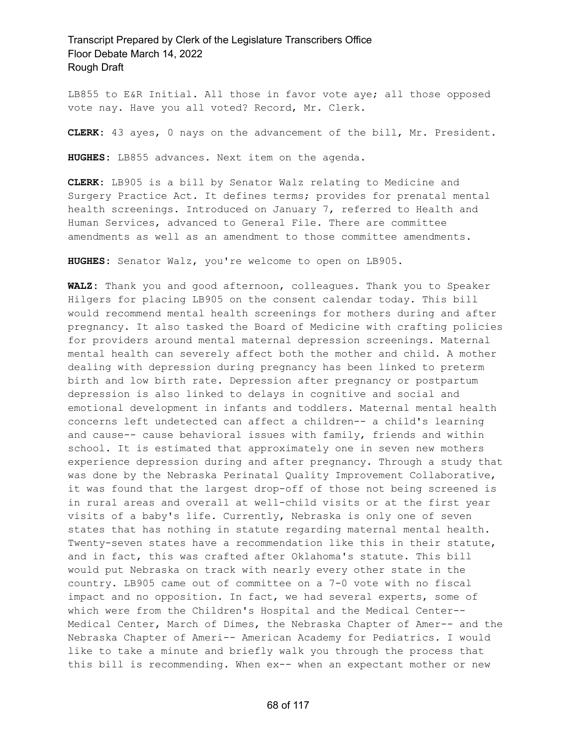LB855 to E&R Initial. All those in favor vote aye; all those opposed vote nay. Have you all voted? Record, Mr. Clerk.

**CLERK:** 43 ayes, 0 nays on the advancement of the bill, Mr. President.

**HUGHES:** LB855 advances. Next item on the agenda.

**CLERK:** LB905 is a bill by Senator Walz relating to Medicine and Surgery Practice Act. It defines terms; provides for prenatal mental health screenings. Introduced on January 7, referred to Health and Human Services, advanced to General File. There are committee amendments as well as an amendment to those committee amendments.

**HUGHES:** Senator Walz, you're welcome to open on LB905.

**WALZ:** Thank you and good afternoon, colleagues. Thank you to Speaker Hilgers for placing LB905 on the consent calendar today. This bill would recommend mental health screenings for mothers during and after pregnancy. It also tasked the Board of Medicine with crafting policies for providers around mental maternal depression screenings. Maternal mental health can severely affect both the mother and child. A mother dealing with depression during pregnancy has been linked to preterm birth and low birth rate. Depression after pregnancy or postpartum depression is also linked to delays in cognitive and social and emotional development in infants and toddlers. Maternal mental health concerns left undetected can affect a children-- a child's learning and cause-- cause behavioral issues with family, friends and within school. It is estimated that approximately one in seven new mothers experience depression during and after pregnancy. Through a study that was done by the Nebraska Perinatal Quality Improvement Collaborative, it was found that the largest drop-off of those not being screened is in rural areas and overall at well-child visits or at the first year visits of a baby's life. Currently, Nebraska is only one of seven states that has nothing in statute regarding maternal mental health. Twenty-seven states have a recommendation like this in their statute, and in fact, this was crafted after Oklahoma's statute. This bill would put Nebraska on track with nearly every other state in the country. LB905 came out of committee on a 7-0 vote with no fiscal impact and no opposition. In fact, we had several experts, some of which were from the Children's Hospital and the Medical Center-- Medical Center, March of Dimes, the Nebraska Chapter of Amer-- and the Nebraska Chapter of Ameri-- American Academy for Pediatrics. I would like to take a minute and briefly walk you through the process that this bill is recommending. When ex-- when an expectant mother or new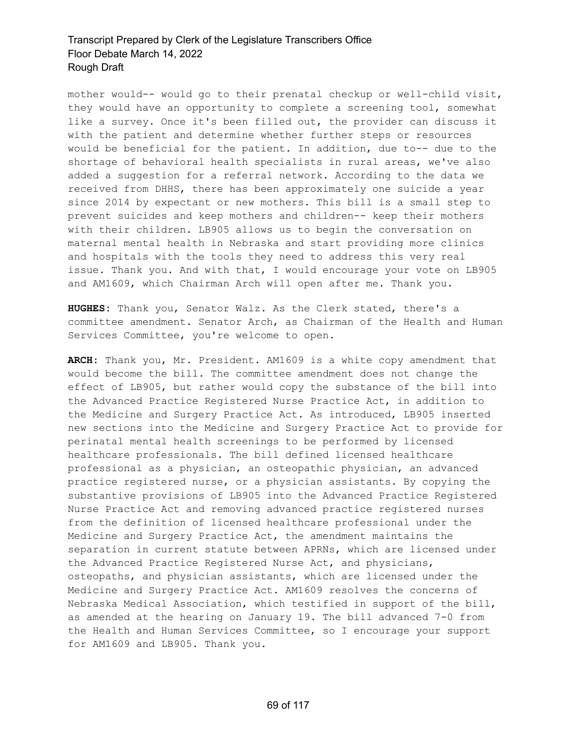mother would-- would go to their prenatal checkup or well-child visit, they would have an opportunity to complete a screening tool, somewhat like a survey. Once it's been filled out, the provider can discuss it with the patient and determine whether further steps or resources would be beneficial for the patient. In addition, due to-- due to the shortage of behavioral health specialists in rural areas, we've also added a suggestion for a referral network. According to the data we received from DHHS, there has been approximately one suicide a year since 2014 by expectant or new mothers. This bill is a small step to prevent suicides and keep mothers and children-- keep their mothers with their children. LB905 allows us to begin the conversation on maternal mental health in Nebraska and start providing more clinics and hospitals with the tools they need to address this very real issue. Thank you. And with that, I would encourage your vote on LB905 and AM1609, which Chairman Arch will open after me. Thank you.

**HUGHES:** Thank you, Senator Walz. As the Clerk stated, there's a committee amendment. Senator Arch, as Chairman of the Health and Human Services Committee, you're welcome to open.

**ARCH:** Thank you, Mr. President. AM1609 is a white copy amendment that would become the bill. The committee amendment does not change the effect of LB905, but rather would copy the substance of the bill into the Advanced Practice Registered Nurse Practice Act, in addition to the Medicine and Surgery Practice Act. As introduced, LB905 inserted new sections into the Medicine and Surgery Practice Act to provide for perinatal mental health screenings to be performed by licensed healthcare professionals. The bill defined licensed healthcare professional as a physician, an osteopathic physician, an advanced practice registered nurse, or a physician assistants. By copying the substantive provisions of LB905 into the Advanced Practice Registered Nurse Practice Act and removing advanced practice registered nurses from the definition of licensed healthcare professional under the Medicine and Surgery Practice Act, the amendment maintains the separation in current statute between APRNs, which are licensed under the Advanced Practice Registered Nurse Act, and physicians, osteopaths, and physician assistants, which are licensed under the Medicine and Surgery Practice Act. AM1609 resolves the concerns of Nebraska Medical Association, which testified in support of the bill, as amended at the hearing on January 19. The bill advanced 7-0 from the Health and Human Services Committee, so I encourage your support for AM1609 and LB905. Thank you.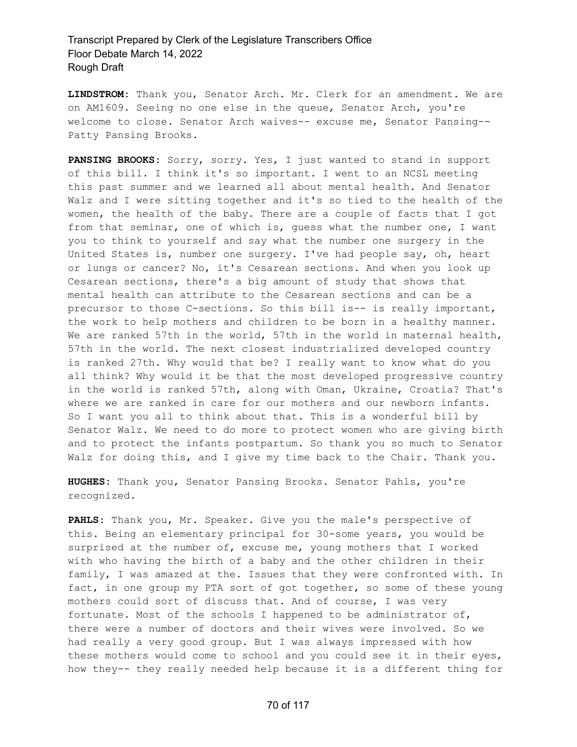**LINDSTROM:** Thank you, Senator Arch. Mr. Clerk for an amendment. We are on AM1609. Seeing no one else in the queue, Senator Arch, you're welcome to close. Senator Arch waives-- excuse me, Senator Pansing-- Patty Pansing Brooks.

**PANSING BROOKS:** Sorry, sorry. Yes, I just wanted to stand in support of this bill. I think it's so important. I went to an NCSL meeting this past summer and we learned all about mental health. And Senator Walz and I were sitting together and it's so tied to the health of the women, the health of the baby. There are a couple of facts that I got from that seminar, one of which is, guess what the number one, I want you to think to yourself and say what the number one surgery in the United States is, number one surgery. I've had people say, oh, heart or lungs or cancer? No, it's Cesarean sections. And when you look up Cesarean sections, there's a big amount of study that shows that mental health can attribute to the Cesarean sections and can be a precursor to those C-sections. So this bill is-- is really important, the work to help mothers and children to be born in a healthy manner. We are ranked 57th in the world, 57th in the world in maternal health, 57th in the world. The next closest industrialized developed country is ranked 27th. Why would that be? I really want to know what do you all think? Why would it be that the most developed progressive country in the world is ranked 57th, along with Oman, Ukraine, Croatia? That's where we are ranked in care for our mothers and our newborn infants. So I want you all to think about that. This is a wonderful bill by Senator Walz. We need to do more to protect women who are giving birth and to protect the infants postpartum. So thank you so much to Senator Walz for doing this, and I give my time back to the Chair. Thank you.

**HUGHES:** Thank you, Senator Pansing Brooks. Senator Pahls, you're recognized.

**PAHLS:** Thank you, Mr. Speaker. Give you the male's perspective of this. Being an elementary principal for 30-some years, you would be surprised at the number of, excuse me, young mothers that I worked with who having the birth of a baby and the other children in their family, I was amazed at the. Issues that they were confronted with. In fact, in one group my PTA sort of got together, so some of these young mothers could sort of discuss that. And of course, I was very fortunate. Most of the schools I happened to be administrator of, there were a number of doctors and their wives were involved. So we had really a very good group. But I was always impressed with how these mothers would come to school and you could see it in their eyes, how they-- they really needed help because it is a different thing for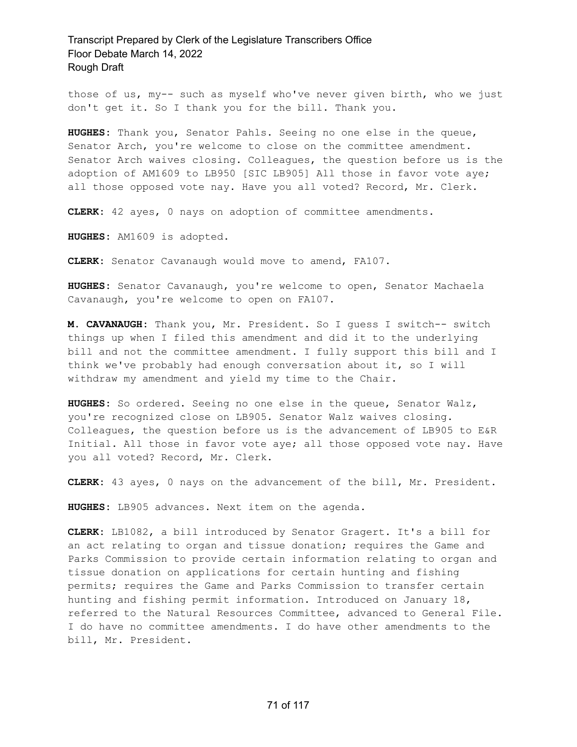those of us, my-- such as myself who've never given birth, who we just don't get it. So I thank you for the bill. Thank you.

**HUGHES:** Thank you, Senator Pahls. Seeing no one else in the queue, Senator Arch, you're welcome to close on the committee amendment. Senator Arch waives closing. Colleagues, the question before us is the adoption of AM1609 to LB950 [SIC LB905] All those in favor vote aye; all those opposed vote nay. Have you all voted? Record, Mr. Clerk.

**CLERK:** 42 ayes, 0 nays on adoption of committee amendments.

**HUGHES:** AM1609 is adopted.

**CLERK:** Senator Cavanaugh would move to amend, FA107.

**HUGHES:** Senator Cavanaugh, you're welcome to open, Senator Machaela Cavanaugh, you're welcome to open on FA107.

**M. CAVANAUGH:** Thank you, Mr. President. So I guess I switch-- switch things up when I filed this amendment and did it to the underlying bill and not the committee amendment. I fully support this bill and I think we've probably had enough conversation about it, so I will withdraw my amendment and yield my time to the Chair.

**HUGHES:** So ordered. Seeing no one else in the queue, Senator Walz, you're recognized close on LB905. Senator Walz waives closing. Colleagues, the question before us is the advancement of LB905 to E&R Initial. All those in favor vote aye; all those opposed vote nay. Have you all voted? Record, Mr. Clerk.

**CLERK:** 43 ayes, 0 nays on the advancement of the bill, Mr. President.

**HUGHES:** LB905 advances. Next item on the agenda.

**CLERK:** LB1082, a bill introduced by Senator Gragert. It's a bill for an act relating to organ and tissue donation; requires the Game and Parks Commission to provide certain information relating to organ and tissue donation on applications for certain hunting and fishing permits; requires the Game and Parks Commission to transfer certain hunting and fishing permit information. Introduced on January 18, referred to the Natural Resources Committee, advanced to General File. I do have no committee amendments. I do have other amendments to the bill, Mr. President.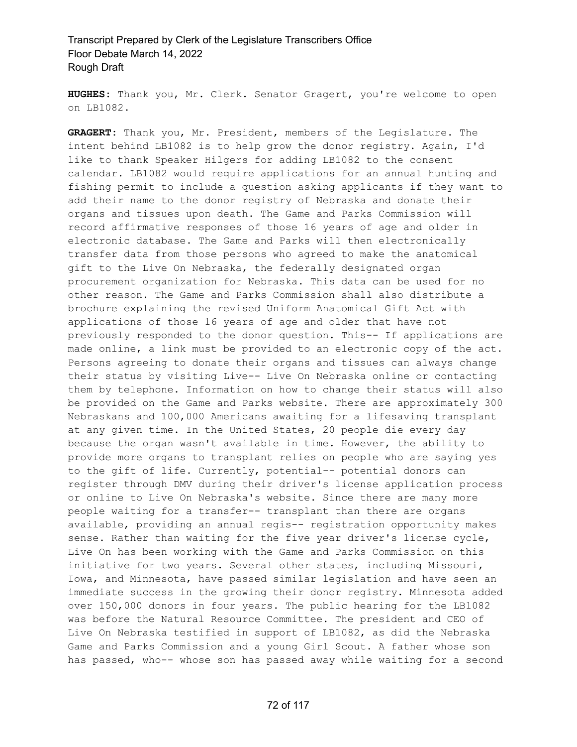**HUGHES:** Thank you, Mr. Clerk. Senator Gragert, you're welcome to open on LB1082.

**GRAGERT:** Thank you, Mr. President, members of the Legislature. The intent behind LB1082 is to help grow the donor registry. Again, I'd like to thank Speaker Hilgers for adding LB1082 to the consent calendar. LB1082 would require applications for an annual hunting and fishing permit to include a question asking applicants if they want to add their name to the donor registry of Nebraska and donate their organs and tissues upon death. The Game and Parks Commission will record affirmative responses of those 16 years of age and older in electronic database. The Game and Parks will then electronically transfer data from those persons who agreed to make the anatomical gift to the Live On Nebraska, the federally designated organ procurement organization for Nebraska. This data can be used for no other reason. The Game and Parks Commission shall also distribute a brochure explaining the revised Uniform Anatomical Gift Act with applications of those 16 years of age and older that have not previously responded to the donor question. This-- If applications are made online, a link must be provided to an electronic copy of the act. Persons agreeing to donate their organs and tissues can always change their status by visiting Live-- Live On Nebraska online or contacting them by telephone. Information on how to change their status will also be provided on the Game and Parks website. There are approximately 300 Nebraskans and 100,000 Americans awaiting for a lifesaving transplant at any given time. In the United States, 20 people die every day because the organ wasn't available in time. However, the ability to provide more organs to transplant relies on people who are saying yes to the gift of life. Currently, potential-- potential donors can register through DMV during their driver's license application process or online to Live On Nebraska's website. Since there are many more people waiting for a transfer-- transplant than there are organs available, providing an annual regis-- registration opportunity makes sense. Rather than waiting for the five year driver's license cycle, Live On has been working with the Game and Parks Commission on this initiative for two years. Several other states, including Missouri, Iowa, and Minnesota, have passed similar legislation and have seen an immediate success in the growing their donor registry. Minnesota added over 150,000 donors in four years. The public hearing for the LB1082 was before the Natural Resource Committee. The president and CEO of Live On Nebraska testified in support of LB1082, as did the Nebraska Game and Parks Commission and a young Girl Scout. A father whose son has passed, who-- whose son has passed away while waiting for a second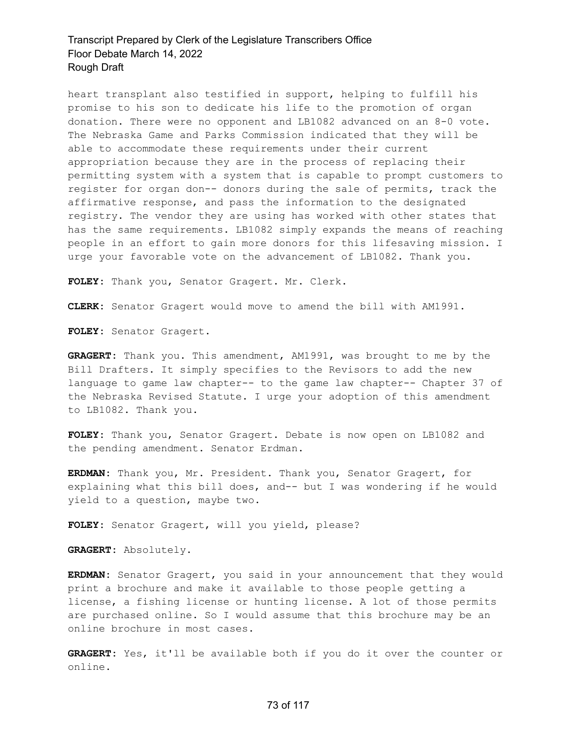heart transplant also testified in support, helping to fulfill his promise to his son to dedicate his life to the promotion of organ donation. There were no opponent and LB1082 advanced on an 8-0 vote. The Nebraska Game and Parks Commission indicated that they will be able to accommodate these requirements under their current appropriation because they are in the process of replacing their permitting system with a system that is capable to prompt customers to register for organ don-- donors during the sale of permits, track the affirmative response, and pass the information to the designated registry. The vendor they are using has worked with other states that has the same requirements. LB1082 simply expands the means of reaching people in an effort to gain more donors for this lifesaving mission. I urge your favorable vote on the advancement of LB1082. Thank you.

**FOLEY:** Thank you, Senator Gragert. Mr. Clerk.

**CLERK:** Senator Gragert would move to amend the bill with AM1991.

**FOLEY:** Senator Gragert.

**GRAGERT:** Thank you. This amendment, AM1991, was brought to me by the Bill Drafters. It simply specifies to the Revisors to add the new language to game law chapter-- to the game law chapter-- Chapter 37 of the Nebraska Revised Statute. I urge your adoption of this amendment to LB1082. Thank you.

**FOLEY:** Thank you, Senator Gragert. Debate is now open on LB1082 and the pending amendment. Senator Erdman.

**ERDMAN:** Thank you, Mr. President. Thank you, Senator Gragert, for explaining what this bill does, and-- but I was wondering if he would yield to a question, maybe two.

**FOLEY:** Senator Gragert, will you yield, please?

**GRAGERT:** Absolutely.

**ERDMAN:** Senator Gragert, you said in your announcement that they would print a brochure and make it available to those people getting a license, a fishing license or hunting license. A lot of those permits are purchased online. So I would assume that this brochure may be an online brochure in most cases.

**GRAGERT:** Yes, it'll be available both if you do it over the counter or online.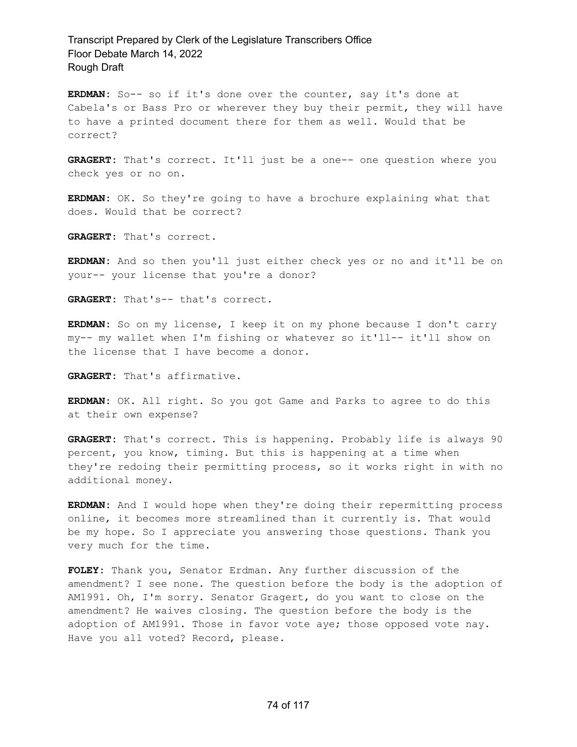**ERDMAN:** So-- so if it's done over the counter, say it's done at Cabela's or Bass Pro or wherever they buy their permit, they will have to have a printed document there for them as well. Would that be correct?

**GRAGERT:** That's correct. It'll just be a one-- one question where you check yes or no on.

**ERDMAN:** OK. So they're going to have a brochure explaining what that does. Would that be correct?

**GRAGERT:** That's correct.

**ERDMAN:** And so then you'll just either check yes or no and it'll be on your-- your license that you're a donor?

**GRAGERT:** That's-- that's correct.

**ERDMAN:** So on my license, I keep it on my phone because I don't carry my-- my wallet when I'm fishing or whatever so it'll-- it'll show on the license that I have become a donor.

**GRAGERT:** That's affirmative.

**ERDMAN:** OK. All right. So you got Game and Parks to agree to do this at their own expense?

**GRAGERT:** That's correct. This is happening. Probably life is always 90 percent, you know, timing. But this is happening at a time when they're redoing their permitting process, so it works right in with no additional money.

**ERDMAN:** And I would hope when they're doing their repermitting process online, it becomes more streamlined than it currently is. That would be my hope. So I appreciate you answering those questions. Thank you very much for the time.

**FOLEY:** Thank you, Senator Erdman. Any further discussion of the amendment? I see none. The question before the body is the adoption of AM1991. Oh, I'm sorry. Senator Gragert, do you want to close on the amendment? He waives closing. The question before the body is the adoption of AM1991. Those in favor vote aye; those opposed vote nay. Have you all voted? Record, please.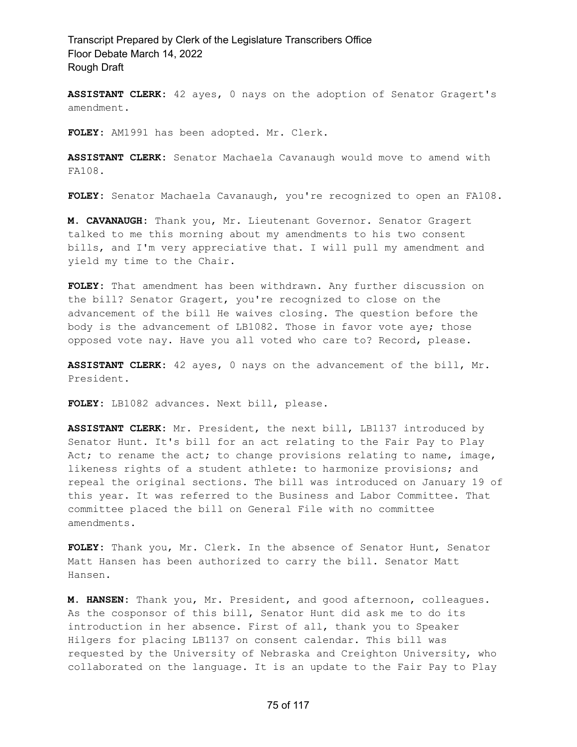**ASSISTANT CLERK:** 42 ayes, 0 nays on the adoption of Senator Gragert's amendment.

**FOLEY:** AM1991 has been adopted. Mr. Clerk.

**ASSISTANT CLERK:** Senator Machaela Cavanaugh would move to amend with FA108.

**FOLEY:** Senator Machaela Cavanaugh, you're recognized to open an FA108.

**M. CAVANAUGH:** Thank you, Mr. Lieutenant Governor. Senator Gragert talked to me this morning about my amendments to his two consent bills, and I'm very appreciative that. I will pull my amendment and yield my time to the Chair.

**FOLEY:** That amendment has been withdrawn. Any further discussion on the bill? Senator Gragert, you're recognized to close on the advancement of the bill He waives closing. The question before the body is the advancement of LB1082. Those in favor vote aye; those opposed vote nay. Have you all voted who care to? Record, please.

**ASSISTANT CLERK:** 42 ayes, 0 nays on the advancement of the bill, Mr. President.

**FOLEY:** LB1082 advances. Next bill, please.

**ASSISTANT CLERK:** Mr. President, the next bill, LB1137 introduced by Senator Hunt. It's bill for an act relating to the Fair Pay to Play Act; to rename the act; to change provisions relating to name, image, likeness rights of a student athlete: to harmonize provisions; and repeal the original sections. The bill was introduced on January 19 of this year. It was referred to the Business and Labor Committee. That committee placed the bill on General File with no committee amendments.

**FOLEY:** Thank you, Mr. Clerk. In the absence of Senator Hunt, Senator Matt Hansen has been authorized to carry the bill. Senator Matt Hansen.

**M. HANSEN:** Thank you, Mr. President, and good afternoon, colleagues. As the cosponsor of this bill, Senator Hunt did ask me to do its introduction in her absence. First of all, thank you to Speaker Hilgers for placing LB1137 on consent calendar. This bill was requested by the University of Nebraska and Creighton University, who collaborated on the language. It is an update to the Fair Pay to Play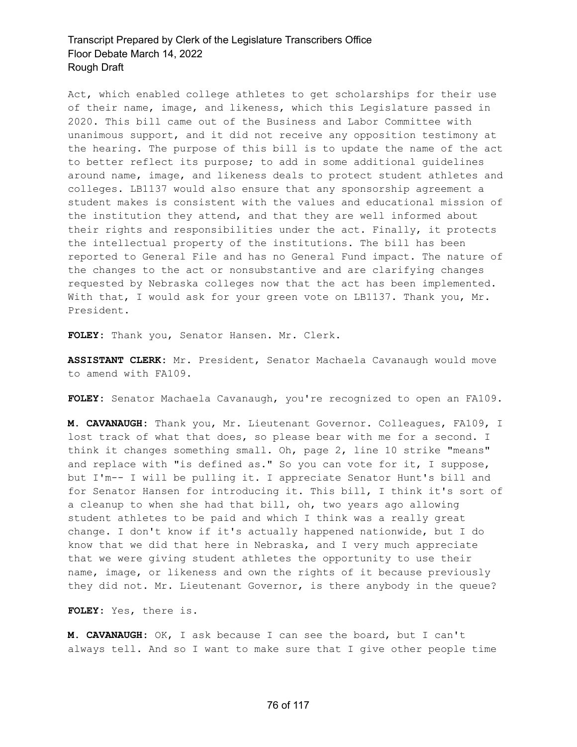Act, which enabled college athletes to get scholarships for their use of their name, image, and likeness, which this Legislature passed in 2020. This bill came out of the Business and Labor Committee with unanimous support, and it did not receive any opposition testimony at the hearing. The purpose of this bill is to update the name of the act to better reflect its purpose; to add in some additional guidelines around name, image, and likeness deals to protect student athletes and colleges. LB1137 would also ensure that any sponsorship agreement a student makes is consistent with the values and educational mission of the institution they attend, and that they are well informed about their rights and responsibilities under the act. Finally, it protects the intellectual property of the institutions. The bill has been reported to General File and has no General Fund impact. The nature of the changes to the act or nonsubstantive and are clarifying changes requested by Nebraska colleges now that the act has been implemented. With that, I would ask for your green vote on LB1137. Thank you, Mr. President.

**FOLEY:** Thank you, Senator Hansen. Mr. Clerk.

**ASSISTANT CLERK:** Mr. President, Senator Machaela Cavanaugh would move to amend with FA109.

**FOLEY:** Senator Machaela Cavanaugh, you're recognized to open an FA109.

**M. CAVANAUGH:** Thank you, Mr. Lieutenant Governor. Colleagues, FA109, I lost track of what that does, so please bear with me for a second. I think it changes something small. Oh, page 2, line 10 strike "means" and replace with "is defined as." So you can vote for it, I suppose, but I'm-- I will be pulling it. I appreciate Senator Hunt's bill and for Senator Hansen for introducing it. This bill, I think it's sort of a cleanup to when she had that bill, oh, two years ago allowing student athletes to be paid and which I think was a really great change. I don't know if it's actually happened nationwide, but I do know that we did that here in Nebraska, and I very much appreciate that we were giving student athletes the opportunity to use their name, image, or likeness and own the rights of it because previously they did not. Mr. Lieutenant Governor, is there anybody in the queue?

**FOLEY:** Yes, there is.

**M. CAVANAUGH:** OK, I ask because I can see the board, but I can't always tell. And so I want to make sure that I give other people time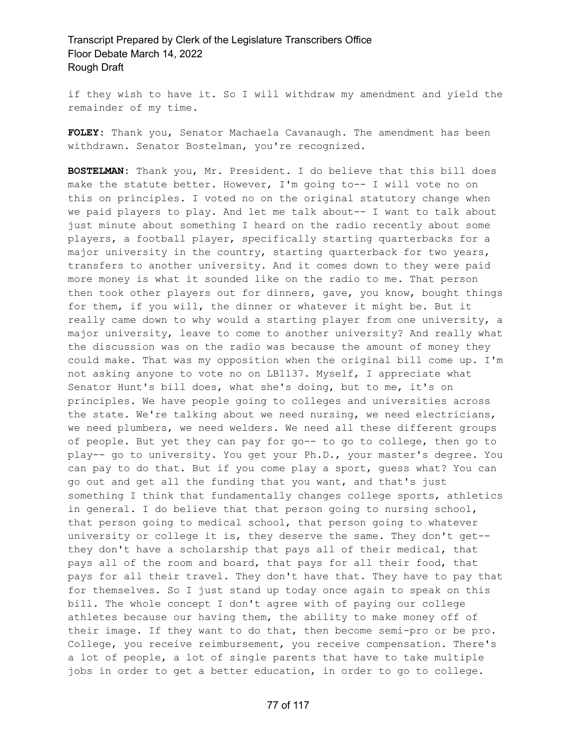if they wish to have it. So I will withdraw my amendment and yield the remainder of my time.

**FOLEY:** Thank you, Senator Machaela Cavanaugh. The amendment has been withdrawn. Senator Bostelman, you're recognized.

**BOSTELMAN:** Thank you, Mr. President. I do believe that this bill does make the statute better. However, I'm going to-- I will vote no on this on principles. I voted no on the original statutory change when we paid players to play. And let me talk about-- I want to talk about just minute about something I heard on the radio recently about some players, a football player, specifically starting quarterbacks for a major university in the country, starting quarterback for two years, transfers to another university. And it comes down to they were paid more money is what it sounded like on the radio to me. That person then took other players out for dinners, gave, you know, bought things for them, if you will, the dinner or whatever it might be. But it really came down to why would a starting player from one university, a major university, leave to come to another university? And really what the discussion was on the radio was because the amount of money they could make. That was my opposition when the original bill come up. I'm not asking anyone to vote no on LB1137. Myself, I appreciate what Senator Hunt's bill does, what she's doing, but to me, it's on principles. We have people going to colleges and universities across the state. We're talking about we need nursing, we need electricians, we need plumbers, we need welders. We need all these different groups of people. But yet they can pay for go-- to go to college, then go to play-- go to university. You get your Ph.D., your master's degree. You can pay to do that. But if you come play a sport, guess what? You can go out and get all the funding that you want, and that's just something I think that fundamentally changes college sports, athletics in general. I do believe that that person going to nursing school, that person going to medical school, that person going to whatever university or college it is, they deserve the same. They don't get- they don't have a scholarship that pays all of their medical, that pays all of the room and board, that pays for all their food, that pays for all their travel. They don't have that. They have to pay that for themselves. So I just stand up today once again to speak on this bill. The whole concept I don't agree with of paying our college athletes because our having them, the ability to make money off of their image. If they want to do that, then become semi-pro or be pro. College, you receive reimbursement, you receive compensation. There's a lot of people, a lot of single parents that have to take multiple jobs in order to get a better education, in order to go to college.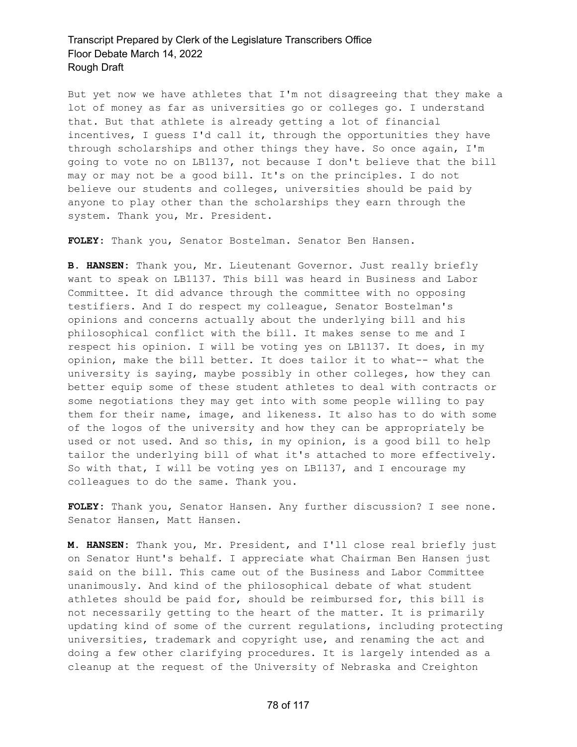But yet now we have athletes that I'm not disagreeing that they make a lot of money as far as universities go or colleges go. I understand that. But that athlete is already getting a lot of financial incentives, I guess I'd call it, through the opportunities they have through scholarships and other things they have. So once again, I'm going to vote no on LB1137, not because I don't believe that the bill may or may not be a good bill. It's on the principles. I do not believe our students and colleges, universities should be paid by anyone to play other than the scholarships they earn through the system. Thank you, Mr. President.

**FOLEY:** Thank you, Senator Bostelman. Senator Ben Hansen.

**B. HANSEN:** Thank you, Mr. Lieutenant Governor. Just really briefly want to speak on LB1137. This bill was heard in Business and Labor Committee. It did advance through the committee with no opposing testifiers. And I do respect my colleague, Senator Bostelman's opinions and concerns actually about the underlying bill and his philosophical conflict with the bill. It makes sense to me and I respect his opinion. I will be voting yes on LB1137. It does, in my opinion, make the bill better. It does tailor it to what-- what the university is saying, maybe possibly in other colleges, how they can better equip some of these student athletes to deal with contracts or some negotiations they may get into with some people willing to pay them for their name, image, and likeness. It also has to do with some of the logos of the university and how they can be appropriately be used or not used. And so this, in my opinion, is a good bill to help tailor the underlying bill of what it's attached to more effectively. So with that, I will be voting yes on LB1137, and I encourage my colleagues to do the same. Thank you.

**FOLEY:** Thank you, Senator Hansen. Any further discussion? I see none. Senator Hansen, Matt Hansen.

**M. HANSEN:** Thank you, Mr. President, and I'll close real briefly just on Senator Hunt's behalf. I appreciate what Chairman Ben Hansen just said on the bill. This came out of the Business and Labor Committee unanimously. And kind of the philosophical debate of what student athletes should be paid for, should be reimbursed for, this bill is not necessarily getting to the heart of the matter. It is primarily updating kind of some of the current regulations, including protecting universities, trademark and copyright use, and renaming the act and doing a few other clarifying procedures. It is largely intended as a cleanup at the request of the University of Nebraska and Creighton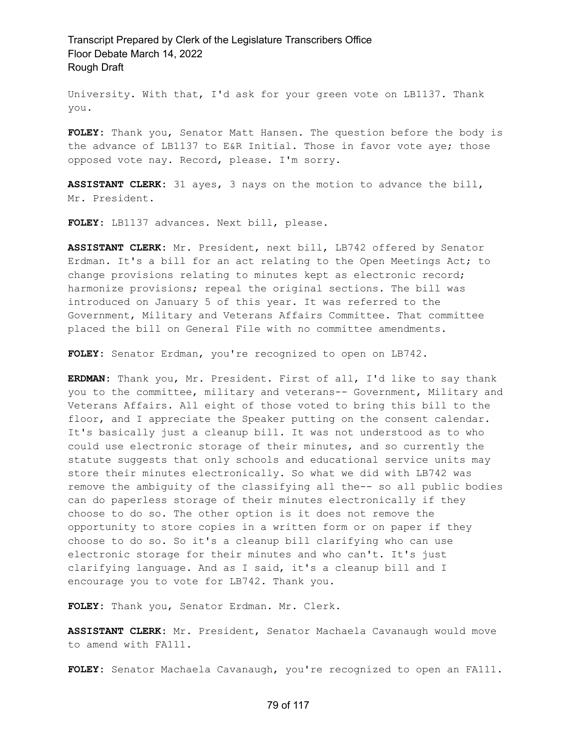University. With that, I'd ask for your green vote on LB1137. Thank you.

**FOLEY:** Thank you, Senator Matt Hansen. The question before the body is the advance of LB1137 to E&R Initial. Those in favor vote aye; those opposed vote nay. Record, please. I'm sorry.

**ASSISTANT CLERK:** 31 ayes, 3 nays on the motion to advance the bill, Mr. President.

**FOLEY:** LB1137 advances. Next bill, please.

**ASSISTANT CLERK:** Mr. President, next bill, LB742 offered by Senator Erdman. It's a bill for an act relating to the Open Meetings Act; to change provisions relating to minutes kept as electronic record; harmonize provisions; repeal the original sections. The bill was introduced on January 5 of this year. It was referred to the Government, Military and Veterans Affairs Committee. That committee placed the bill on General File with no committee amendments.

**FOLEY:** Senator Erdman, you're recognized to open on LB742.

**ERDMAN:** Thank you, Mr. President. First of all, I'd like to say thank you to the committee, military and veterans-- Government, Military and Veterans Affairs. All eight of those voted to bring this bill to the floor, and I appreciate the Speaker putting on the consent calendar. It's basically just a cleanup bill. It was not understood as to who could use electronic storage of their minutes, and so currently the statute suggests that only schools and educational service units may store their minutes electronically. So what we did with LB742 was remove the ambiguity of the classifying all the-- so all public bodies can do paperless storage of their minutes electronically if they choose to do so. The other option is it does not remove the opportunity to store copies in a written form or on paper if they choose to do so. So it's a cleanup bill clarifying who can use electronic storage for their minutes and who can't. It's just clarifying language. And as I said, it's a cleanup bill and I encourage you to vote for LB742. Thank you.

**FOLEY:** Thank you, Senator Erdman. Mr. Clerk.

**ASSISTANT CLERK:** Mr. President, Senator Machaela Cavanaugh would move to amend with FA111.

**FOLEY:** Senator Machaela Cavanaugh, you're recognized to open an FA111.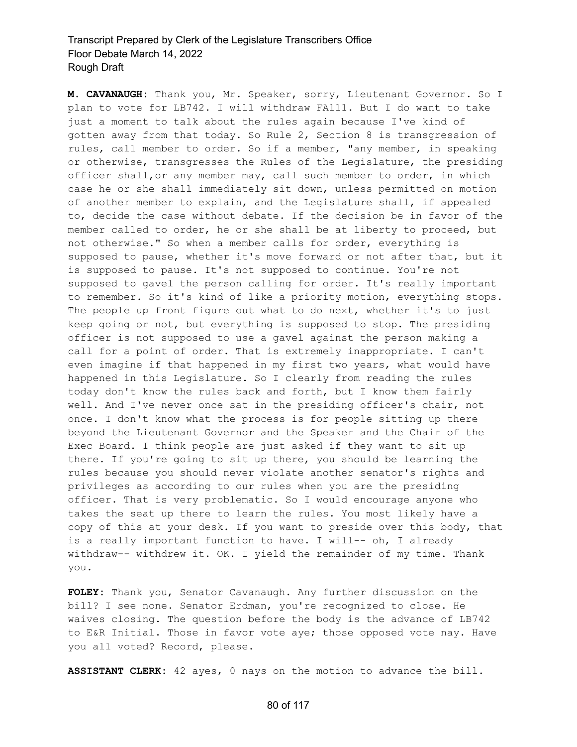**M. CAVANAUGH:** Thank you, Mr. Speaker, sorry, Lieutenant Governor. So I plan to vote for LB742. I will withdraw FA111. But I do want to take just a moment to talk about the rules again because I've kind of gotten away from that today. So Rule 2, Section 8 is transgression of rules, call member to order. So if a member, "any member, in speaking or otherwise, transgresses the Rules of the Legislature, the presiding officer shall,or any member may, call such member to order, in which case he or she shall immediately sit down, unless permitted on motion of another member to explain, and the Legislature shall, if appealed to, decide the case without debate. If the decision be in favor of the member called to order, he or she shall be at liberty to proceed, but not otherwise." So when a member calls for order, everything is supposed to pause, whether it's move forward or not after that, but it is supposed to pause. It's not supposed to continue. You're not supposed to gavel the person calling for order. It's really important to remember. So it's kind of like a priority motion, everything stops. The people up front figure out what to do next, whether it's to just keep going or not, but everything is supposed to stop. The presiding officer is not supposed to use a gavel against the person making a call for a point of order. That is extremely inappropriate. I can't even imagine if that happened in my first two years, what would have happened in this Legislature. So I clearly from reading the rules today don't know the rules back and forth, but I know them fairly well. And I've never once sat in the presiding officer's chair, not once. I don't know what the process is for people sitting up there beyond the Lieutenant Governor and the Speaker and the Chair of the Exec Board. I think people are just asked if they want to sit up there. If you're going to sit up there, you should be learning the rules because you should never violate another senator's rights and privileges as according to our rules when you are the presiding officer. That is very problematic. So I would encourage anyone who takes the seat up there to learn the rules. You most likely have a copy of this at your desk. If you want to preside over this body, that is a really important function to have. I will-- oh, I already withdraw-- withdrew it. OK. I yield the remainder of my time. Thank you.

**FOLEY:** Thank you, Senator Cavanaugh. Any further discussion on the bill? I see none. Senator Erdman, you're recognized to close. He waives closing. The question before the body is the advance of LB742 to E&R Initial. Those in favor vote aye; those opposed vote nay. Have you all voted? Record, please.

**ASSISTANT CLERK:** 42 ayes, 0 nays on the motion to advance the bill.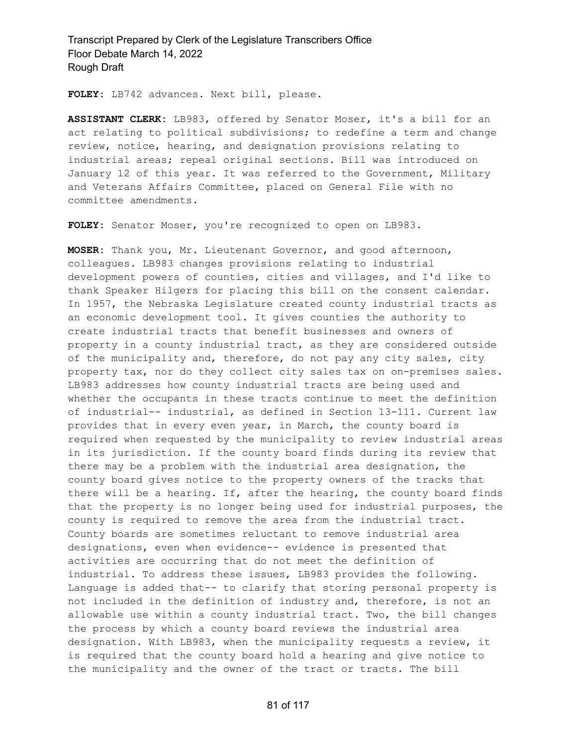**FOLEY:** LB742 advances. Next bill, please.

**ASSISTANT CLERK:** LB983, offered by Senator Moser, it's a bill for an act relating to political subdivisions; to redefine a term and change review, notice, hearing, and designation provisions relating to industrial areas; repeal original sections. Bill was introduced on January 12 of this year. It was referred to the Government, Military and Veterans Affairs Committee, placed on General File with no committee amendments.

**FOLEY:** Senator Moser, you're recognized to open on LB983.

**MOSER:** Thank you, Mr. Lieutenant Governor, and good afternoon, colleagues. LB983 changes provisions relating to industrial development powers of counties, cities and villages, and I'd like to thank Speaker Hilgers for placing this bill on the consent calendar. In 1957, the Nebraska Legislature created county industrial tracts as an economic development tool. It gives counties the authority to create industrial tracts that benefit businesses and owners of property in a county industrial tract, as they are considered outside of the municipality and, therefore, do not pay any city sales, city property tax, nor do they collect city sales tax on on-premises sales. LB983 addresses how county industrial tracts are being used and whether the occupants in these tracts continue to meet the definition of industrial-- industrial, as defined in Section 13-111. Current law provides that in every even year, in March, the county board is required when requested by the municipality to review industrial areas in its jurisdiction. If the county board finds during its review that there may be a problem with the industrial area designation, the county board gives notice to the property owners of the tracks that there will be a hearing. If, after the hearing, the county board finds that the property is no longer being used for industrial purposes, the county is required to remove the area from the industrial tract. County boards are sometimes reluctant to remove industrial area designations, even when evidence-- evidence is presented that activities are occurring that do not meet the definition of industrial. To address these issues, LB983 provides the following. Language is added that-- to clarify that storing personal property is not included in the definition of industry and, therefore, is not an allowable use within a county industrial tract. Two, the bill changes the process by which a county board reviews the industrial area designation. With LB983, when the municipality requests a review, it is required that the county board hold a hearing and give notice to the municipality and the owner of the tract or tracts. The bill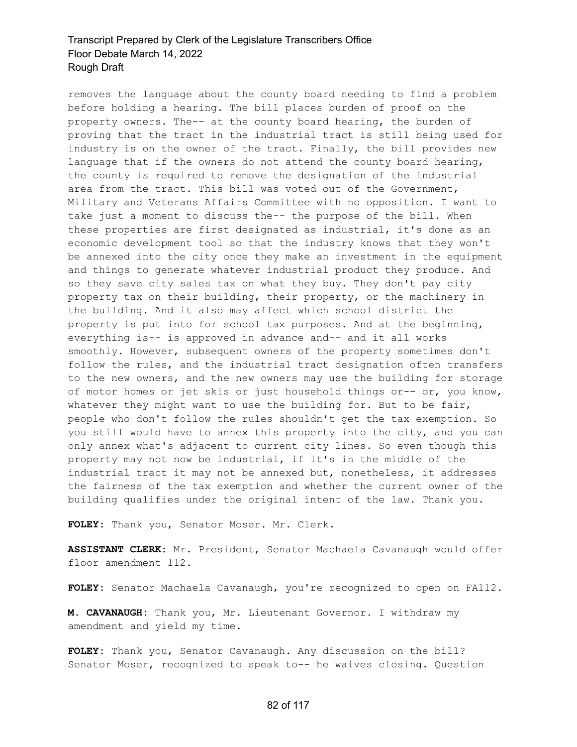removes the language about the county board needing to find a problem before holding a hearing. The bill places burden of proof on the property owners. The-- at the county board hearing, the burden of proving that the tract in the industrial tract is still being used for industry is on the owner of the tract. Finally, the bill provides new language that if the owners do not attend the county board hearing, the county is required to remove the designation of the industrial area from the tract. This bill was voted out of the Government, Military and Veterans Affairs Committee with no opposition. I want to take just a moment to discuss the-- the purpose of the bill. When these properties are first designated as industrial, it's done as an economic development tool so that the industry knows that they won't be annexed into the city once they make an investment in the equipment and things to generate whatever industrial product they produce. And so they save city sales tax on what they buy. They don't pay city property tax on their building, their property, or the machinery in the building. And it also may affect which school district the property is put into for school tax purposes. And at the beginning, everything is-- is approved in advance and-- and it all works smoothly. However, subsequent owners of the property sometimes don't follow the rules, and the industrial tract designation often transfers to the new owners, and the new owners may use the building for storage of motor homes or jet skis or just household things or-- or, you know, whatever they might want to use the building for. But to be fair, people who don't follow the rules shouldn't get the tax exemption. So you still would have to annex this property into the city, and you can only annex what's adjacent to current city lines. So even though this property may not now be industrial, if it's in the middle of the industrial tract it may not be annexed but, nonetheless, it addresses the fairness of the tax exemption and whether the current owner of the building qualifies under the original intent of the law. Thank you.

**FOLEY:** Thank you, Senator Moser. Mr. Clerk.

**ASSISTANT CLERK:** Mr. President, Senator Machaela Cavanaugh would offer floor amendment 112.

**FOLEY:** Senator Machaela Cavanaugh, you're recognized to open on FA112.

**M. CAVANAUGH:** Thank you, Mr. Lieutenant Governor. I withdraw my amendment and yield my time.

**FOLEY:** Thank you, Senator Cavanaugh. Any discussion on the bill? Senator Moser, recognized to speak to-- he waives closing. Question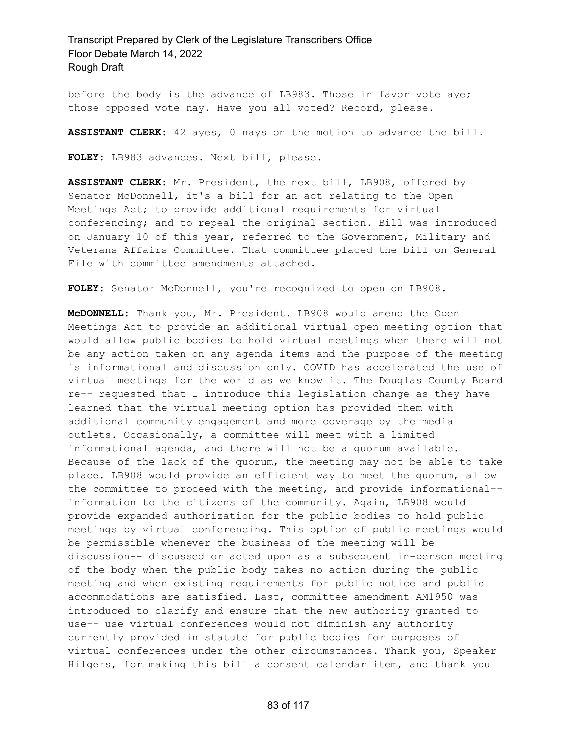before the body is the advance of LB983. Those in favor vote aye; those opposed vote nay. Have you all voted? Record, please.

**ASSISTANT CLERK:** 42 ayes, 0 nays on the motion to advance the bill.

**FOLEY:** LB983 advances. Next bill, please.

**ASSISTANT CLERK:** Mr. President, the next bill, LB908, offered by Senator McDonnell, it's a bill for an act relating to the Open Meetings Act; to provide additional requirements for virtual conferencing; and to repeal the original section. Bill was introduced on January 10 of this year, referred to the Government, Military and Veterans Affairs Committee. That committee placed the bill on General File with committee amendments attached.

**FOLEY:** Senator McDonnell, you're recognized to open on LB908.

**McDONNELL:** Thank you, Mr. President. LB908 would amend the Open Meetings Act to provide an additional virtual open meeting option that would allow public bodies to hold virtual meetings when there will not be any action taken on any agenda items and the purpose of the meeting is informational and discussion only. COVID has accelerated the use of virtual meetings for the world as we know it. The Douglas County Board re-- requested that I introduce this legislation change as they have learned that the virtual meeting option has provided them with additional community engagement and more coverage by the media outlets. Occasionally, a committee will meet with a limited informational agenda, and there will not be a quorum available. Because of the lack of the quorum, the meeting may not be able to take place. LB908 would provide an efficient way to meet the quorum, allow the committee to proceed with the meeting, and provide informational- information to the citizens of the community. Again, LB908 would provide expanded authorization for the public bodies to hold public meetings by virtual conferencing. This option of public meetings would be permissible whenever the business of the meeting will be discussion-- discussed or acted upon as a subsequent in-person meeting of the body when the public body takes no action during the public meeting and when existing requirements for public notice and public accommodations are satisfied. Last, committee amendment AM1950 was introduced to clarify and ensure that the new authority granted to use-- use virtual conferences would not diminish any authority currently provided in statute for public bodies for purposes of virtual conferences under the other circumstances. Thank you, Speaker Hilgers, for making this bill a consent calendar item, and thank you

83 of 117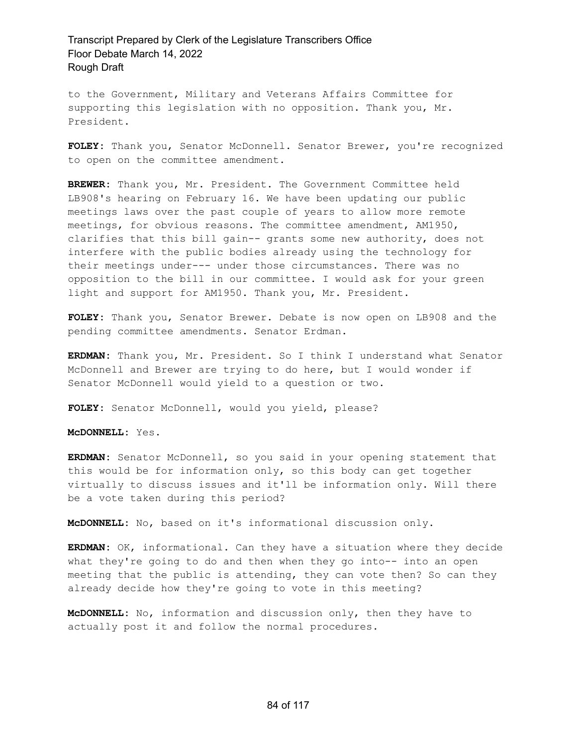to the Government, Military and Veterans Affairs Committee for supporting this legislation with no opposition. Thank you, Mr. President.

**FOLEY:** Thank you, Senator McDonnell. Senator Brewer, you're recognized to open on the committee amendment.

**BREWER:** Thank you, Mr. President. The Government Committee held LB908's hearing on February 16. We have been updating our public meetings laws over the past couple of years to allow more remote meetings, for obvious reasons. The committee amendment, AM1950, clarifies that this bill gain-- grants some new authority, does not interfere with the public bodies already using the technology for their meetings under--- under those circumstances. There was no opposition to the bill in our committee. I would ask for your green light and support for AM1950. Thank you, Mr. President.

**FOLEY:** Thank you, Senator Brewer. Debate is now open on LB908 and the pending committee amendments. Senator Erdman.

**ERDMAN:** Thank you, Mr. President. So I think I understand what Senator McDonnell and Brewer are trying to do here, but I would wonder if Senator McDonnell would yield to a question or two.

**FOLEY:** Senator McDonnell, would you yield, please?

**McDONNELL:** Yes.

**ERDMAN:** Senator McDonnell, so you said in your opening statement that this would be for information only, so this body can get together virtually to discuss issues and it'll be information only. Will there be a vote taken during this period?

**McDONNELL:** No, based on it's informational discussion only.

**ERDMAN:** OK, informational. Can they have a situation where they decide what they're going to do and then when they go into-- into an open meeting that the public is attending, they can vote then? So can they already decide how they're going to vote in this meeting?

**McDONNELL:** No, information and discussion only, then they have to actually post it and follow the normal procedures.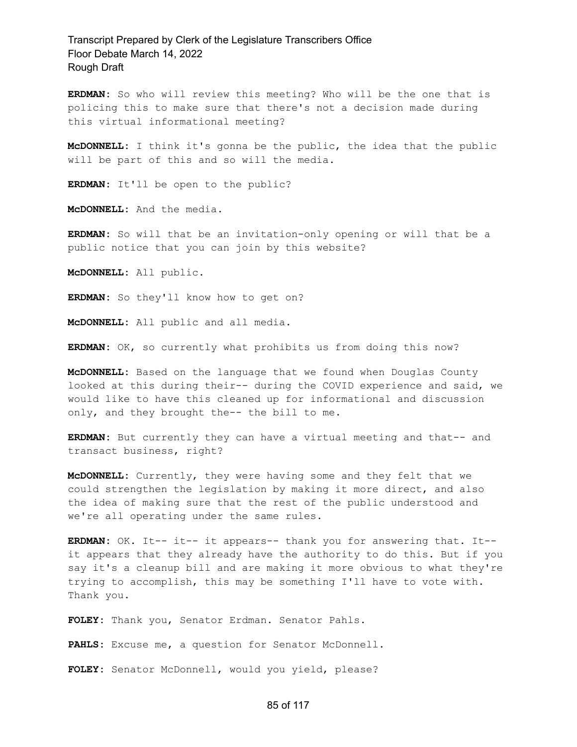**ERDMAN:** So who will review this meeting? Who will be the one that is policing this to make sure that there's not a decision made during this virtual informational meeting?

**McDONNELL:** I think it's gonna be the public, the idea that the public will be part of this and so will the media.

**ERDMAN:** It'll be open to the public?

**McDONNELL:** And the media.

**ERDMAN:** So will that be an invitation-only opening or will that be a public notice that you can join by this website?

**McDONNELL:** All public.

**ERDMAN:** So they'll know how to get on?

**McDONNELL:** All public and all media.

**ERDMAN:** OK, so currently what prohibits us from doing this now?

**McDONNELL:** Based on the language that we found when Douglas County looked at this during their-- during the COVID experience and said, we would like to have this cleaned up for informational and discussion only, and they brought the-- the bill to me.

**ERDMAN:** But currently they can have a virtual meeting and that-- and transact business, right?

**McDONNELL:** Currently, they were having some and they felt that we could strengthen the legislation by making it more direct, and also the idea of making sure that the rest of the public understood and we're all operating under the same rules.

**ERDMAN:** OK. It-- it-- it appears-- thank you for answering that. It- it appears that they already have the authority to do this. But if you say it's a cleanup bill and are making it more obvious to what they're trying to accomplish, this may be something I'll have to vote with. Thank you.

**FOLEY:** Thank you, Senator Erdman. Senator Pahls.

**PAHLS:** Excuse me, a question for Senator McDonnell.

**FOLEY:** Senator McDonnell, would you yield, please?

#### 85 of 117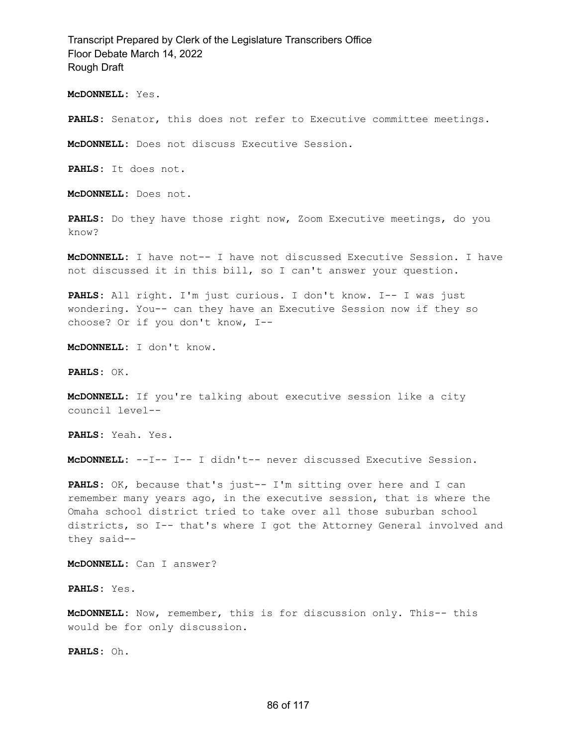**McDONNELL:** Yes.

PAHLS: Senator, this does not refer to Executive committee meetings.

**McDONNELL:** Does not discuss Executive Session.

**PAHLS:** It does not.

**McDONNELL:** Does not.

PAHLS: Do they have those right now, Zoom Executive meetings, do you know?

**McDONNELL:** I have not-- I have not discussed Executive Session. I have not discussed it in this bill, so I can't answer your question.

**PAHLS:** All right. I'm just curious. I don't know. I-- I was just wondering. You-- can they have an Executive Session now if they so choose? Or if you don't know, I--

**McDONNELL:** I don't know.

**PAHLS:** OK.

**McDONNELL:** If you're talking about executive session like a city council level--

**PAHLS:** Yeah. Yes.

**McDONNELL:** --I-- I-- I didn't-- never discussed Executive Session.

**PAHLS:** OK, because that's just-- I'm sitting over here and I can remember many years ago, in the executive session, that is where the Omaha school district tried to take over all those suburban school districts, so I-- that's where I got the Attorney General involved and they said--

**McDONNELL:** Can I answer?

**PAHLS:** Yes.

**McDONNELL:** Now, remember, this is for discussion only. This-- this would be for only discussion.

**PAHLS:** Oh.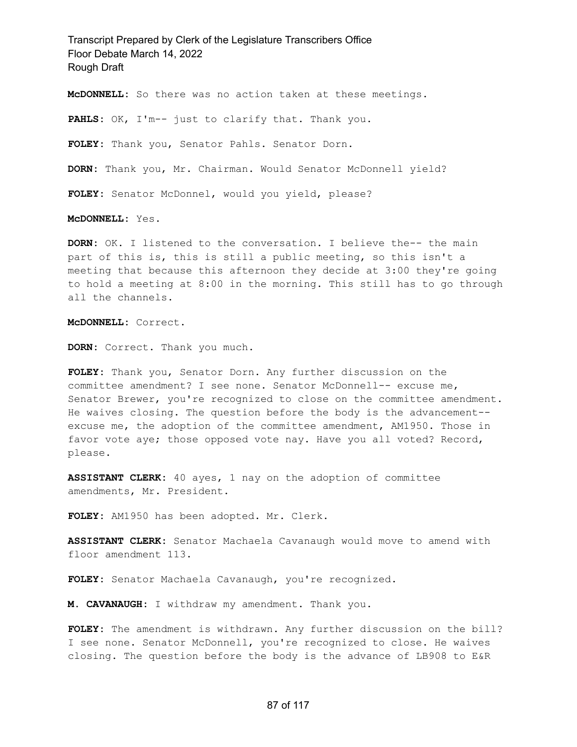**McDONNELL:** So there was no action taken at these meetings.

**PAHLS:** OK, I'm-- just to clarify that. Thank you.

**FOLEY:** Thank you, Senator Pahls. Senator Dorn.

**DORN:** Thank you, Mr. Chairman. Would Senator McDonnell yield?

**FOLEY:** Senator McDonnel, would you yield, please?

**McDONNELL:** Yes.

**DORN:** OK. I listened to the conversation. I believe the-- the main part of this is, this is still a public meeting, so this isn't a meeting that because this afternoon they decide at 3:00 they're going to hold a meeting at 8:00 in the morning. This still has to go through all the channels.

**McDONNELL:** Correct.

**DORN:** Correct. Thank you much.

**FOLEY:** Thank you, Senator Dorn. Any further discussion on the committee amendment? I see none. Senator McDonnell-- excuse me, Senator Brewer, you're recognized to close on the committee amendment. He waives closing. The question before the body is the advancement- excuse me, the adoption of the committee amendment, AM1950. Those in favor vote aye; those opposed vote nay. Have you all voted? Record, please.

**ASSISTANT CLERK:** 40 ayes, 1 nay on the adoption of committee amendments, Mr. President.

**FOLEY:** AM1950 has been adopted. Mr. Clerk.

**ASSISTANT CLERK:** Senator Machaela Cavanaugh would move to amend with floor amendment 113.

**FOLEY:** Senator Machaela Cavanaugh, you're recognized.

**M. CAVANAUGH:** I withdraw my amendment. Thank you.

**FOLEY:** The amendment is withdrawn. Any further discussion on the bill? I see none. Senator McDonnell, you're recognized to close. He waives closing. The question before the body is the advance of LB908 to E&R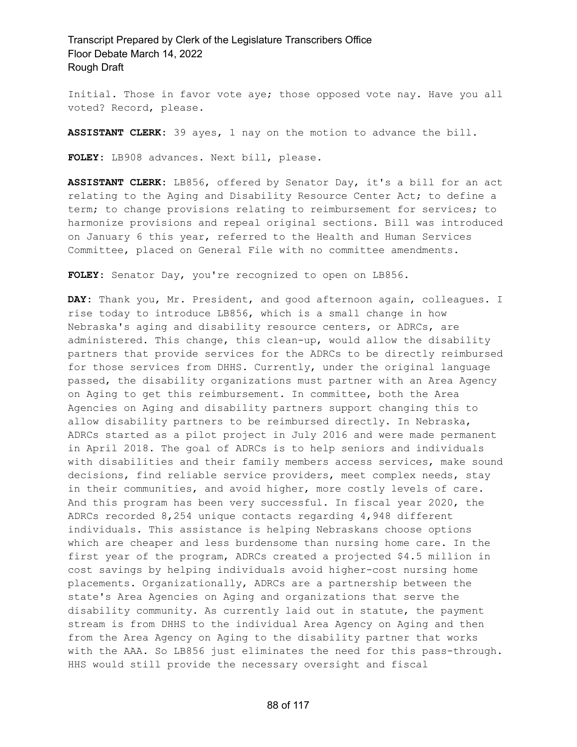Initial. Those in favor vote aye; those opposed vote nay. Have you all voted? Record, please.

**ASSISTANT CLERK:** 39 ayes, 1 nay on the motion to advance the bill.

**FOLEY:** LB908 advances. Next bill, please.

**ASSISTANT CLERK:** LB856, offered by Senator Day, it's a bill for an act relating to the Aging and Disability Resource Center Act; to define a term; to change provisions relating to reimbursement for services; to harmonize provisions and repeal original sections. Bill was introduced on January 6 this year, referred to the Health and Human Services Committee, placed on General File with no committee amendments.

**FOLEY:** Senator Day, you're recognized to open on LB856.

**DAY:** Thank you, Mr. President, and good afternoon again, colleagues. I rise today to introduce LB856, which is a small change in how Nebraska's aging and disability resource centers, or ADRCs, are administered. This change, this clean-up, would allow the disability partners that provide services for the ADRCs to be directly reimbursed for those services from DHHS. Currently, under the original language passed, the disability organizations must partner with an Area Agency on Aging to get this reimbursement. In committee, both the Area Agencies on Aging and disability partners support changing this to allow disability partners to be reimbursed directly. In Nebraska, ADRCs started as a pilot project in July 2016 and were made permanent in April 2018. The goal of ADRCs is to help seniors and individuals with disabilities and their family members access services, make sound decisions, find reliable service providers, meet complex needs, stay in their communities, and avoid higher, more costly levels of care. And this program has been very successful. In fiscal year 2020, the ADRCs recorded 8,254 unique contacts regarding 4,948 different individuals. This assistance is helping Nebraskans choose options which are cheaper and less burdensome than nursing home care. In the first year of the program, ADRCs created a projected \$4.5 million in cost savings by helping individuals avoid higher-cost nursing home placements. Organizationally, ADRCs are a partnership between the state's Area Agencies on Aging and organizations that serve the disability community. As currently laid out in statute, the payment stream is from DHHS to the individual Area Agency on Aging and then from the Area Agency on Aging to the disability partner that works with the AAA. So LB856 just eliminates the need for this pass-through. HHS would still provide the necessary oversight and fiscal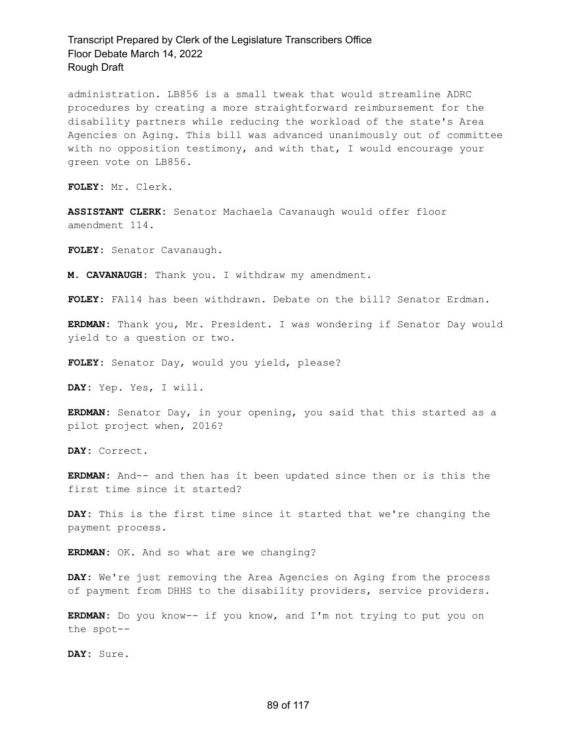administration. LB856 is a small tweak that would streamline ADRC procedures by creating a more straightforward reimbursement for the disability partners while reducing the workload of the state's Area Agencies on Aging. This bill was advanced unanimously out of committee with no opposition testimony, and with that, I would encourage your green vote on LB856.

**FOLEY:** Mr. Clerk.

**ASSISTANT CLERK:** Senator Machaela Cavanaugh would offer floor amendment 114.

**FOLEY:** Senator Cavanaugh.

**M. CAVANAUGH:** Thank you. I withdraw my amendment.

**FOLEY:** FA114 has been withdrawn. Debate on the bill? Senator Erdman.

**ERDMAN:** Thank you, Mr. President. I was wondering if Senator Day would yield to a question or two.

**FOLEY:** Senator Day, would you yield, please?

**DAY:** Yep. Yes, I will.

**ERDMAN:** Senator Day, in your opening, you said that this started as a pilot project when, 2016?

**DAY:** Correct.

**ERDMAN:** And-- and then has it been updated since then or is this the first time since it started?

**DAY:** This is the first time since it started that we're changing the payment process.

**ERDMAN:** OK. And so what are we changing?

**DAY:** We're just removing the Area Agencies on Aging from the process of payment from DHHS to the disability providers, service providers.

**ERDMAN:** Do you know-- if you know, and I'm not trying to put you on the spot--

**DAY:** Sure.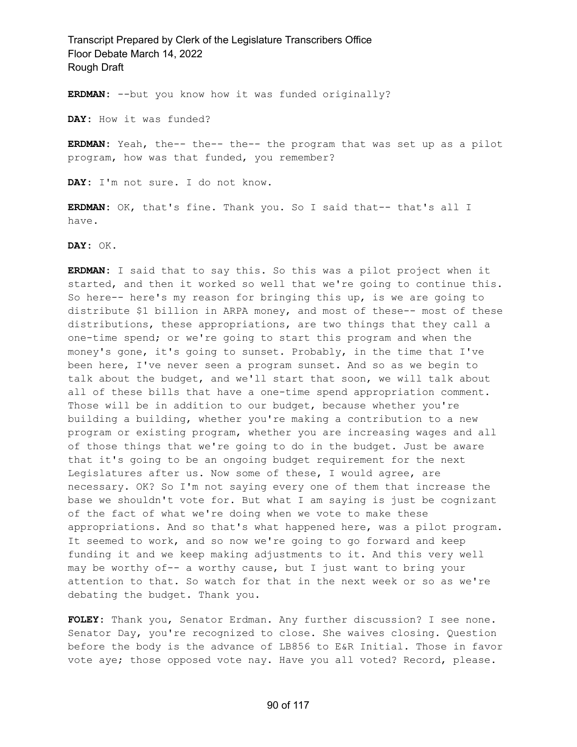**ERDMAN:** --but you know how it was funded originally?

**DAY:** How it was funded?

**ERDMAN:** Yeah, the-- the-- the-- the program that was set up as a pilot program, how was that funded, you remember?

**DAY:** I'm not sure. I do not know.

**ERDMAN:** OK, that's fine. Thank you. So I said that-- that's all I have.

**DAY:** OK.

**ERDMAN:** I said that to say this. So this was a pilot project when it started, and then it worked so well that we're going to continue this. So here-- here's my reason for bringing this up, is we are going to distribute \$1 billion in ARPA money, and most of these-- most of these distributions, these appropriations, are two things that they call a one-time spend; or we're going to start this program and when the money's gone, it's going to sunset. Probably, in the time that I've been here, I've never seen a program sunset. And so as we begin to talk about the budget, and we'll start that soon, we will talk about all of these bills that have a one-time spend appropriation comment. Those will be in addition to our budget, because whether you're building a building, whether you're making a contribution to a new program or existing program, whether you are increasing wages and all of those things that we're going to do in the budget. Just be aware that it's going to be an ongoing budget requirement for the next Legislatures after us. Now some of these, I would agree, are necessary. OK? So I'm not saying every one of them that increase the base we shouldn't vote for. But what I am saying is just be cognizant of the fact of what we're doing when we vote to make these appropriations. And so that's what happened here, was a pilot program. It seemed to work, and so now we're going to go forward and keep funding it and we keep making adjustments to it. And this very well may be worthy of-- a worthy cause, but I just want to bring your attention to that. So watch for that in the next week or so as we're debating the budget. Thank you.

**FOLEY:** Thank you, Senator Erdman. Any further discussion? I see none. Senator Day, you're recognized to close. She waives closing. Question before the body is the advance of LB856 to E&R Initial. Those in favor vote aye; those opposed vote nay. Have you all voted? Record, please.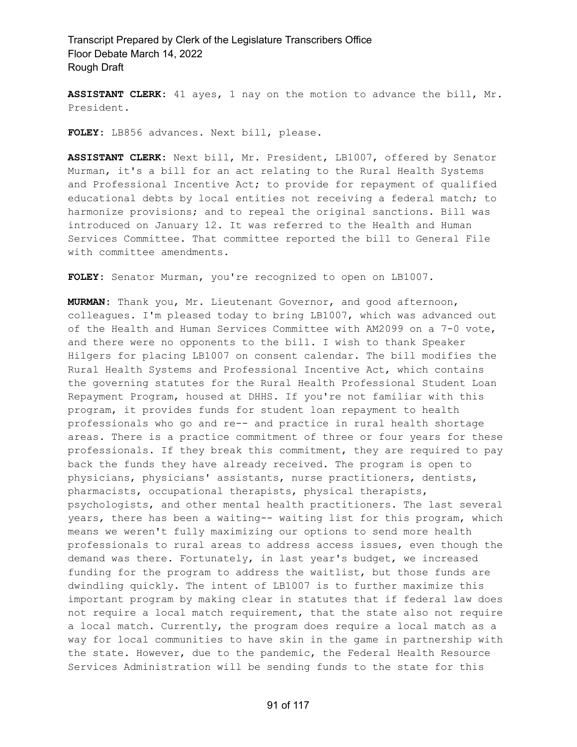**ASSISTANT CLERK:** 41 ayes, 1 nay on the motion to advance the bill, Mr. President.

**FOLEY:** LB856 advances. Next bill, please.

**ASSISTANT CLERK:** Next bill, Mr. President, LB1007, offered by Senator Murman, it's a bill for an act relating to the Rural Health Systems and Professional Incentive Act; to provide for repayment of qualified educational debts by local entities not receiving a federal match; to harmonize provisions; and to repeal the original sanctions. Bill was introduced on January 12. It was referred to the Health and Human Services Committee. That committee reported the bill to General File with committee amendments.

**FOLEY:** Senator Murman, you're recognized to open on LB1007.

**MURMAN:** Thank you, Mr. Lieutenant Governor, and good afternoon, colleagues. I'm pleased today to bring LB1007, which was advanced out of the Health and Human Services Committee with AM2099 on a 7-0 vote, and there were no opponents to the bill. I wish to thank Speaker Hilgers for placing LB1007 on consent calendar. The bill modifies the Rural Health Systems and Professional Incentive Act, which contains the governing statutes for the Rural Health Professional Student Loan Repayment Program, housed at DHHS. If you're not familiar with this program, it provides funds for student loan repayment to health professionals who go and re-- and practice in rural health shortage areas. There is a practice commitment of three or four years for these professionals. If they break this commitment, they are required to pay back the funds they have already received. The program is open to physicians, physicians' assistants, nurse practitioners, dentists, pharmacists, occupational therapists, physical therapists, psychologists, and other mental health practitioners. The last several years, there has been a waiting-- waiting list for this program, which means we weren't fully maximizing our options to send more health professionals to rural areas to address access issues, even though the demand was there. Fortunately, in last year's budget, we increased funding for the program to address the waitlist, but those funds are dwindling quickly. The intent of LB1007 is to further maximize this important program by making clear in statutes that if federal law does not require a local match requirement, that the state also not require a local match. Currently, the program does require a local match as a way for local communities to have skin in the game in partnership with the state. However, due to the pandemic, the Federal Health Resource Services Administration will be sending funds to the state for this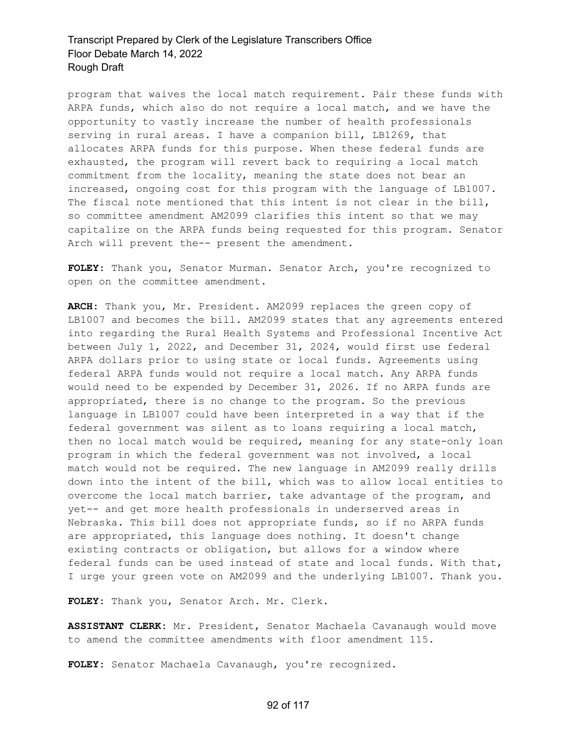program that waives the local match requirement. Pair these funds with ARPA funds, which also do not require a local match, and we have the opportunity to vastly increase the number of health professionals serving in rural areas. I have a companion bill, LB1269, that allocates ARPA funds for this purpose. When these federal funds are exhausted, the program will revert back to requiring a local match commitment from the locality, meaning the state does not bear an increased, ongoing cost for this program with the language of LB1007. The fiscal note mentioned that this intent is not clear in the bill, so committee amendment AM2099 clarifies this intent so that we may capitalize on the ARPA funds being requested for this program. Senator Arch will prevent the-- present the amendment.

**FOLEY:** Thank you, Senator Murman. Senator Arch, you're recognized to open on the committee amendment.

**ARCH:** Thank you, Mr. President. AM2099 replaces the green copy of LB1007 and becomes the bill. AM2099 states that any agreements entered into regarding the Rural Health Systems and Professional Incentive Act between July 1, 2022, and December 31, 2024, would first use federal ARPA dollars prior to using state or local funds. Agreements using federal ARPA funds would not require a local match. Any ARPA funds would need to be expended by December 31, 2026. If no ARPA funds are appropriated, there is no change to the program. So the previous language in LB1007 could have been interpreted in a way that if the federal government was silent as to loans requiring a local match, then no local match would be required, meaning for any state-only loan program in which the federal government was not involved, a local match would not be required. The new language in AM2099 really drills down into the intent of the bill, which was to allow local entities to overcome the local match barrier, take advantage of the program, and yet-- and get more health professionals in underserved areas in Nebraska. This bill does not appropriate funds, so if no ARPA funds are appropriated, this language does nothing. It doesn't change existing contracts or obligation, but allows for a window where federal funds can be used instead of state and local funds. With that, I urge your green vote on AM2099 and the underlying LB1007. Thank you.

**FOLEY:** Thank you, Senator Arch. Mr. Clerk.

**ASSISTANT CLERK:** Mr. President, Senator Machaela Cavanaugh would move to amend the committee amendments with floor amendment 115.

**FOLEY:** Senator Machaela Cavanaugh, you're recognized.

#### 92 of 117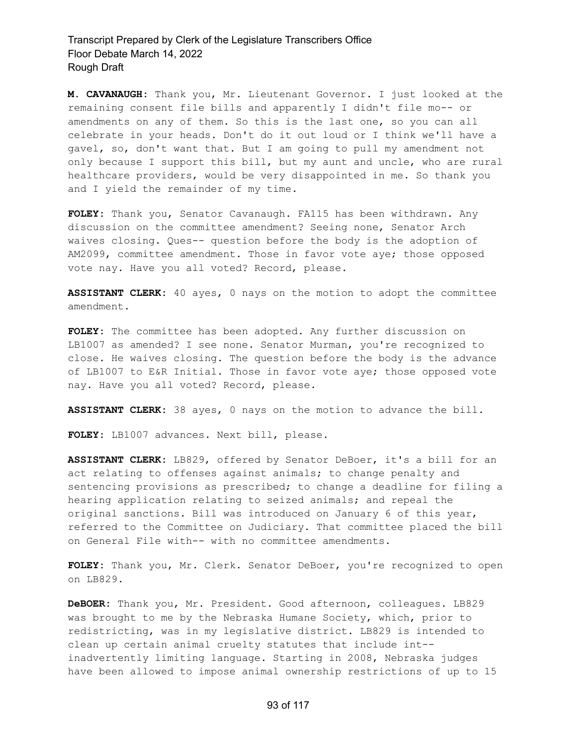**M. CAVANAUGH:** Thank you, Mr. Lieutenant Governor. I just looked at the remaining consent file bills and apparently I didn't file mo-- or amendments on any of them. So this is the last one, so you can all celebrate in your heads. Don't do it out loud or I think we'll have a gavel, so, don't want that. But I am going to pull my amendment not only because I support this bill, but my aunt and uncle, who are rural healthcare providers, would be very disappointed in me. So thank you and I yield the remainder of my time.

**FOLEY:** Thank you, Senator Cavanaugh. FA115 has been withdrawn. Any discussion on the committee amendment? Seeing none, Senator Arch waives closing. Ques-- question before the body is the adoption of AM2099, committee amendment. Those in favor vote aye; those opposed vote nay. Have you all voted? Record, please.

**ASSISTANT CLERK:** 40 ayes, 0 nays on the motion to adopt the committee amendment.

**FOLEY:** The committee has been adopted. Any further discussion on LB1007 as amended? I see none. Senator Murman, you're recognized to close. He waives closing. The question before the body is the advance of LB1007 to E&R Initial. Those in favor vote aye; those opposed vote nay. Have you all voted? Record, please.

**ASSISTANT CLERK:** 38 ayes, 0 nays on the motion to advance the bill.

**FOLEY:** LB1007 advances. Next bill, please.

**ASSISTANT CLERK:** LB829, offered by Senator DeBoer, it's a bill for an act relating to offenses against animals; to change penalty and sentencing provisions as prescribed; to change a deadline for filing a hearing application relating to seized animals; and repeal the original sanctions. Bill was introduced on January 6 of this year, referred to the Committee on Judiciary. That committee placed the bill on General File with-- with no committee amendments.

**FOLEY:** Thank you, Mr. Clerk. Senator DeBoer, you're recognized to open on LB829.

**DeBOER:** Thank you, Mr. President. Good afternoon, colleagues. LB829 was brought to me by the Nebraska Humane Society, which, prior to redistricting, was in my legislative district. LB829 is intended to clean up certain animal cruelty statutes that include int- inadvertently limiting language. Starting in 2008, Nebraska judges have been allowed to impose animal ownership restrictions of up to 15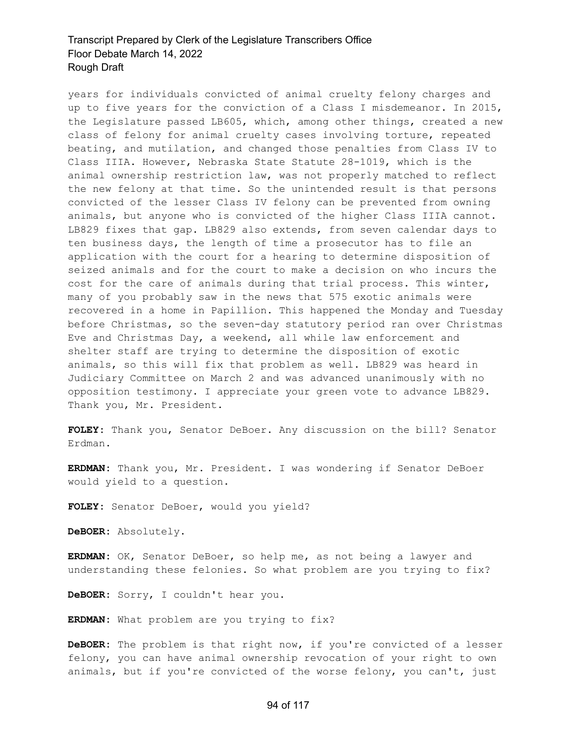years for individuals convicted of animal cruelty felony charges and up to five years for the conviction of a Class I misdemeanor. In 2015, the Legislature passed LB605, which, among other things, created a new class of felony for animal cruelty cases involving torture, repeated beating, and mutilation, and changed those penalties from Class IV to Class IIIA. However, Nebraska State Statute 28-1019, which is the animal ownership restriction law, was not properly matched to reflect the new felony at that time. So the unintended result is that persons convicted of the lesser Class IV felony can be prevented from owning animals, but anyone who is convicted of the higher Class IIIA cannot. LB829 fixes that gap. LB829 also extends, from seven calendar days to ten business days, the length of time a prosecutor has to file an application with the court for a hearing to determine disposition of seized animals and for the court to make a decision on who incurs the cost for the care of animals during that trial process. This winter, many of you probably saw in the news that 575 exotic animals were recovered in a home in Papillion. This happened the Monday and Tuesday before Christmas, so the seven-day statutory period ran over Christmas Eve and Christmas Day, a weekend, all while law enforcement and shelter staff are trying to determine the disposition of exotic animals, so this will fix that problem as well. LB829 was heard in Judiciary Committee on March 2 and was advanced unanimously with no opposition testimony. I appreciate your green vote to advance LB829. Thank you, Mr. President.

**FOLEY:** Thank you, Senator DeBoer. Any discussion on the bill? Senator Erdman.

**ERDMAN:** Thank you, Mr. President. I was wondering if Senator DeBoer would yield to a question.

**FOLEY:** Senator DeBoer, would you yield?

**DeBOER:** Absolutely.

**ERDMAN:** OK, Senator DeBoer, so help me, as not being a lawyer and understanding these felonies. So what problem are you trying to fix?

**DeBOER:** Sorry, I couldn't hear you.

**ERDMAN:** What problem are you trying to fix?

**DeBOER:** The problem is that right now, if you're convicted of a lesser felony, you can have animal ownership revocation of your right to own animals, but if you're convicted of the worse felony, you can't, just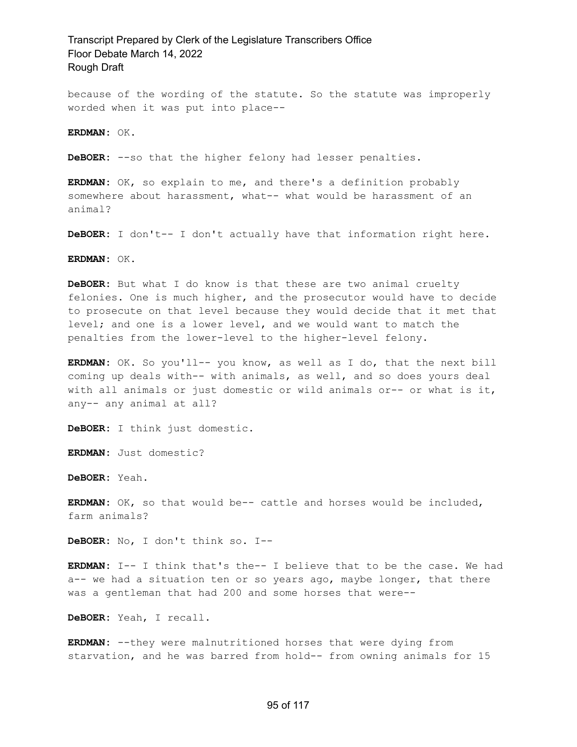because of the wording of the statute. So the statute was improperly worded when it was put into place--

**ERDMAN:** OK.

**DeBOER:** --so that the higher felony had lesser penalties.

**ERDMAN:** OK, so explain to me, and there's a definition probably somewhere about harassment, what-- what would be harassment of an animal?

**DeBOER:** I don't-- I don't actually have that information right here.

**ERDMAN:** OK.

**DeBOER:** But what I do know is that these are two animal cruelty felonies. One is much higher, and the prosecutor would have to decide to prosecute on that level because they would decide that it met that level; and one is a lower level, and we would want to match the penalties from the lower-level to the higher-level felony.

**ERDMAN:** OK. So you'll-- you know, as well as I do, that the next bill coming up deals with-- with animals, as well, and so does yours deal with all animals or just domestic or wild animals or-- or what is it, any-- any animal at all?

**DeBOER:** I think just domestic.

**ERDMAN:** Just domestic?

**DeBOER:** Yeah.

**ERDMAN:** OK, so that would be-- cattle and horses would be included, farm animals?

**DeBOER:** No, I don't think so. I--

**ERDMAN:** I-- I think that's the-- I believe that to be the case. We had a-- we had a situation ten or so years ago, maybe longer, that there was a gentleman that had 200 and some horses that were--

**DeBOER:** Yeah, I recall.

**ERDMAN:** --they were malnutritioned horses that were dying from starvation, and he was barred from hold-- from owning animals for 15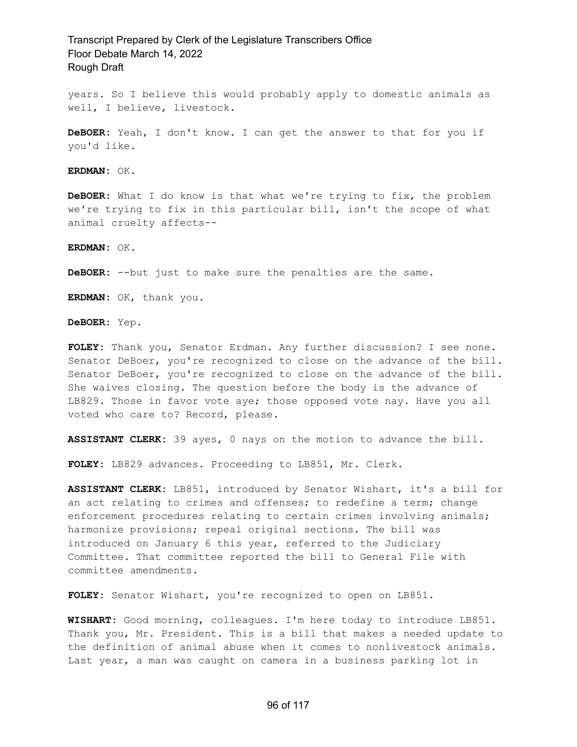years. So I believe this would probably apply to domestic animals as well, I believe, livestock.

**DeBOER:** Yeah, I don't know. I can get the answer to that for you if you'd like.

**ERDMAN:** OK.

**DeBOER:** What I do know is that what we're trying to fix, the problem we're trying to fix in this particular bill, isn't the scope of what animal cruelty affects--

**ERDMAN:** OK.

**DeBOER:** --but just to make sure the penalties are the same.

**ERDMAN:** OK, thank you.

**DeBOER:** Yep.

**FOLEY:** Thank you, Senator Erdman. Any further discussion? I see none. Senator DeBoer, you're recognized to close on the advance of the bill. Senator DeBoer, you're recognized to close on the advance of the bill. She waives closing. The question before the body is the advance of LB829. Those in favor vote aye; those opposed vote nay. Have you all voted who care to? Record, please.

**ASSISTANT CLERK:** 39 ayes, 0 nays on the motion to advance the bill.

**FOLEY:** LB829 advances. Proceeding to LB851, Mr. Clerk.

**ASSISTANT CLERK:** LB851, introduced by Senator Wishart, it's a bill for an act relating to crimes and offenses; to redefine a term; change enforcement procedures relating to certain crimes involving animals; harmonize provisions; repeal original sections. The bill was introduced on January 6 this year, referred to the Judiciary Committee. That committee reported the bill to General File with committee amendments.

**FOLEY:** Senator Wishart, you're recognized to open on LB851.

**WISHART:** Good morning, colleagues. I'm here today to introduce LB851. Thank you, Mr. President. This is a bill that makes a needed update to the definition of animal abuse when it comes to nonlivestock animals. Last year, a man was caught on camera in a business parking lot in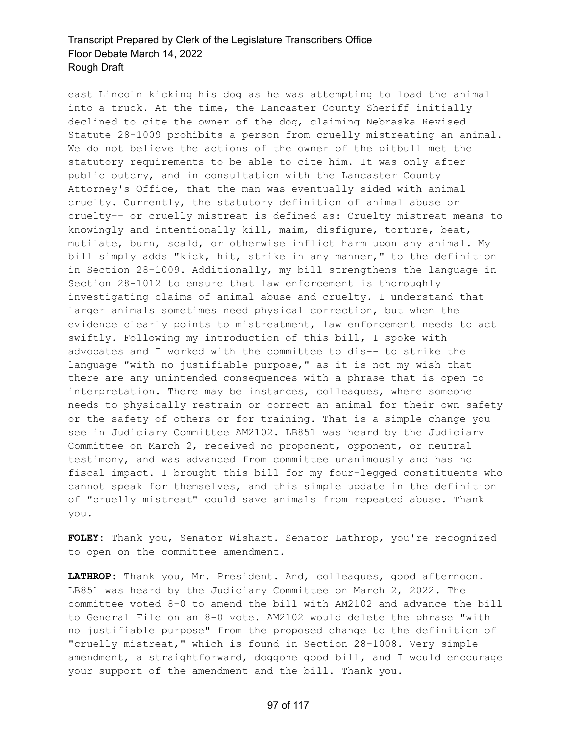east Lincoln kicking his dog as he was attempting to load the animal into a truck. At the time, the Lancaster County Sheriff initially declined to cite the owner of the dog, claiming Nebraska Revised Statute 28-1009 prohibits a person from cruelly mistreating an animal. We do not believe the actions of the owner of the pitbull met the statutory requirements to be able to cite him. It was only after public outcry, and in consultation with the Lancaster County Attorney's Office, that the man was eventually sided with animal cruelty. Currently, the statutory definition of animal abuse or cruelty-- or cruelly mistreat is defined as: Cruelty mistreat means to knowingly and intentionally kill, maim, disfigure, torture, beat, mutilate, burn, scald, or otherwise inflict harm upon any animal. My bill simply adds "kick, hit, strike in any manner," to the definition in Section 28-1009. Additionally, my bill strengthens the language in Section 28-1012 to ensure that law enforcement is thoroughly investigating claims of animal abuse and cruelty. I understand that larger animals sometimes need physical correction, but when the evidence clearly points to mistreatment, law enforcement needs to act swiftly. Following my introduction of this bill, I spoke with advocates and I worked with the committee to dis-- to strike the language "with no justifiable purpose," as it is not my wish that there are any unintended consequences with a phrase that is open to interpretation. There may be instances, colleagues, where someone needs to physically restrain or correct an animal for their own safety or the safety of others or for training. That is a simple change you see in Judiciary Committee AM2102. LB851 was heard by the Judiciary Committee on March 2, received no proponent, opponent, or neutral testimony, and was advanced from committee unanimously and has no fiscal impact. I brought this bill for my four-legged constituents who cannot speak for themselves, and this simple update in the definition of "cruelly mistreat" could save animals from repeated abuse. Thank you.

**FOLEY:** Thank you, Senator Wishart. Senator Lathrop, you're recognized to open on the committee amendment.

**LATHROP:** Thank you, Mr. President. And, colleagues, good afternoon. LB851 was heard by the Judiciary Committee on March 2, 2022. The committee voted 8-0 to amend the bill with AM2102 and advance the bill to General File on an 8-0 vote. AM2102 would delete the phrase "with no justifiable purpose" from the proposed change to the definition of "cruelly mistreat," which is found in Section 28-1008. Very simple amendment, a straightforward, doggone good bill, and I would encourage your support of the amendment and the bill. Thank you.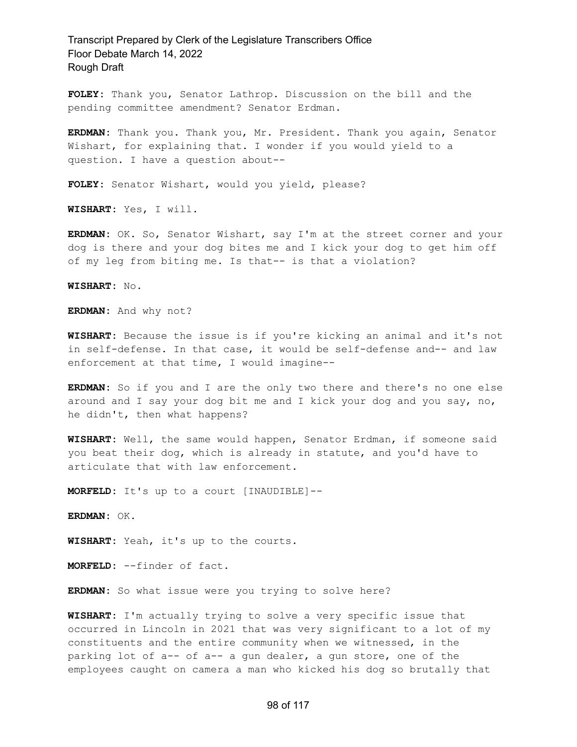**FOLEY:** Thank you, Senator Lathrop. Discussion on the bill and the pending committee amendment? Senator Erdman.

**ERDMAN:** Thank you. Thank you, Mr. President. Thank you again, Senator Wishart, for explaining that. I wonder if you would yield to a question. I have a question about--

**FOLEY:** Senator Wishart, would you yield, please?

**WISHART:** Yes, I will.

**ERDMAN:** OK. So, Senator Wishart, say I'm at the street corner and your dog is there and your dog bites me and I kick your dog to get him off of my leg from biting me. Is that-- is that a violation?

**WISHART:** No.

**ERDMAN:** And why not?

**WISHART:** Because the issue is if you're kicking an animal and it's not in self-defense. In that case, it would be self-defense and-- and law enforcement at that time, I would imagine--

**ERDMAN:** So if you and I are the only two there and there's no one else around and I say your dog bit me and I kick your dog and you say, no, he didn't, then what happens?

**WISHART:** Well, the same would happen, Senator Erdman, if someone said you beat their dog, which is already in statute, and you'd have to articulate that with law enforcement.

**MORFELD:** It's up to a court [INAUDIBLE]--

**ERDMAN:** OK.

**WISHART:** Yeah, it's up to the courts.

**MORFELD:** --finder of fact.

**ERDMAN:** So what issue were you trying to solve here?

**WISHART:** I'm actually trying to solve a very specific issue that occurred in Lincoln in 2021 that was very significant to a lot of my constituents and the entire community when we witnessed, in the parking lot of a-- of a-- a gun dealer, a gun store, one of the employees caught on camera a man who kicked his dog so brutally that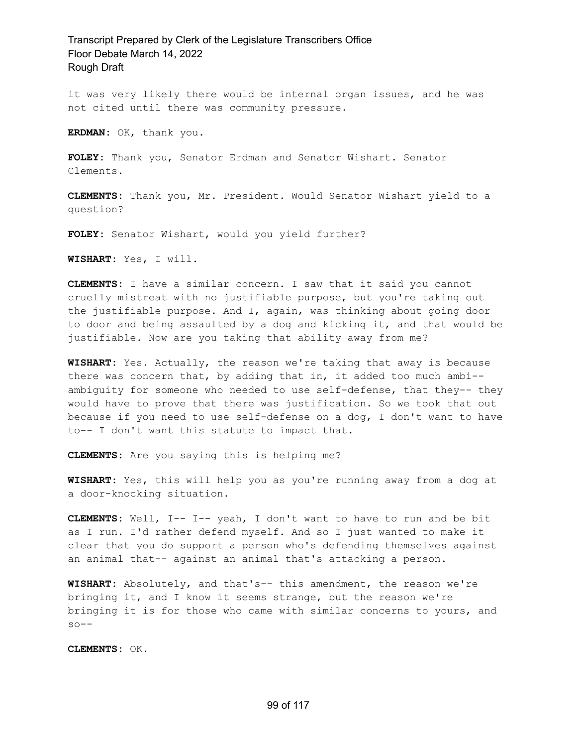it was very likely there would be internal organ issues, and he was not cited until there was community pressure.

**ERDMAN:** OK, thank you.

**FOLEY:** Thank you, Senator Erdman and Senator Wishart. Senator Clements.

**CLEMENTS:** Thank you, Mr. President. Would Senator Wishart yield to a question?

**FOLEY:** Senator Wishart, would you yield further?

**WISHART:** Yes, I will.

**CLEMENTS:** I have a similar concern. I saw that it said you cannot cruelly mistreat with no justifiable purpose, but you're taking out the justifiable purpose. And I, again, was thinking about going door to door and being assaulted by a dog and kicking it, and that would be justifiable. Now are you taking that ability away from me?

**WISHART:** Yes. Actually, the reason we're taking that away is because there was concern that, by adding that in, it added too much ambi- ambiguity for someone who needed to use self-defense, that they-- they would have to prove that there was justification. So we took that out because if you need to use self-defense on a dog, I don't want to have to-- I don't want this statute to impact that.

**CLEMENTS:** Are you saying this is helping me?

**WISHART:** Yes, this will help you as you're running away from a dog at a door-knocking situation.

**CLEMENTS:** Well, I-- I-- yeah, I don't want to have to run and be bit as I run. I'd rather defend myself. And so I just wanted to make it clear that you do support a person who's defending themselves against an animal that-- against an animal that's attacking a person.

**WISHART:** Absolutely, and that's-- this amendment, the reason we're bringing it, and I know it seems strange, but the reason we're bringing it is for those who came with similar concerns to yours, and  $so--$ 

**CLEMENTS:** OK.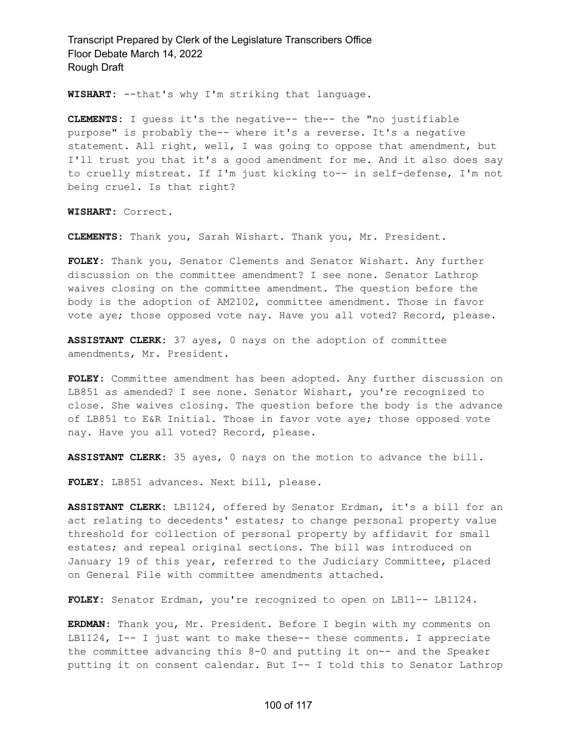**WISHART:** --that's why I'm striking that language.

**CLEMENTS:** I guess it's the negative-- the-- the "no justifiable purpose" is probably the-- where it's a reverse. It's a negative statement. All right, well, I was going to oppose that amendment, but I'll trust you that it's a good amendment for me. And it also does say to cruelly mistreat. If I'm just kicking to-- in self-defense, I'm not being cruel. Is that right?

**WISHART:** Correct.

**CLEMENTS:** Thank you, Sarah Wishart. Thank you, Mr. President.

**FOLEY:** Thank you, Senator Clements and Senator Wishart. Any further discussion on the committee amendment? I see none. Senator Lathrop waives closing on the committee amendment. The question before the body is the adoption of AM2102, committee amendment. Those in favor vote aye; those opposed vote nay. Have you all voted? Record, please.

**ASSISTANT CLERK:** 37 ayes, 0 nays on the adoption of committee amendments, Mr. President.

**FOLEY:** Committee amendment has been adopted. Any further discussion on LB851 as amended? I see none. Senator Wishart, you're recognized to close. She waives closing. The question before the body is the advance of LB851 to E&R Initial. Those in favor vote aye; those opposed vote nay. Have you all voted? Record, please.

**ASSISTANT CLERK:** 35 ayes, 0 nays on the motion to advance the bill.

**FOLEY:** LB851 advances. Next bill, please.

**ASSISTANT CLERK:** LB1124, offered by Senator Erdman, it's a bill for an act relating to decedents' estates; to change personal property value threshold for collection of personal property by affidavit for small estates; and repeal original sections. The bill was introduced on January 19 of this year, referred to the Judiciary Committee, placed on General File with committee amendments attached.

**FOLEY:** Senator Erdman, you're recognized to open on LB11-- LB1124.

**ERDMAN:** Thank you, Mr. President. Before I begin with my comments on LB1124, I-- I just want to make these-- these comments. I appreciate the committee advancing this 8-0 and putting it on-- and the Speaker putting it on consent calendar. But I-- I told this to Senator Lathrop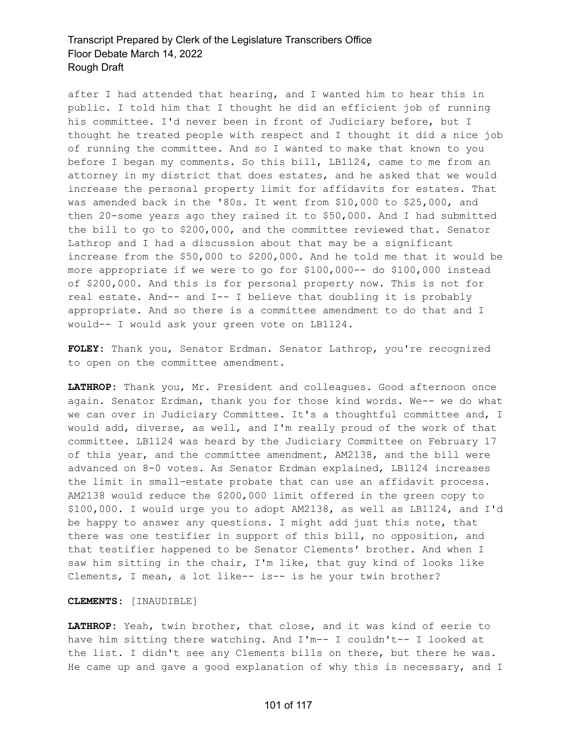after I had attended that hearing, and I wanted him to hear this in public. I told him that I thought he did an efficient job of running his committee. I'd never been in front of Judiciary before, but I thought he treated people with respect and I thought it did a nice job of running the committee. And so I wanted to make that known to you before I began my comments. So this bill, LB1124, came to me from an attorney in my district that does estates, and he asked that we would increase the personal property limit for affidavits for estates. That was amended back in the '80s. It went from \$10,000 to \$25,000, and then 20-some years ago they raised it to \$50,000. And I had submitted the bill to go to \$200,000, and the committee reviewed that. Senator Lathrop and I had a discussion about that may be a significant increase from the \$50,000 to \$200,000. And he told me that it would be more appropriate if we were to go for \$100,000-- do \$100,000 instead of \$200,000. And this is for personal property now. This is not for real estate. And-- and I-- I believe that doubling it is probably appropriate. And so there is a committee amendment to do that and I would-- I would ask your green vote on LB1124.

**FOLEY:** Thank you, Senator Erdman. Senator Lathrop, you're recognized to open on the committee amendment.

**LATHROP:** Thank you, Mr. President and colleagues. Good afternoon once again. Senator Erdman, thank you for those kind words. We-- we do what we can over in Judiciary Committee. It's a thoughtful committee and, I would add, diverse, as well, and I'm really proud of the work of that committee. LB1124 was heard by the Judiciary Committee on February 17 of this year, and the committee amendment, AM2138, and the bill were advanced on 8-0 votes. As Senator Erdman explained, LB1124 increases the limit in small-estate probate that can use an affidavit process. AM2138 would reduce the \$200,000 limit offered in the green copy to \$100,000. I would urge you to adopt AM2138, as well as LB1124, and I'd be happy to answer any questions. I might add just this note, that there was one testifier in support of this bill, no opposition, and that testifier happened to be Senator Clements' brother. And when I saw him sitting in the chair, I'm like, that guy kind of looks like Clements, I mean, a lot like-- is-- is he your twin brother?

#### **CLEMENTS:** [INAUDIBLE]

**LATHROP:** Yeah, twin brother, that close, and it was kind of eerie to have him sitting there watching. And I'm-- I couldn't-- I looked at the list. I didn't see any Clements bills on there, but there he was. He came up and gave a good explanation of why this is necessary, and I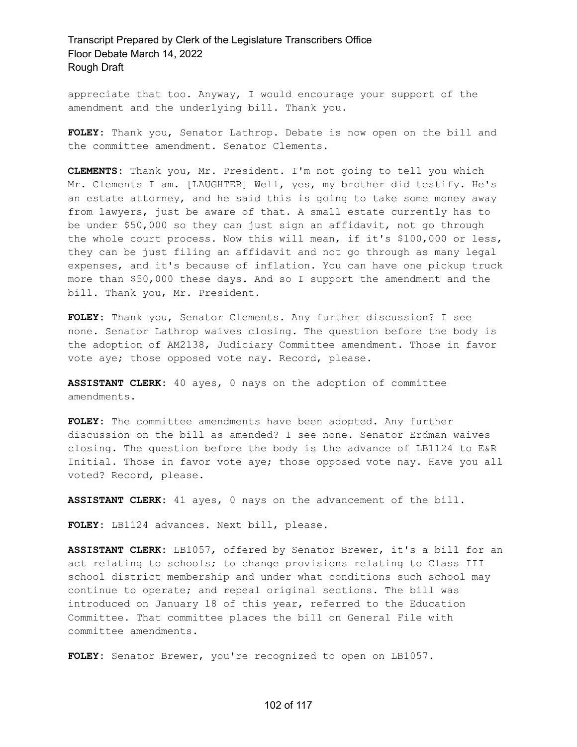appreciate that too. Anyway, I would encourage your support of the amendment and the underlying bill. Thank you.

**FOLEY:** Thank you, Senator Lathrop. Debate is now open on the bill and the committee amendment. Senator Clements.

**CLEMENTS:** Thank you, Mr. President. I'm not going to tell you which Mr. Clements I am. [LAUGHTER] Well, yes, my brother did testify. He's an estate attorney, and he said this is going to take some money away from lawyers, just be aware of that. A small estate currently has to be under \$50,000 so they can just sign an affidavit, not go through the whole court process. Now this will mean, if it's \$100,000 or less, they can be just filing an affidavit and not go through as many legal expenses, and it's because of inflation. You can have one pickup truck more than \$50,000 these days. And so I support the amendment and the bill. Thank you, Mr. President.

**FOLEY:** Thank you, Senator Clements. Any further discussion? I see none. Senator Lathrop waives closing. The question before the body is the adoption of AM2138, Judiciary Committee amendment. Those in favor vote aye; those opposed vote nay. Record, please.

**ASSISTANT CLERK:** 40 ayes, 0 nays on the adoption of committee amendments.

**FOLEY:** The committee amendments have been adopted. Any further discussion on the bill as amended? I see none. Senator Erdman waives closing. The question before the body is the advance of LB1124 to E&R Initial. Those in favor vote aye; those opposed vote nay. Have you all voted? Record, please.

**ASSISTANT CLERK:** 41 ayes, 0 nays on the advancement of the bill.

**FOLEY:** LB1124 advances. Next bill, please.

**ASSISTANT CLERK:** LB1057, offered by Senator Brewer, it's a bill for an act relating to schools; to change provisions relating to Class III school district membership and under what conditions such school may continue to operate; and repeal original sections. The bill was introduced on January 18 of this year, referred to the Education Committee. That committee places the bill on General File with committee amendments.

**FOLEY:** Senator Brewer, you're recognized to open on LB1057.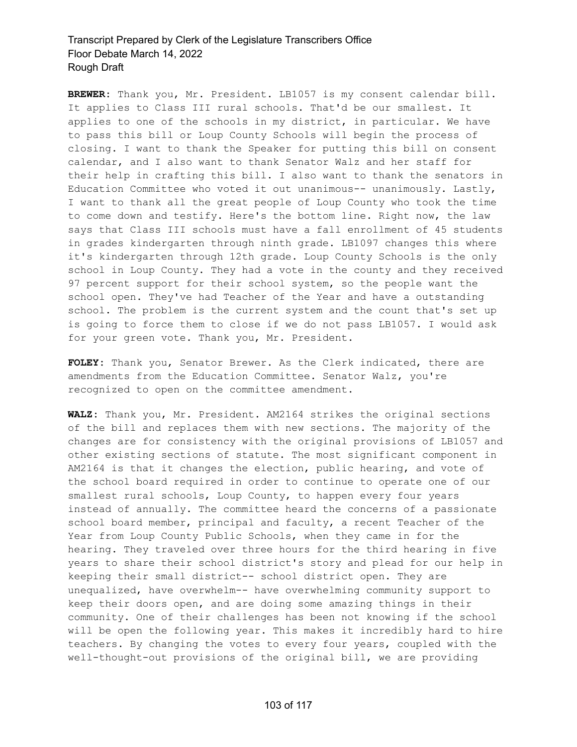**BREWER:** Thank you, Mr. President. LB1057 is my consent calendar bill. It applies to Class III rural schools. That'd be our smallest. It applies to one of the schools in my district, in particular. We have to pass this bill or Loup County Schools will begin the process of closing. I want to thank the Speaker for putting this bill on consent calendar, and I also want to thank Senator Walz and her staff for their help in crafting this bill. I also want to thank the senators in Education Committee who voted it out unanimous-- unanimously. Lastly, I want to thank all the great people of Loup County who took the time to come down and testify. Here's the bottom line. Right now, the law says that Class III schools must have a fall enrollment of 45 students in grades kindergarten through ninth grade. LB1097 changes this where it's kindergarten through 12th grade. Loup County Schools is the only school in Loup County. They had a vote in the county and they received 97 percent support for their school system, so the people want the school open. They've had Teacher of the Year and have a outstanding school. The problem is the current system and the count that's set up is going to force them to close if we do not pass LB1057. I would ask for your green vote. Thank you, Mr. President.

**FOLEY:** Thank you, Senator Brewer. As the Clerk indicated, there are amendments from the Education Committee. Senator Walz, you're recognized to open on the committee amendment.

**WALZ:** Thank you, Mr. President. AM2164 strikes the original sections of the bill and replaces them with new sections. The majority of the changes are for consistency with the original provisions of LB1057 and other existing sections of statute. The most significant component in AM2164 is that it changes the election, public hearing, and vote of the school board required in order to continue to operate one of our smallest rural schools, Loup County, to happen every four years instead of annually. The committee heard the concerns of a passionate school board member, principal and faculty, a recent Teacher of the Year from Loup County Public Schools, when they came in for the hearing. They traveled over three hours for the third hearing in five years to share their school district's story and plead for our help in keeping their small district-- school district open. They are unequalized, have overwhelm-- have overwhelming community support to keep their doors open, and are doing some amazing things in their community. One of their challenges has been not knowing if the school will be open the following year. This makes it incredibly hard to hire teachers. By changing the votes to every four years, coupled with the well-thought-out provisions of the original bill, we are providing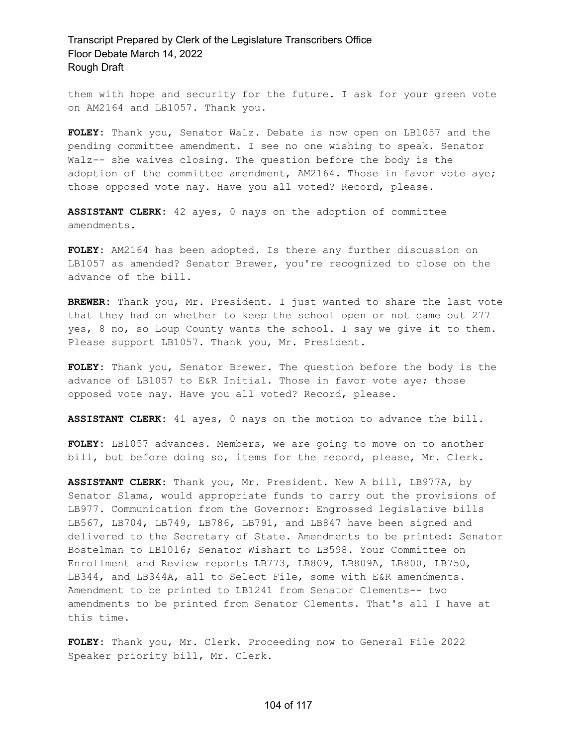them with hope and security for the future. I ask for your green vote on AM2164 and LB1057. Thank you.

**FOLEY:** Thank you, Senator Walz. Debate is now open on LB1057 and the pending committee amendment. I see no one wishing to speak. Senator Walz-- she waives closing. The question before the body is the adoption of the committee amendment, AM2164. Those in favor vote aye; those opposed vote nay. Have you all voted? Record, please.

**ASSISTANT CLERK:** 42 ayes, 0 nays on the adoption of committee amendments.

**FOLEY:** AM2164 has been adopted. Is there any further discussion on LB1057 as amended? Senator Brewer, you're recognized to close on the advance of the bill.

**BREWER:** Thank you, Mr. President. I just wanted to share the last vote that they had on whether to keep the school open or not came out 277 yes, 8 no, so Loup County wants the school. I say we give it to them. Please support LB1057. Thank you, Mr. President.

**FOLEY:** Thank you, Senator Brewer. The question before the body is the advance of LB1057 to E&R Initial. Those in favor vote aye; those opposed vote nay. Have you all voted? Record, please.

**ASSISTANT CLERK:** 41 ayes, 0 nays on the motion to advance the bill.

FOLEY: LB1057 advances. Members, we are going to move on to another bill, but before doing so, items for the record, please, Mr. Clerk.

**ASSISTANT CLERK:** Thank you, Mr. President. New A bill, LB977A, by Senator Slama, would appropriate funds to carry out the provisions of LB977. Communication from the Governor: Engrossed legislative bills LB567, LB704, LB749, LB786, LB791, and LB847 have been signed and delivered to the Secretary of State. Amendments to be printed: Senator Bostelman to LB1016; Senator Wishart to LB598. Your Committee on Enrollment and Review reports LB773, LB809, LB809A, LB800, LB750, LB344, and LB344A, all to Select File, some with E&R amendments. Amendment to be printed to LB1241 from Senator Clements-- two amendments to be printed from Senator Clements. That's all I have at this time.

**FOLEY:** Thank you, Mr. Clerk. Proceeding now to General File 2022 Speaker priority bill, Mr. Clerk.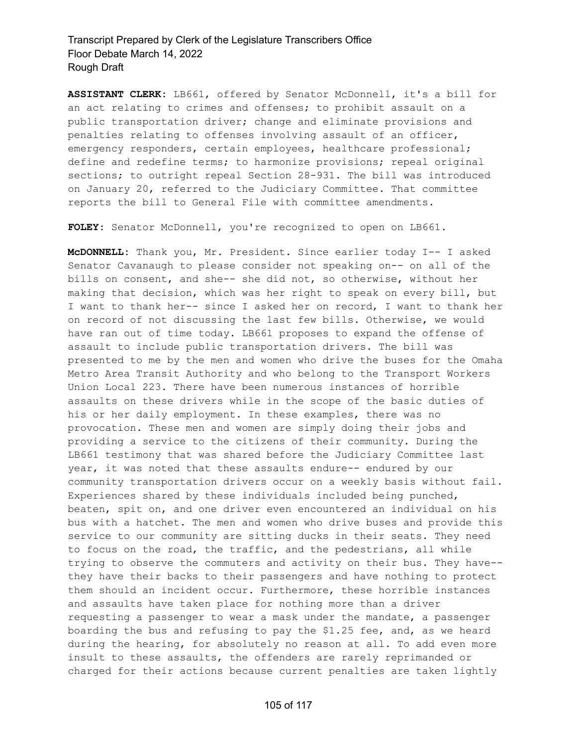**ASSISTANT CLERK:** LB661, offered by Senator McDonnell, it's a bill for an act relating to crimes and offenses; to prohibit assault on a public transportation driver; change and eliminate provisions and penalties relating to offenses involving assault of an officer, emergency responders, certain employees, healthcare professional; define and redefine terms; to harmonize provisions; repeal original sections; to outright repeal Section 28-931. The bill was introduced on January 20, referred to the Judiciary Committee. That committee reports the bill to General File with committee amendments.

**FOLEY:** Senator McDonnell, you're recognized to open on LB661.

**McDONNELL:** Thank you, Mr. President. Since earlier today I-- I asked Senator Cavanaugh to please consider not speaking on-- on all of the bills on consent, and she-- she did not, so otherwise, without her making that decision, which was her right to speak on every bill, but I want to thank her-- since I asked her on record, I want to thank her on record of not discussing the last few bills. Otherwise, we would have ran out of time today. LB661 proposes to expand the offense of assault to include public transportation drivers. The bill was presented to me by the men and women who drive the buses for the Omaha Metro Area Transit Authority and who belong to the Transport Workers Union Local 223. There have been numerous instances of horrible assaults on these drivers while in the scope of the basic duties of his or her daily employment. In these examples, there was no provocation. These men and women are simply doing their jobs and providing a service to the citizens of their community. During the LB661 testimony that was shared before the Judiciary Committee last year, it was noted that these assaults endure-- endured by our community transportation drivers occur on a weekly basis without fail. Experiences shared by these individuals included being punched, beaten, spit on, and one driver even encountered an individual on his bus with a hatchet. The men and women who drive buses and provide this service to our community are sitting ducks in their seats. They need to focus on the road, the traffic, and the pedestrians, all while trying to observe the commuters and activity on their bus. They have- they have their backs to their passengers and have nothing to protect them should an incident occur. Furthermore, these horrible instances and assaults have taken place for nothing more than a driver requesting a passenger to wear a mask under the mandate, a passenger boarding the bus and refusing to pay the \$1.25 fee, and, as we heard during the hearing, for absolutely no reason at all. To add even more insult to these assaults, the offenders are rarely reprimanded or charged for their actions because current penalties are taken lightly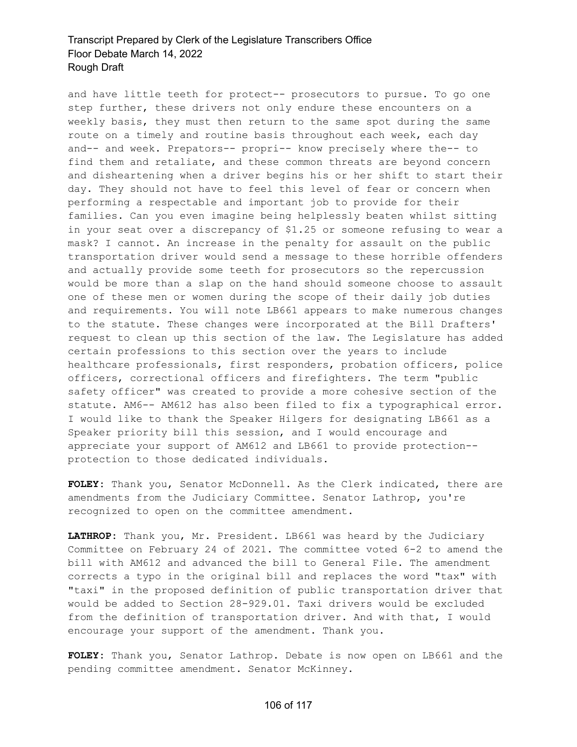and have little teeth for protect-- prosecutors to pursue. To go one step further, these drivers not only endure these encounters on a weekly basis, they must then return to the same spot during the same route on a timely and routine basis throughout each week, each day and-- and week. Prepators-- propri-- know precisely where the-- to find them and retaliate, and these common threats are beyond concern and disheartening when a driver begins his or her shift to start their day. They should not have to feel this level of fear or concern when performing a respectable and important job to provide for their families. Can you even imagine being helplessly beaten whilst sitting in your seat over a discrepancy of \$1.25 or someone refusing to wear a mask? I cannot. An increase in the penalty for assault on the public transportation driver would send a message to these horrible offenders and actually provide some teeth for prosecutors so the repercussion would be more than a slap on the hand should someone choose to assault one of these men or women during the scope of their daily job duties and requirements. You will note LB661 appears to make numerous changes to the statute. These changes were incorporated at the Bill Drafters' request to clean up this section of the law. The Legislature has added certain professions to this section over the years to include healthcare professionals, first responders, probation officers, police officers, correctional officers and firefighters. The term "public safety officer" was created to provide a more cohesive section of the statute. AM6-- AM612 has also been filed to fix a typographical error. I would like to thank the Speaker Hilgers for designating LB661 as a Speaker priority bill this session, and I would encourage and appreciate your support of AM612 and LB661 to provide protection- protection to those dedicated individuals.

**FOLEY:** Thank you, Senator McDonnell. As the Clerk indicated, there are amendments from the Judiciary Committee. Senator Lathrop, you're recognized to open on the committee amendment.

**LATHROP:** Thank you, Mr. President. LB661 was heard by the Judiciary Committee on February 24 of 2021. The committee voted 6-2 to amend the bill with AM612 and advanced the bill to General File. The amendment corrects a typo in the original bill and replaces the word "tax" with "taxi" in the proposed definition of public transportation driver that would be added to Section 28-929.01. Taxi drivers would be excluded from the definition of transportation driver. And with that, I would encourage your support of the amendment. Thank you.

**FOLEY:** Thank you, Senator Lathrop. Debate is now open on LB661 and the pending committee amendment. Senator McKinney.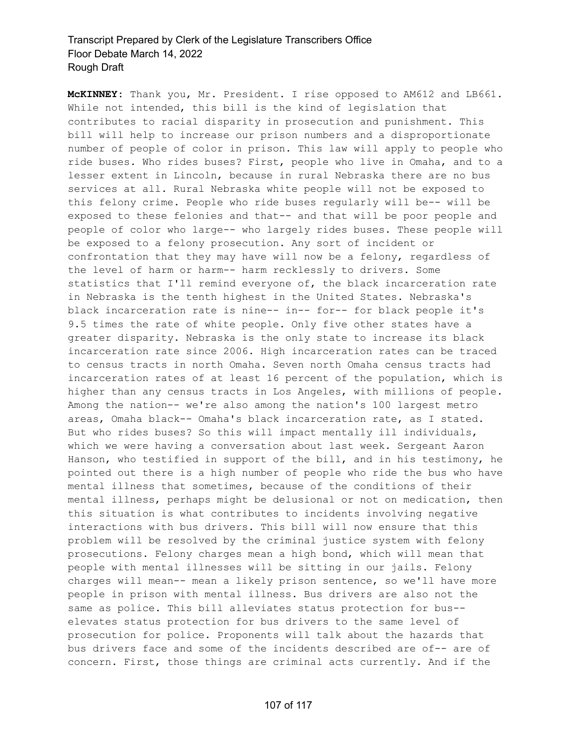**McKINNEY:** Thank you, Mr. President. I rise opposed to AM612 and LB661. While not intended, this bill is the kind of legislation that contributes to racial disparity in prosecution and punishment. This bill will help to increase our prison numbers and a disproportionate number of people of color in prison. This law will apply to people who ride buses. Who rides buses? First, people who live in Omaha, and to a lesser extent in Lincoln, because in rural Nebraska there are no bus services at all. Rural Nebraska white people will not be exposed to this felony crime. People who ride buses regularly will be-- will be exposed to these felonies and that-- and that will be poor people and people of color who large-- who largely rides buses. These people will be exposed to a felony prosecution. Any sort of incident or confrontation that they may have will now be a felony, regardless of the level of harm or harm-- harm recklessly to drivers. Some statistics that I'll remind everyone of, the black incarceration rate in Nebraska is the tenth highest in the United States. Nebraska's black incarceration rate is nine-- in-- for-- for black people it's 9.5 times the rate of white people. Only five other states have a greater disparity. Nebraska is the only state to increase its black incarceration rate since 2006. High incarceration rates can be traced to census tracts in north Omaha. Seven north Omaha census tracts had incarceration rates of at least 16 percent of the population, which is higher than any census tracts in Los Angeles, with millions of people. Among the nation-- we're also among the nation's 100 largest metro areas, Omaha black-- Omaha's black incarceration rate, as I stated. But who rides buses? So this will impact mentally ill individuals, which we were having a conversation about last week. Sergeant Aaron Hanson, who testified in support of the bill, and in his testimony, he pointed out there is a high number of people who ride the bus who have mental illness that sometimes, because of the conditions of their mental illness, perhaps might be delusional or not on medication, then this situation is what contributes to incidents involving negative interactions with bus drivers. This bill will now ensure that this problem will be resolved by the criminal justice system with felony prosecutions. Felony charges mean a high bond, which will mean that people with mental illnesses will be sitting in our jails. Felony charges will mean-- mean a likely prison sentence, so we'll have more people in prison with mental illness. Bus drivers are also not the same as police. This bill alleviates status protection for bus- elevates status protection for bus drivers to the same level of prosecution for police. Proponents will talk about the hazards that bus drivers face and some of the incidents described are of-- are of concern. First, those things are criminal acts currently. And if the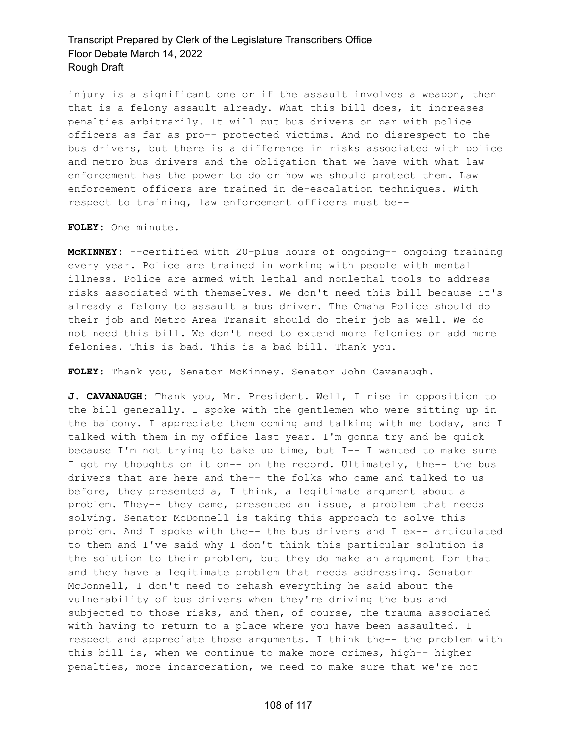injury is a significant one or if the assault involves a weapon, then that is a felony assault already. What this bill does, it increases penalties arbitrarily. It will put bus drivers on par with police officers as far as pro-- protected victims. And no disrespect to the bus drivers, but there is a difference in risks associated with police and metro bus drivers and the obligation that we have with what law enforcement has the power to do or how we should protect them. Law enforcement officers are trained in de-escalation techniques. With respect to training, law enforcement officers must be--

**FOLEY:** One minute.

**McKINNEY:** --certified with 20-plus hours of ongoing-- ongoing training every year. Police are trained in working with people with mental illness. Police are armed with lethal and nonlethal tools to address risks associated with themselves. We don't need this bill because it's already a felony to assault a bus driver. The Omaha Police should do their job and Metro Area Transit should do their job as well. We do not need this bill. We don't need to extend more felonies or add more felonies. This is bad. This is a bad bill. Thank you.

**FOLEY:** Thank you, Senator McKinney. Senator John Cavanaugh.

**J. CAVANAUGH:** Thank you, Mr. President. Well, I rise in opposition to the bill generally. I spoke with the gentlemen who were sitting up in the balcony. I appreciate them coming and talking with me today, and I talked with them in my office last year. I'm gonna try and be quick because I'm not trying to take up time, but I-- I wanted to make sure I got my thoughts on it on-- on the record. Ultimately, the-- the bus drivers that are here and the-- the folks who came and talked to us before, they presented a, I think, a legitimate argument about a problem. They-- they came, presented an issue, a problem that needs solving. Senator McDonnell is taking this approach to solve this problem. And I spoke with the-- the bus drivers and I ex-- articulated to them and I've said why I don't think this particular solution is the solution to their problem, but they do make an argument for that and they have a legitimate problem that needs addressing. Senator McDonnell, I don't need to rehash everything he said about the vulnerability of bus drivers when they're driving the bus and subjected to those risks, and then, of course, the trauma associated with having to return to a place where you have been assaulted. I respect and appreciate those arguments. I think the-- the problem with this bill is, when we continue to make more crimes, high-- higher penalties, more incarceration, we need to make sure that we're not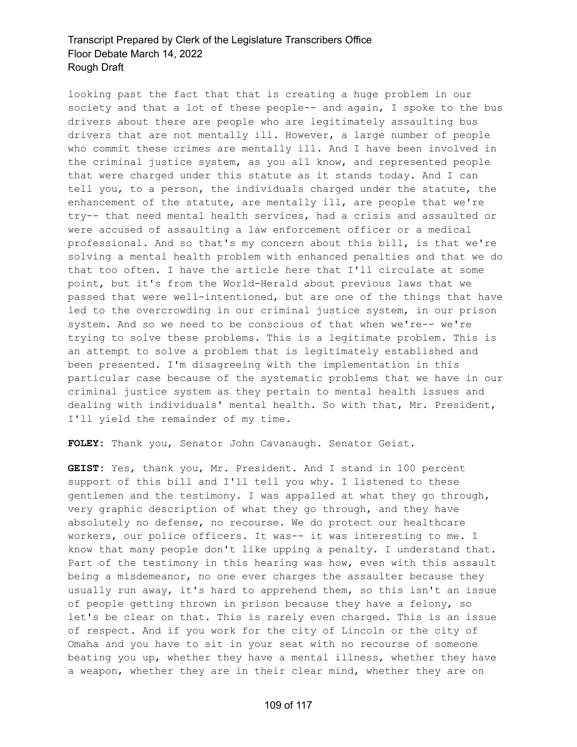looking past the fact that that is creating a huge problem in our society and that a lot of these people-- and again, I spoke to the bus drivers about there are people who are legitimately assaulting bus drivers that are not mentally ill. However, a large number of people who commit these crimes are mentally ill. And I have been involved in the criminal justice system, as you all know, and represented people that were charged under this statute as it stands today. And I can tell you, to a person, the individuals charged under the statute, the enhancement of the statute, are mentally ill, are people that we're try-- that need mental health services, had a crisis and assaulted or were accused of assaulting a law enforcement officer or a medical professional. And so that's my concern about this bill, is that we're solving a mental health problem with enhanced penalties and that we do that too often. I have the article here that I'll circulate at some point, but it's from the World-Herald about previous laws that we passed that were well-intentioned, but are one of the things that have led to the overcrowding in our criminal justice system, in our prison system. And so we need to be conscious of that when we're-- we're trying to solve these problems. This is a legitimate problem. This is an attempt to solve a problem that is legitimately established and been presented. I'm disagreeing with the implementation in this particular case because of the systematic problems that we have in our criminal justice system as they pertain to mental health issues and dealing with individuals' mental health. So with that, Mr. President, I'll yield the remainder of my time.

**FOLEY:** Thank you, Senator John Cavanaugh. Senator Geist.

**GEIST:** Yes, thank you, Mr. President. And I stand in 100 percent support of this bill and I'll tell you why. I listened to these gentlemen and the testimony. I was appalled at what they go through, very graphic description of what they go through, and they have absolutely no defense, no recourse. We do protect our healthcare workers, our police officers. It was-- it was interesting to me. I know that many people don't like upping a penalty. I understand that. Part of the testimony in this hearing was how, even with this assault being a misdemeanor, no one ever charges the assaulter because they usually run away, it's hard to apprehend them, so this isn't an issue of people getting thrown in prison because they have a felony, so let's be clear on that. This is rarely even charged. This is an issue of respect. And if you work for the city of Lincoln or the city of Omaha and you have to sit in your seat with no recourse of someone beating you up, whether they have a mental illness, whether they have a weapon, whether they are in their clear mind, whether they are on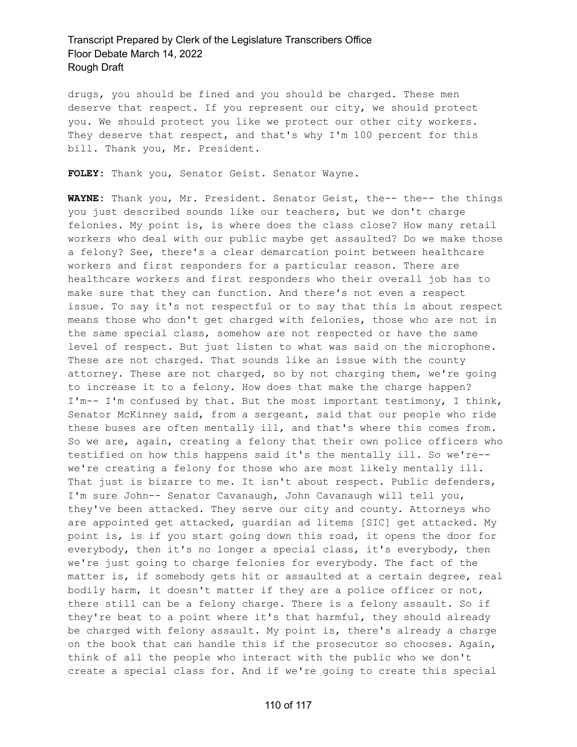drugs, you should be fined and you should be charged. These men deserve that respect. If you represent our city, we should protect you. We should protect you like we protect our other city workers. They deserve that respect, and that's why I'm 100 percent for this bill. Thank you, Mr. President.

**FOLEY:** Thank you, Senator Geist. Senator Wayne.

**WAYNE:** Thank you, Mr. President. Senator Geist, the-- the-- the things you just described sounds like our teachers, but we don't charge felonies. My point is, is where does the class close? How many retail workers who deal with our public maybe get assaulted? Do we make those a felony? See, there's a clear demarcation point between healthcare workers and first responders for a particular reason. There are healthcare workers and first responders who their overall job has to make sure that they can function. And there's not even a respect issue. To say it's not respectful or to say that this is about respect means those who don't get charged with felonies, those who are not in the same special class, somehow are not respected or have the same level of respect. But just listen to what was said on the microphone. These are not charged. That sounds like an issue with the county attorney. These are not charged, so by not charging them, we're going to increase it to a felony. How does that make the charge happen? I'm-- I'm confused by that. But the most important testimony, I think, Senator McKinney said, from a sergeant, said that our people who ride these buses are often mentally ill, and that's where this comes from. So we are, again, creating a felony that their own police officers who testified on how this happens said it's the mentally ill. So we're- we're creating a felony for those who are most likely mentally ill. That just is bizarre to me. It isn't about respect. Public defenders, I'm sure John-- Senator Cavanaugh, John Cavanaugh will tell you, they've been attacked. They serve our city and county. Attorneys who are appointed get attacked, guardian ad litems [SIC] get attacked. My point is, is if you start going down this road, it opens the door for everybody, then it's no longer a special class, it's everybody, then we're just going to charge felonies for everybody. The fact of the matter is, if somebody gets hit or assaulted at a certain degree, real bodily harm, it doesn't matter if they are a police officer or not, there still can be a felony charge. There is a felony assault. So if they're beat to a point where it's that harmful, they should already be charged with felony assault. My point is, there's already a charge on the book that can handle this if the prosecutor so chooses. Again, think of all the people who interact with the public who we don't create a special class for. And if we're going to create this special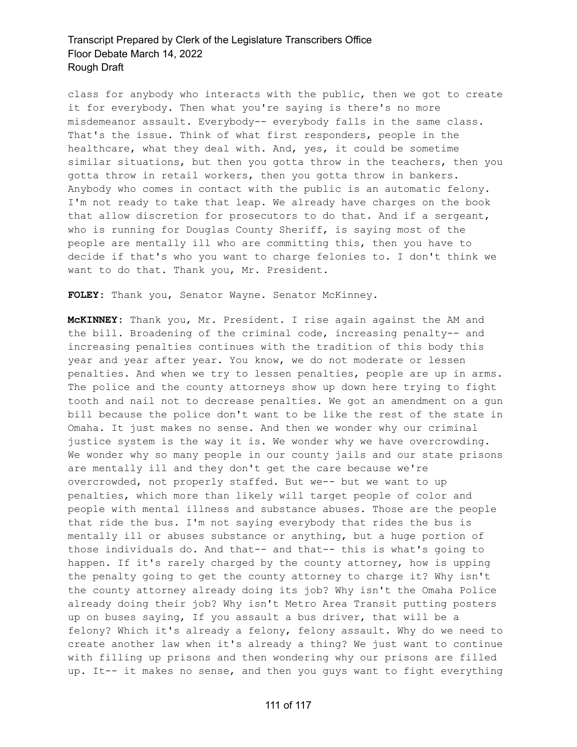class for anybody who interacts with the public, then we got to create it for everybody. Then what you're saying is there's no more misdemeanor assault. Everybody-- everybody falls in the same class. That's the issue. Think of what first responders, people in the healthcare, what they deal with. And, yes, it could be sometime similar situations, but then you gotta throw in the teachers, then you gotta throw in retail workers, then you gotta throw in bankers. Anybody who comes in contact with the public is an automatic felony. I'm not ready to take that leap. We already have charges on the book that allow discretion for prosecutors to do that. And if a sergeant, who is running for Douglas County Sheriff, is saying most of the people are mentally ill who are committing this, then you have to decide if that's who you want to charge felonies to. I don't think we want to do that. Thank you, Mr. President.

**FOLEY:** Thank you, Senator Wayne. Senator McKinney.

**McKINNEY:** Thank you, Mr. President. I rise again against the AM and the bill. Broadening of the criminal code, increasing penalty-- and increasing penalties continues with the tradition of this body this year and year after year. You know, we do not moderate or lessen penalties. And when we try to lessen penalties, people are up in arms. The police and the county attorneys show up down here trying to fight tooth and nail not to decrease penalties. We got an amendment on a gun bill because the police don't want to be like the rest of the state in Omaha. It just makes no sense. And then we wonder why our criminal justice system is the way it is. We wonder why we have overcrowding. We wonder why so many people in our county jails and our state prisons are mentally ill and they don't get the care because we're overcrowded, not properly staffed. But we-- but we want to up penalties, which more than likely will target people of color and people with mental illness and substance abuses. Those are the people that ride the bus. I'm not saying everybody that rides the bus is mentally ill or abuses substance or anything, but a huge portion of those individuals do. And that-- and that-- this is what's going to happen. If it's rarely charged by the county attorney, how is upping the penalty going to get the county attorney to charge it? Why isn't the county attorney already doing its job? Why isn't the Omaha Police already doing their job? Why isn't Metro Area Transit putting posters up on buses saying, If you assault a bus driver, that will be a felony? Which it's already a felony, felony assault. Why do we need to create another law when it's already a thing? We just want to continue with filling up prisons and then wondering why our prisons are filled up. It-- it makes no sense, and then you guys want to fight everything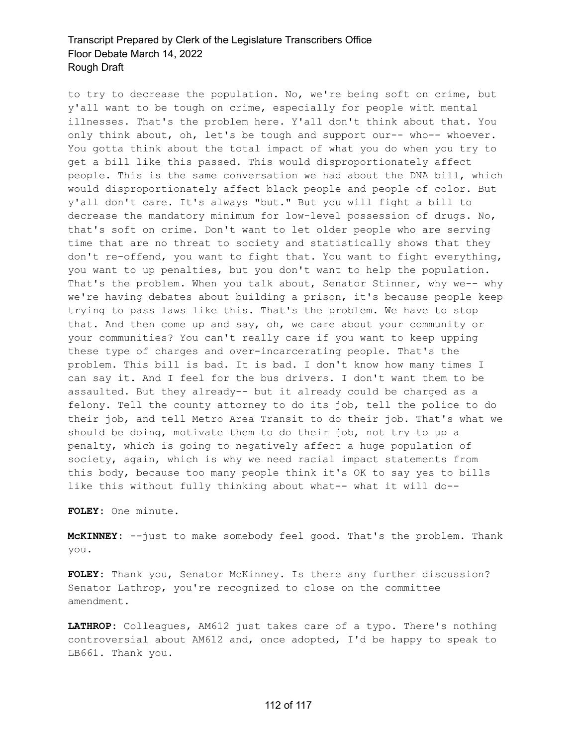to try to decrease the population. No, we're being soft on crime, but y'all want to be tough on crime, especially for people with mental illnesses. That's the problem here. Y'all don't think about that. You only think about, oh, let's be tough and support our-- who-- whoever. You gotta think about the total impact of what you do when you try to get a bill like this passed. This would disproportionately affect people. This is the same conversation we had about the DNA bill, which would disproportionately affect black people and people of color. But y'all don't care. It's always "but." But you will fight a bill to decrease the mandatory minimum for low-level possession of drugs. No, that's soft on crime. Don't want to let older people who are serving time that are no threat to society and statistically shows that they don't re-offend, you want to fight that. You want to fight everything, you want to up penalties, but you don't want to help the population. That's the problem. When you talk about, Senator Stinner, why we-- why we're having debates about building a prison, it's because people keep trying to pass laws like this. That's the problem. We have to stop that. And then come up and say, oh, we care about your community or your communities? You can't really care if you want to keep upping these type of charges and over-incarcerating people. That's the problem. This bill is bad. It is bad. I don't know how many times I can say it. And I feel for the bus drivers. I don't want them to be assaulted. But they already-- but it already could be charged as a felony. Tell the county attorney to do its job, tell the police to do their job, and tell Metro Area Transit to do their job. That's what we should be doing, motivate them to do their job, not try to up a penalty, which is going to negatively affect a huge population of society, again, which is why we need racial impact statements from this body, because too many people think it's OK to say yes to bills like this without fully thinking about what-- what it will do--

**FOLEY:** One minute.

**McKINNEY:** --just to make somebody feel good. That's the problem. Thank you.

**FOLEY:** Thank you, Senator McKinney. Is there any further discussion? Senator Lathrop, you're recognized to close on the committee amendment.

**LATHROP:** Colleagues, AM612 just takes care of a typo. There's nothing controversial about AM612 and, once adopted, I'd be happy to speak to LB661. Thank you.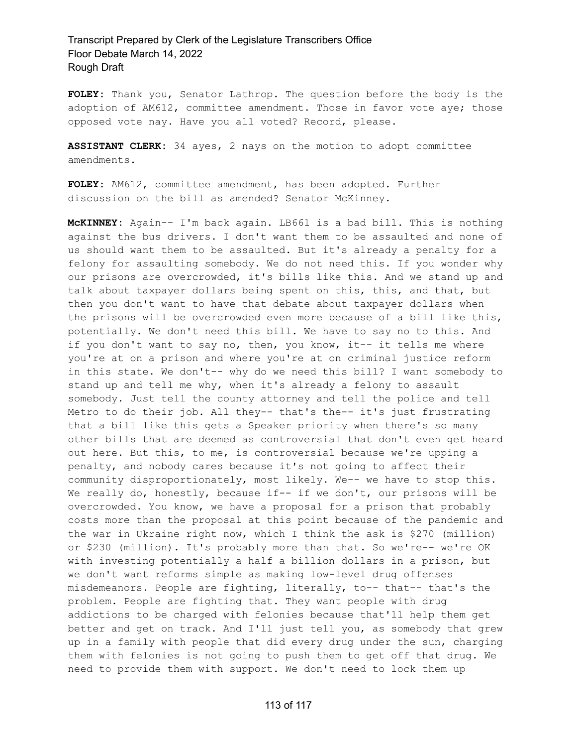**FOLEY:** Thank you, Senator Lathrop. The question before the body is the adoption of AM612, committee amendment. Those in favor vote aye; those opposed vote nay. Have you all voted? Record, please.

**ASSISTANT CLERK:** 34 ayes, 2 nays on the motion to adopt committee amendments.

**FOLEY:** AM612, committee amendment, has been adopted. Further discussion on the bill as amended? Senator McKinney.

**McKINNEY:** Again-- I'm back again. LB661 is a bad bill. This is nothing against the bus drivers. I don't want them to be assaulted and none of us should want them to be assaulted. But it's already a penalty for a felony for assaulting somebody. We do not need this. If you wonder why our prisons are overcrowded, it's bills like this. And we stand up and talk about taxpayer dollars being spent on this, this, and that, but then you don't want to have that debate about taxpayer dollars when the prisons will be overcrowded even more because of a bill like this, potentially. We don't need this bill. We have to say no to this. And if you don't want to say no, then, you know, it -- it tells me where you're at on a prison and where you're at on criminal justice reform in this state. We don't-- why do we need this bill? I want somebody to stand up and tell me why, when it's already a felony to assault somebody. Just tell the county attorney and tell the police and tell Metro to do their job. All they-- that's the-- it's just frustrating that a bill like this gets a Speaker priority when there's so many other bills that are deemed as controversial that don't even get heard out here. But this, to me, is controversial because we're upping a penalty, and nobody cares because it's not going to affect their community disproportionately, most likely. We-- we have to stop this. We really do, honestly, because if-- if we don't, our prisons will be overcrowded. You know, we have a proposal for a prison that probably costs more than the proposal at this point because of the pandemic and the war in Ukraine right now, which I think the ask is \$270 (million) or \$230 (million). It's probably more than that. So we're-- we're OK with investing potentially a half a billion dollars in a prison, but we don't want reforms simple as making low-level drug offenses misdemeanors. People are fighting, literally, to-- that-- that's the problem. People are fighting that. They want people with drug addictions to be charged with felonies because that'll help them get better and get on track. And I'll just tell you, as somebody that grew up in a family with people that did every drug under the sun, charging them with felonies is not going to push them to get off that drug. We need to provide them with support. We don't need to lock them up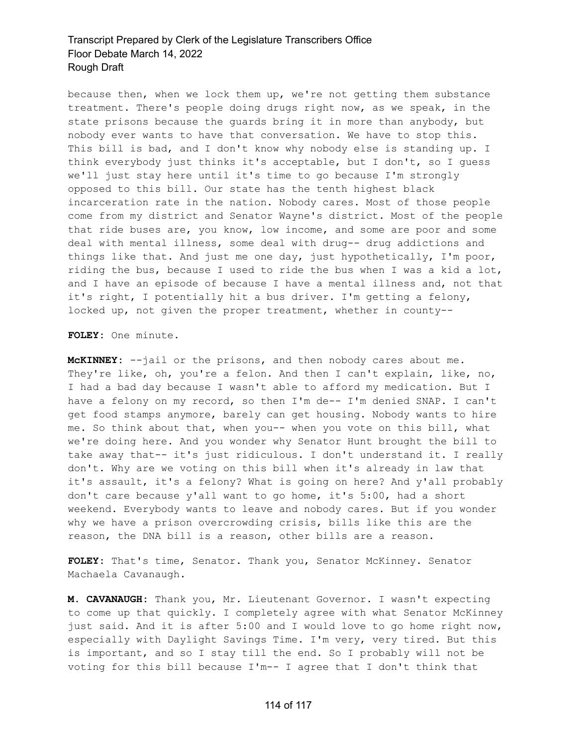because then, when we lock them up, we're not getting them substance treatment. There's people doing drugs right now, as we speak, in the state prisons because the guards bring it in more than anybody, but nobody ever wants to have that conversation. We have to stop this. This bill is bad, and I don't know why nobody else is standing up. I think everybody just thinks it's acceptable, but I don't, so I guess we'll just stay here until it's time to go because I'm strongly opposed to this bill. Our state has the tenth highest black incarceration rate in the nation. Nobody cares. Most of those people come from my district and Senator Wayne's district. Most of the people that ride buses are, you know, low income, and some are poor and some deal with mental illness, some deal with drug-- drug addictions and things like that. And just me one day, just hypothetically, I'm poor, riding the bus, because I used to ride the bus when I was a kid a lot, and I have an episode of because I have a mental illness and, not that it's right, I potentially hit a bus driver. I'm getting a felony, locked up, not given the proper treatment, whether in county--

#### **FOLEY:** One minute.

**McKINNEY:** --jail or the prisons, and then nobody cares about me. They're like, oh, you're a felon. And then I can't explain, like, no, I had a bad day because I wasn't able to afford my medication. But I have a felony on my record, so then I'm de-- I'm denied SNAP. I can't get food stamps anymore, barely can get housing. Nobody wants to hire me. So think about that, when you-- when you vote on this bill, what we're doing here. And you wonder why Senator Hunt brought the bill to take away that-- it's just ridiculous. I don't understand it. I really don't. Why are we voting on this bill when it's already in law that it's assault, it's a felony? What is going on here? And y'all probably don't care because y'all want to go home, it's 5:00, had a short weekend. Everybody wants to leave and nobody cares. But if you wonder why we have a prison overcrowding crisis, bills like this are the reason, the DNA bill is a reason, other bills are a reason.

**FOLEY:** That's time, Senator. Thank you, Senator McKinney. Senator Machaela Cavanaugh.

**M. CAVANAUGH:** Thank you, Mr. Lieutenant Governor. I wasn't expecting to come up that quickly. I completely agree with what Senator McKinney just said. And it is after 5:00 and I would love to go home right now, especially with Daylight Savings Time. I'm very, very tired. But this is important, and so I stay till the end. So I probably will not be voting for this bill because I'm-- I agree that I don't think that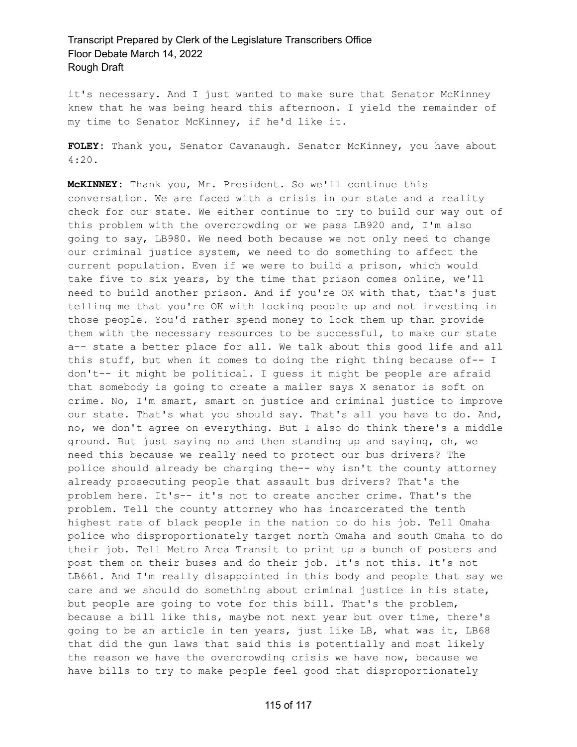it's necessary. And I just wanted to make sure that Senator McKinney knew that he was being heard this afternoon. I yield the remainder of my time to Senator McKinney, if he'd like it.

**FOLEY:** Thank you, Senator Cavanaugh. Senator McKinney, you have about 4:20.

**McKINNEY:** Thank you, Mr. President. So we'll continue this conversation. We are faced with a crisis in our state and a reality check for our state. We either continue to try to build our way out of this problem with the overcrowding or we pass LB920 and, I'm also going to say, LB980. We need both because we not only need to change our criminal justice system, we need to do something to affect the current population. Even if we were to build a prison, which would take five to six years, by the time that prison comes online, we'll need to build another prison. And if you're OK with that, that's just telling me that you're OK with locking people up and not investing in those people. You'd rather spend money to lock them up than provide them with the necessary resources to be successful, to make our state a-- state a better place for all. We talk about this good life and all this stuff, but when it comes to doing the right thing because of-- I don't-- it might be political. I guess it might be people are afraid that somebody is going to create a mailer says X senator is soft on crime. No, I'm smart, smart on justice and criminal justice to improve our state. That's what you should say. That's all you have to do. And, no, we don't agree on everything. But I also do think there's a middle ground. But just saying no and then standing up and saying, oh, we need this because we really need to protect our bus drivers? The police should already be charging the-- why isn't the county attorney already prosecuting people that assault bus drivers? That's the problem here. It's-- it's not to create another crime. That's the problem. Tell the county attorney who has incarcerated the tenth highest rate of black people in the nation to do his job. Tell Omaha police who disproportionately target north Omaha and south Omaha to do their job. Tell Metro Area Transit to print up a bunch of posters and post them on their buses and do their job. It's not this. It's not LB661. And I'm really disappointed in this body and people that say we care and we should do something about criminal justice in his state, but people are going to vote for this bill. That's the problem, because a bill like this, maybe not next year but over time, there's going to be an article in ten years, just like LB, what was it, LB68 that did the gun laws that said this is potentially and most likely the reason we have the overcrowding crisis we have now, because we have bills to try to make people feel good that disproportionately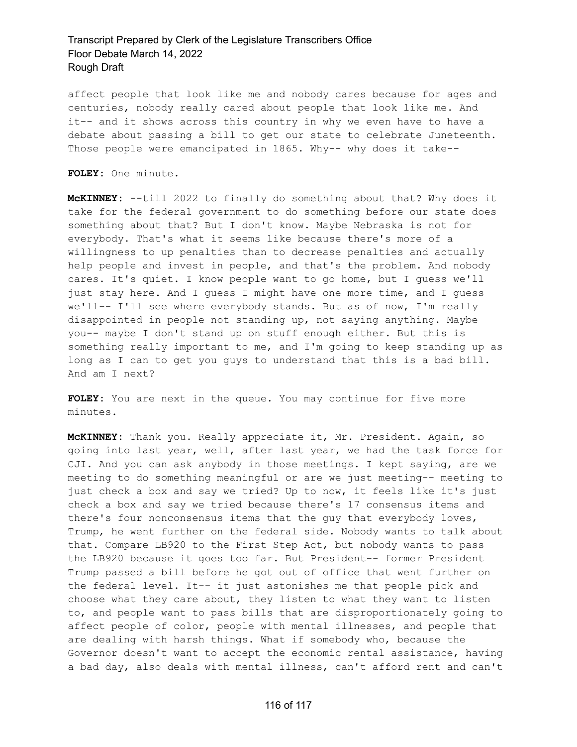affect people that look like me and nobody cares because for ages and centuries, nobody really cared about people that look like me. And it-- and it shows across this country in why we even have to have a debate about passing a bill to get our state to celebrate Juneteenth. Those people were emancipated in 1865. Why-- why does it take--

**FOLEY:** One minute.

**McKINNEY:** --till 2022 to finally do something about that? Why does it take for the federal government to do something before our state does something about that? But I don't know. Maybe Nebraska is not for everybody. That's what it seems like because there's more of a willingness to up penalties than to decrease penalties and actually help people and invest in people, and that's the problem. And nobody cares. It's quiet. I know people want to go home, but I guess we'll just stay here. And I guess I might have one more time, and I guess we'll-- I'll see where everybody stands. But as of now, I'm really disappointed in people not standing up, not saying anything. Maybe you-- maybe I don't stand up on stuff enough either. But this is something really important to me, and I'm going to keep standing up as long as I can to get you guys to understand that this is a bad bill. And am I next?

**FOLEY:** You are next in the queue. You may continue for five more minutes.

**McKINNEY:** Thank you. Really appreciate it, Mr. President. Again, so going into last year, well, after last year, we had the task force for CJI. And you can ask anybody in those meetings. I kept saying, are we meeting to do something meaningful or are we just meeting-- meeting to just check a box and say we tried? Up to now, it feels like it's just check a box and say we tried because there's 17 consensus items and there's four nonconsensus items that the guy that everybody loves, Trump, he went further on the federal side. Nobody wants to talk about that. Compare LB920 to the First Step Act, but nobody wants to pass the LB920 because it goes too far. But President-- former President Trump passed a bill before he got out of office that went further on the federal level. It-- it just astonishes me that people pick and choose what they care about, they listen to what they want to listen to, and people want to pass bills that are disproportionately going to affect people of color, people with mental illnesses, and people that are dealing with harsh things. What if somebody who, because the Governor doesn't want to accept the economic rental assistance, having a bad day, also deals with mental illness, can't afford rent and can't